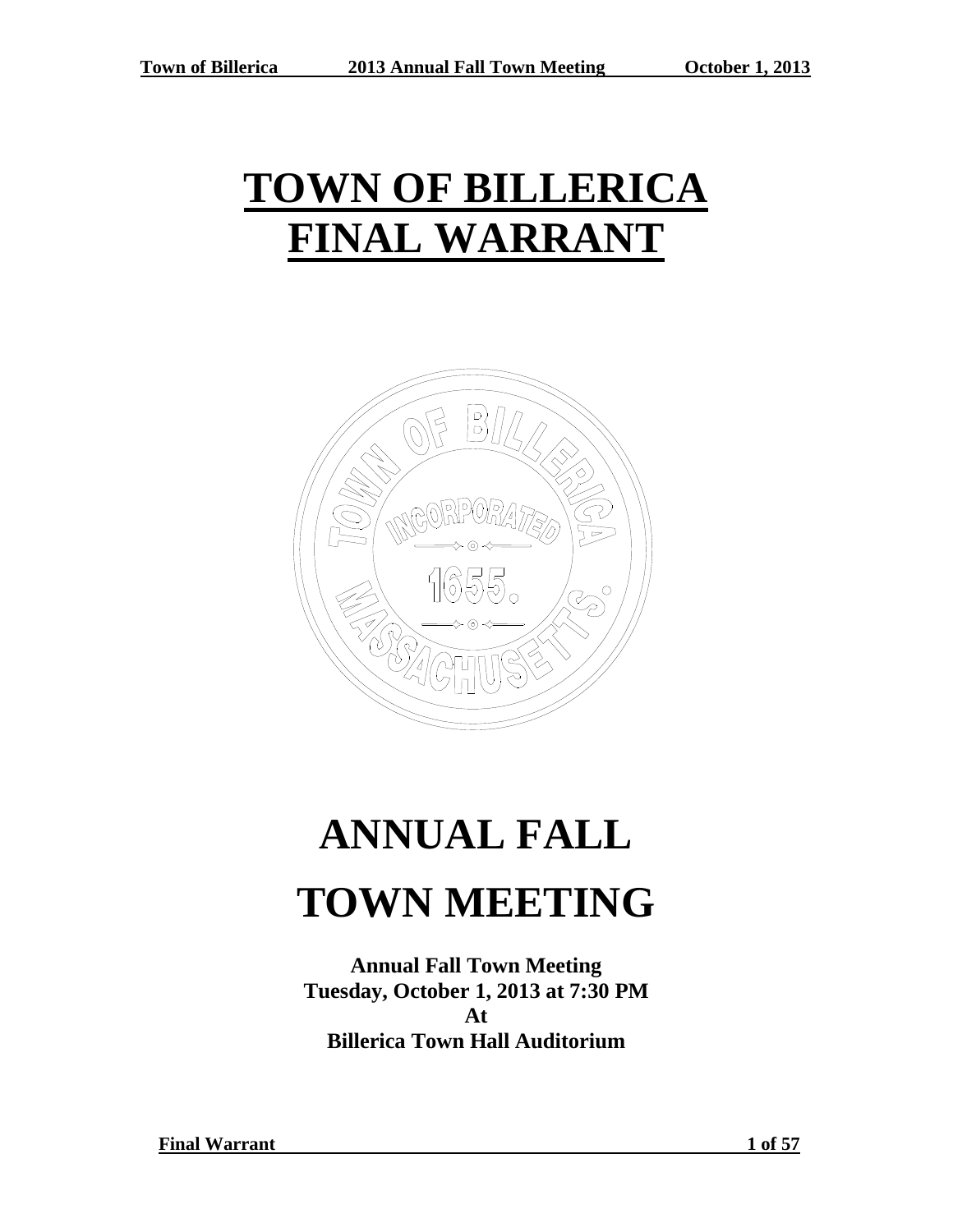# **TOWN OF BILLERICA FINAL WARRANT**



# **ANNUAL FALL TOWN MEETING**

**Annual Fall Town Meeting Tuesday, October 1, 2013 at 7:30 PM At Billerica Town Hall Auditorium**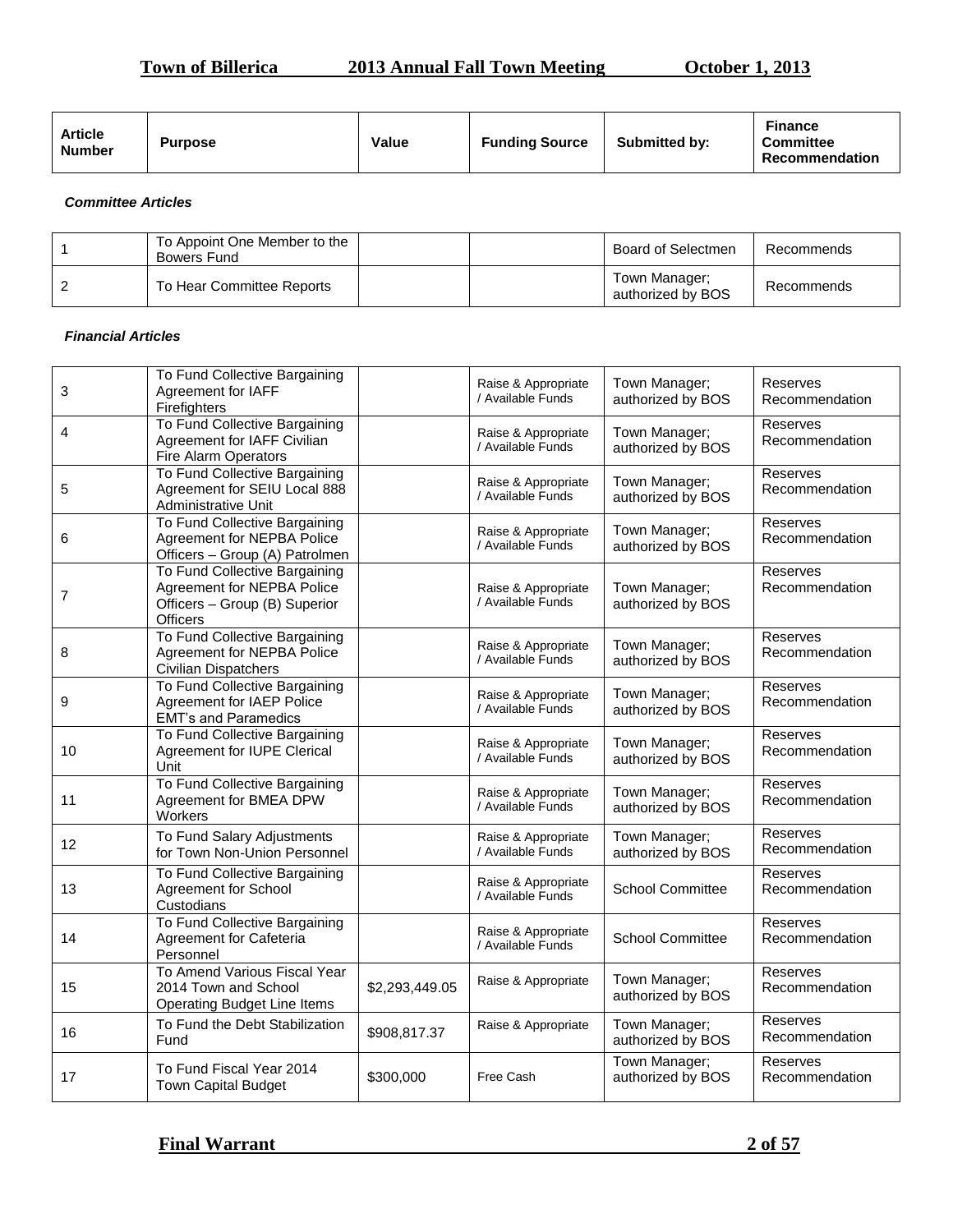## **Town of Billerica 2013 Annual Fall Town Meeting October 1, 2013**

| <b>Article</b><br><b>Number</b> | <b>Purpose</b> | Value | <b>Funding Source</b> | <b>Submitted by:</b> | <b>Finance</b><br><b>Committee</b><br>Recommendation |
|---------------------------------|----------------|-------|-----------------------|----------------------|------------------------------------------------------|
|---------------------------------|----------------|-------|-----------------------|----------------------|------------------------------------------------------|

#### *Committee Articles*

| To Appoint One Member to the<br>Bowers Fund | Board of Selectmen                 | Recommends |
|---------------------------------------------|------------------------------------|------------|
| To Hear Committee Reports                   | Town Manager;<br>authorized by BOS | Recommends |

#### *Financial Articles*

| 3  | To Fund Collective Bargaining<br>Agreement for IAFF<br>Firefighters                                             |                | Raise & Appropriate<br>/ Available Funds | Town Manager;<br>authorized by BOS | Reserves<br>Recommendation |
|----|-----------------------------------------------------------------------------------------------------------------|----------------|------------------------------------------|------------------------------------|----------------------------|
| 4  | To Fund Collective Bargaining<br>Agreement for IAFF Civilian<br>Fire Alarm Operators                            |                | Raise & Appropriate<br>/ Available Funds | Town Manager;<br>authorized by BOS | Reserves<br>Recommendation |
| 5  | To Fund Collective Bargaining<br>Agreement for SEIU Local 888<br>Administrative Unit                            |                | Raise & Appropriate<br>/ Available Funds | Town Manager;<br>authorized by BOS | Reserves<br>Recommendation |
| 6  | To Fund Collective Bargaining<br>Agreement for NEPBA Police<br>Officers - Group (A) Patrolmen                   |                | Raise & Appropriate<br>/ Available Funds | Town Manager;<br>authorized by BOS | Reserves<br>Recommendation |
| 7  | To Fund Collective Bargaining<br>Agreement for NEPBA Police<br>Officers - Group (B) Superior<br><b>Officers</b> |                | Raise & Appropriate<br>/ Available Funds | Town Manager;<br>authorized by BOS | Reserves<br>Recommendation |
| 8  | To Fund Collective Bargaining<br>Agreement for NEPBA Police<br>Civilian Dispatchers                             |                | Raise & Appropriate<br>/ Available Funds | Town Manager;<br>authorized by BOS | Reserves<br>Recommendation |
| 9  | To Fund Collective Bargaining<br>Agreement for IAEP Police<br><b>EMT's and Paramedics</b>                       |                | Raise & Appropriate<br>/ Available Funds | Town Manager;<br>authorized by BOS | Reserves<br>Recommendation |
| 10 | To Fund Collective Bargaining<br>Agreement for IUPE Clerical<br>Unit                                            |                | Raise & Appropriate<br>/ Available Funds | Town Manager;<br>authorized by BOS | Reserves<br>Recommendation |
| 11 | To Fund Collective Bargaining<br>Agreement for BMEA DPW<br>Workers                                              |                | Raise & Appropriate<br>/ Available Funds | Town Manager;<br>authorized by BOS | Reserves<br>Recommendation |
| 12 | To Fund Salary Adjustments<br>for Town Non-Union Personnel                                                      |                | Raise & Appropriate<br>/ Available Funds | Town Manager;<br>authorized by BOS | Reserves<br>Recommendation |
| 13 | To Fund Collective Bargaining<br>Agreement for School<br>Custodians                                             |                | Raise & Appropriate<br>/ Available Funds | <b>School Committee</b>            | Reserves<br>Recommendation |
| 14 | To Fund Collective Bargaining<br>Agreement for Cafeteria<br>Personnel                                           |                | Raise & Appropriate<br>/ Available Funds | <b>School Committee</b>            | Reserves<br>Recommendation |
| 15 | To Amend Various Fiscal Year<br>2014 Town and School<br><b>Operating Budget Line Items</b>                      | \$2,293,449.05 | Raise & Appropriate                      | Town Manager;<br>authorized by BOS | Reserves<br>Recommendation |
| 16 | To Fund the Debt Stabilization<br>Fund                                                                          | \$908,817.37   | Raise & Appropriate                      | Town Manager;<br>authorized by BOS | Reserves<br>Recommendation |
| 17 | To Fund Fiscal Year 2014<br><b>Town Capital Budget</b>                                                          | \$300,000      | Free Cash                                | Town Manager;<br>authorized by BOS | Reserves<br>Recommendation |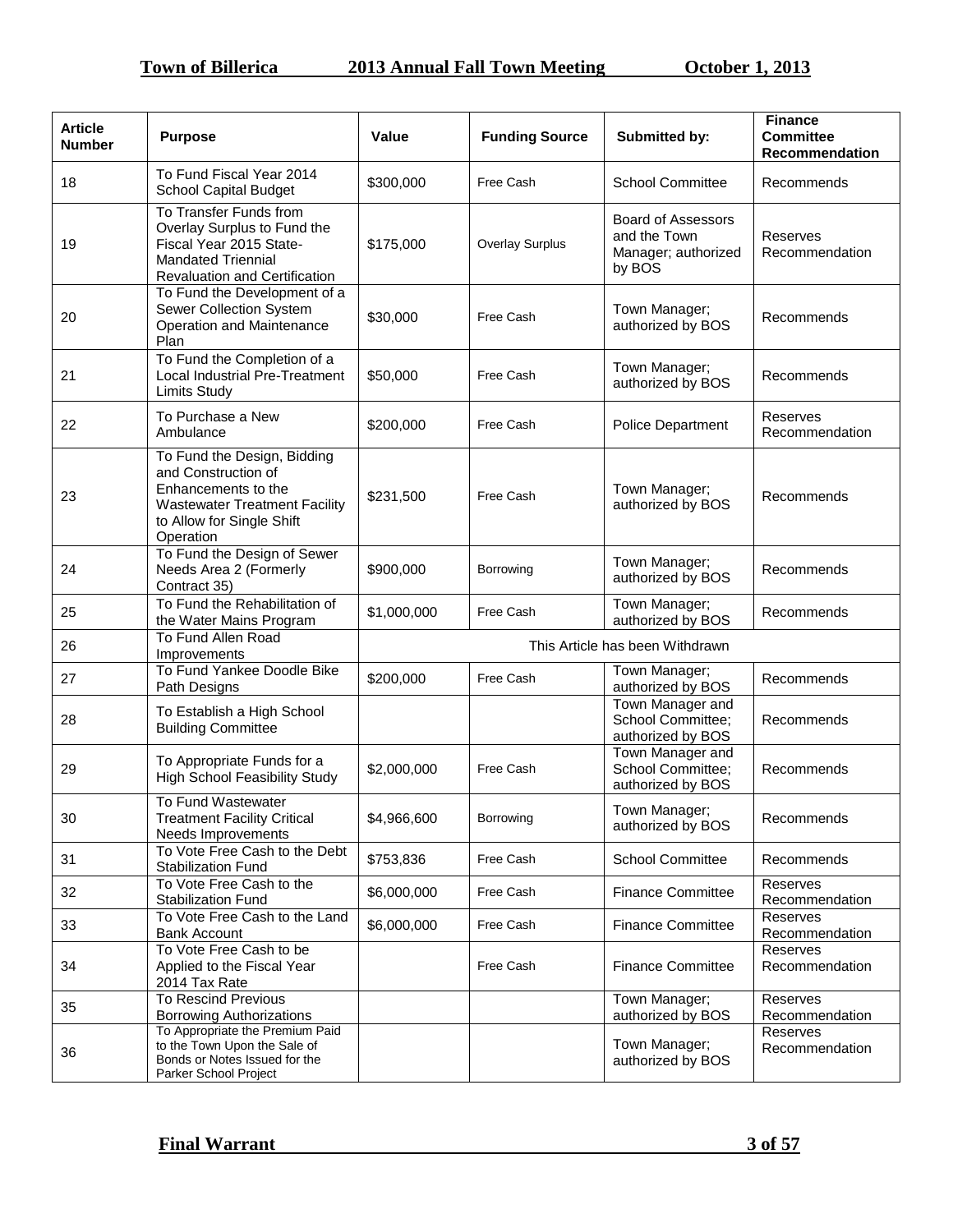| <b>Article</b><br><b>Number</b> | <b>Purpose</b>                                                                                                                                              | Value                           | <b>Funding Source</b> | Submitted by:                                                       | <b>Finance</b><br><b>Committee</b><br>Recommendation |
|---------------------------------|-------------------------------------------------------------------------------------------------------------------------------------------------------------|---------------------------------|-----------------------|---------------------------------------------------------------------|------------------------------------------------------|
| 18                              | To Fund Fiscal Year 2014<br><b>School Capital Budget</b>                                                                                                    | \$300,000                       | Free Cash             | <b>School Committee</b>                                             | Recommends                                           |
| 19                              | To Transfer Funds from<br>Overlay Surplus to Fund the<br>Fiscal Year 2015 State-<br><b>Mandated Triennial</b><br>Revaluation and Certification              | \$175,000                       | Overlay Surplus       | Board of Assessors<br>and the Town<br>Manager; authorized<br>by BOS | Reserves<br>Recommendation                           |
| 20                              | To Fund the Development of a<br>Sewer Collection System<br>Operation and Maintenance<br>Plan                                                                | \$30,000                        | Free Cash             | Town Manager;<br>authorized by BOS                                  | Recommends                                           |
| 21                              | To Fund the Completion of a<br><b>Local Industrial Pre-Treatment</b><br><b>Limits Study</b>                                                                 | \$50,000                        | Free Cash             | Town Manager;<br>authorized by BOS                                  | Recommends                                           |
| 22                              | To Purchase a New<br>Ambulance                                                                                                                              | \$200,000                       | Free Cash             | Police Department                                                   | Reserves<br>Recommendation                           |
| 23                              | To Fund the Design, Bidding<br>and Construction of<br>Enhancements to the<br><b>Wastewater Treatment Facility</b><br>to Allow for Single Shift<br>Operation | \$231,500                       | Free Cash             | Town Manager;<br>authorized by BOS                                  | Recommends                                           |
| 24                              | To Fund the Design of Sewer<br>Needs Area 2 (Formerly<br>Contract 35)                                                                                       | \$900,000                       | Borrowing             | Town Manager;<br>authorized by BOS                                  | Recommends                                           |
| 25                              | To Fund the Rehabilitation of<br>the Water Mains Program                                                                                                    | \$1,000,000                     | Free Cash             | Town Manager;<br>authorized by BOS                                  | Recommends                                           |
| 26                              | To Fund Allen Road<br>Improvements                                                                                                                          | This Article has been Withdrawn |                       |                                                                     |                                                      |
| 27                              | To Fund Yankee Doodle Bike<br>Path Designs                                                                                                                  | \$200,000                       | Free Cash             | Town Manager;<br>authorized by BOS                                  | Recommends                                           |
| 28                              | To Establish a High School<br><b>Building Committee</b>                                                                                                     |                                 |                       | Town Manager and<br>School Committee;<br>authorized by BOS          | Recommends                                           |
| 29                              | To Appropriate Funds for a<br><b>High School Feasibility Study</b>                                                                                          | \$2,000,000                     | Free Cash             | Town Manager and<br>School Committee:<br>authorized by BOS          | Recommends                                           |
| 30                              | To Fund Wastewater<br><b>Treatment Facility Critical</b><br>Needs Improvements                                                                              | \$4,966,600                     | Borrowing             | Town Manager;<br>authorized by BOS                                  | Recommends                                           |
| 31                              | To Vote Free Cash to the Debt<br><b>Stabilization Fund</b>                                                                                                  | \$753,836                       | Free Cash             | <b>School Committee</b>                                             | Recommends                                           |
| 32                              | To Vote Free Cash to the<br><b>Stabilization Fund</b>                                                                                                       | \$6,000,000                     | Free Cash             | <b>Finance Committee</b>                                            | Reserves<br>Recommendation                           |
| 33                              | To Vote Free Cash to the Land<br><b>Bank Account</b>                                                                                                        | \$6,000,000                     | Free Cash             | <b>Finance Committee</b>                                            | Reserves<br>Recommendation                           |
| 34                              | To Vote Free Cash to be<br>Applied to the Fiscal Year<br>2014 Tax Rate                                                                                      |                                 | Free Cash             | <b>Finance Committee</b>                                            | Reserves<br>Recommendation                           |
| 35                              | <b>To Rescind Previous</b><br><b>Borrowing Authorizations</b>                                                                                               |                                 |                       | Town Manager;<br>authorized by BOS                                  | Reserves<br>Recommendation                           |
| 36                              | To Appropriate the Premium Paid<br>to the Town Upon the Sale of<br>Bonds or Notes Issued for the<br>Parker School Project                                   |                                 |                       | Town Manager;<br>authorized by BOS                                  | Reserves<br>Recommendation                           |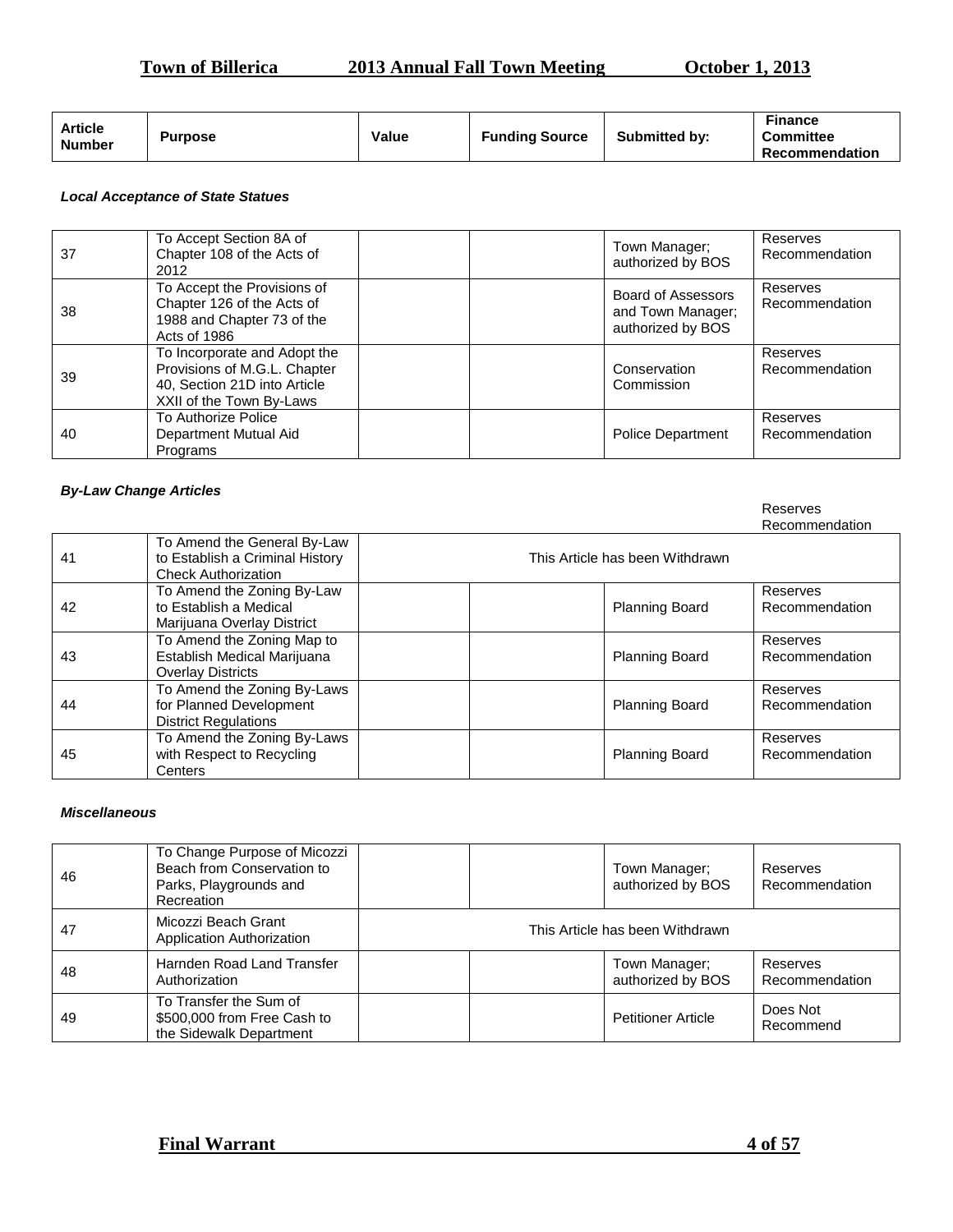| <b>October 1, 2013</b><br><b>Town of Billerica</b><br><b>2013 Annual Fall Town Meeting</b> |
|--------------------------------------------------------------------------------------------|
|--------------------------------------------------------------------------------------------|

| <b>October 1, 2013</b> |  |
|------------------------|--|
|                        |  |

Reserves

| <b>Article</b><br><b>Number</b> | <b>Purpose</b> | Value | <b>Funding Source</b> | <b>Submitted by:</b> | Finance<br><b>Committee</b><br><b>Recommendation</b> |
|---------------------------------|----------------|-------|-----------------------|----------------------|------------------------------------------------------|
|---------------------------------|----------------|-------|-----------------------|----------------------|------------------------------------------------------|

### *Local Acceptance of State Statues*

| 37 | To Accept Section 8A of<br>Chapter 108 of the Acts of<br>2012                                                            | Town Manager:<br>authorized by BOS                                  | Reserves<br>Recommendation |
|----|--------------------------------------------------------------------------------------------------------------------------|---------------------------------------------------------------------|----------------------------|
| 38 | To Accept the Provisions of<br>Chapter 126 of the Acts of<br>1988 and Chapter 73 of the<br>Acts of 1986                  | <b>Board of Assessors</b><br>and Town Manager;<br>authorized by BOS | Reserves<br>Recommendation |
| 39 | To Incorporate and Adopt the<br>Provisions of M.G.L. Chapter<br>40, Section 21D into Article<br>XXII of the Town By-Laws | Conservation<br>Commission                                          | Reserves<br>Recommendation |
| 40 | To Authorize Police<br>Department Mutual Aid<br>Programs                                                                 | <b>Police Department</b>                                            | Reserves<br>Recommendation |

#### *By-Law Change Articles*

|    |                                                                                              |                                 | Recommendation             |
|----|----------------------------------------------------------------------------------------------|---------------------------------|----------------------------|
| 41 | To Amend the General By-Law<br>to Establish a Criminal History<br><b>Check Authorization</b> | This Article has been Withdrawn |                            |
| 42 | To Amend the Zoning By-Law<br>to Establish a Medical<br>Marijuana Overlay District           | <b>Planning Board</b>           | Reserves<br>Recommendation |
| 43 | To Amend the Zoning Map to<br>Establish Medical Marijuana<br><b>Overlay Districts</b>        | <b>Planning Board</b>           | Reserves<br>Recommendation |
| 44 | To Amend the Zoning By-Laws<br>for Planned Development<br><b>District Regulations</b>        | <b>Planning Board</b>           | Reserves<br>Recommendation |
| 45 | To Amend the Zoning By-Laws<br>with Respect to Recycling<br>Centers                          | <b>Planning Board</b>           | Reserves<br>Recommendation |

#### *Miscellaneous*

| 46 | To Change Purpose of Micozzi<br>Beach from Conservation to<br>Parks, Playgrounds and<br>Recreation | Town Manager;<br>authorized by BOS | Reserves<br>Recommendation |
|----|----------------------------------------------------------------------------------------------------|------------------------------------|----------------------------|
| 47 | Micozzi Beach Grant<br>Application Authorization                                                   | This Article has been Withdrawn    |                            |
| 48 | Harnden Road Land Transfer<br>Authorization                                                        | Town Manager;<br>authorized by BOS | Reserves<br>Recommendation |
| 49 | To Transfer the Sum of<br>\$500,000 from Free Cash to<br>the Sidewalk Department                   | <b>Petitioner Article</b>          | Does Not<br>Recommend      |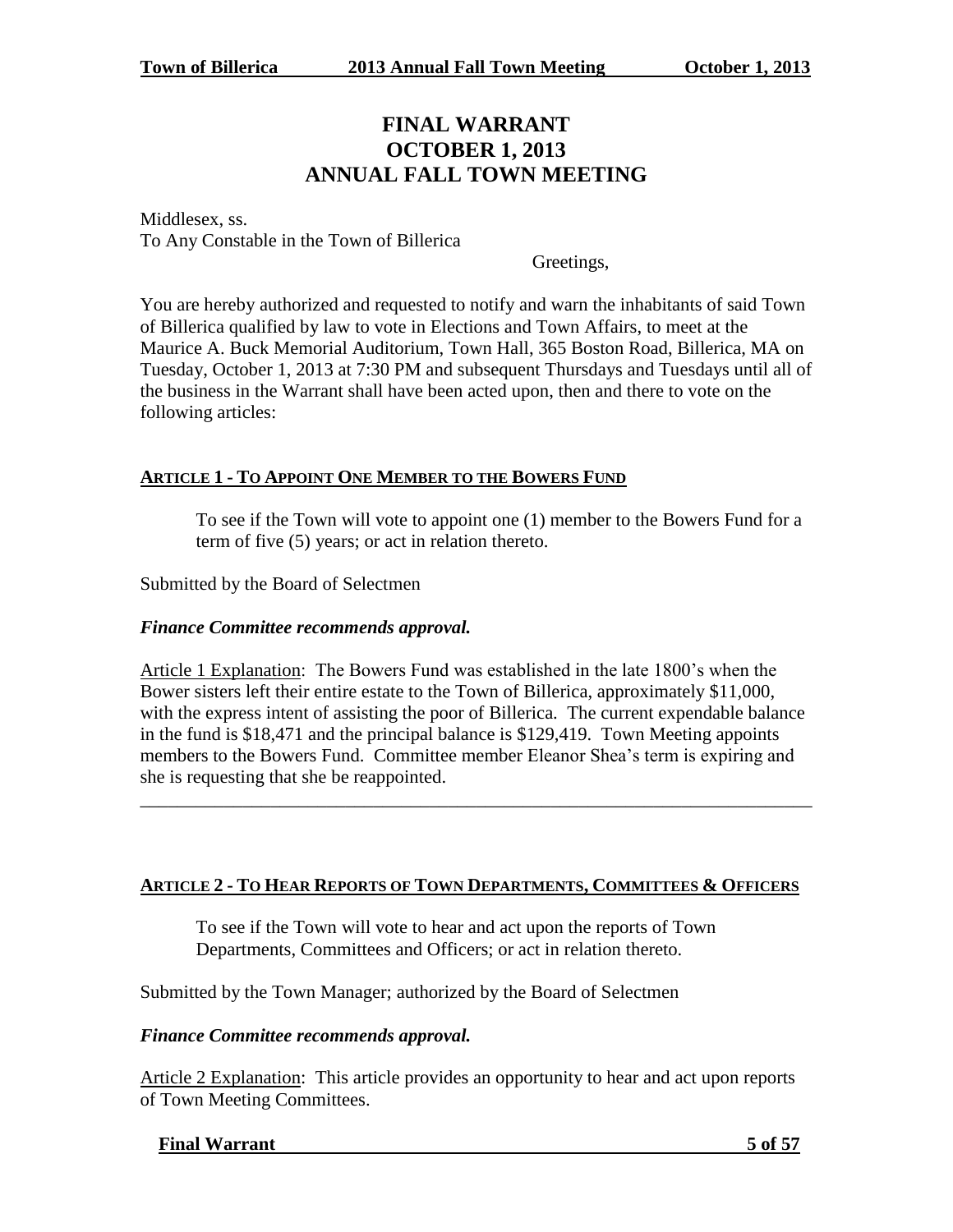# **FINAL WARRANT OCTOBER 1, 2013 ANNUAL FALL TOWN MEETING**

Middlesex, ss. To Any Constable in the Town of Billerica

Greetings,

You are hereby authorized and requested to notify and warn the inhabitants of said Town of Billerica qualified by law to vote in Elections and Town Affairs, to meet at the Maurice A. Buck Memorial Auditorium, Town Hall, 365 Boston Road, Billerica, MA on Tuesday, October 1, 2013 at 7:30 PM and subsequent Thursdays and Tuesdays until all of the business in the Warrant shall have been acted upon, then and there to vote on the following articles:

# **ARTICLE 1 - TO APPOINT ONE MEMBER TO THE BOWERS FUND**

To see if the Town will vote to appoint one (1) member to the Bowers Fund for a term of five (5) years; or act in relation thereto.

Submitted by the Board of Selectmen

# *Finance Committee recommends approval.*

Article 1 Explanation: The Bowers Fund was established in the late 1800's when the Bower sisters left their entire estate to the Town of Billerica, approximately \$11,000, with the express intent of assisting the poor of Billerica. The current expendable balance in the fund is \$18,471 and the principal balance is \$129,419. Town Meeting appoints members to the Bowers Fund. Committee member Eleanor Shea's term is expiring and she is requesting that she be reappointed.

\_\_\_\_\_\_\_\_\_\_\_\_\_\_\_\_\_\_\_\_\_\_\_\_\_\_\_\_\_\_\_\_\_\_\_\_\_\_\_\_\_\_\_\_\_\_\_\_\_\_\_\_\_\_\_\_\_\_\_\_\_\_\_\_\_\_\_\_\_\_\_\_

# **ARTICLE 2 - TO HEAR REPORTS OF TOWN DEPARTMENTS, COMMITTEES & OFFICERS**

To see if the Town will vote to hear and act upon the reports of Town Departments, Committees and Officers; or act in relation thereto.

Submitted by the Town Manager; authorized by the Board of Selectmen

# *Finance Committee recommends approval.*

Article 2 Explanation: This article provides an opportunity to hear and act upon reports of Town Meeting Committees.

#### **Final Warrant 5 of 57**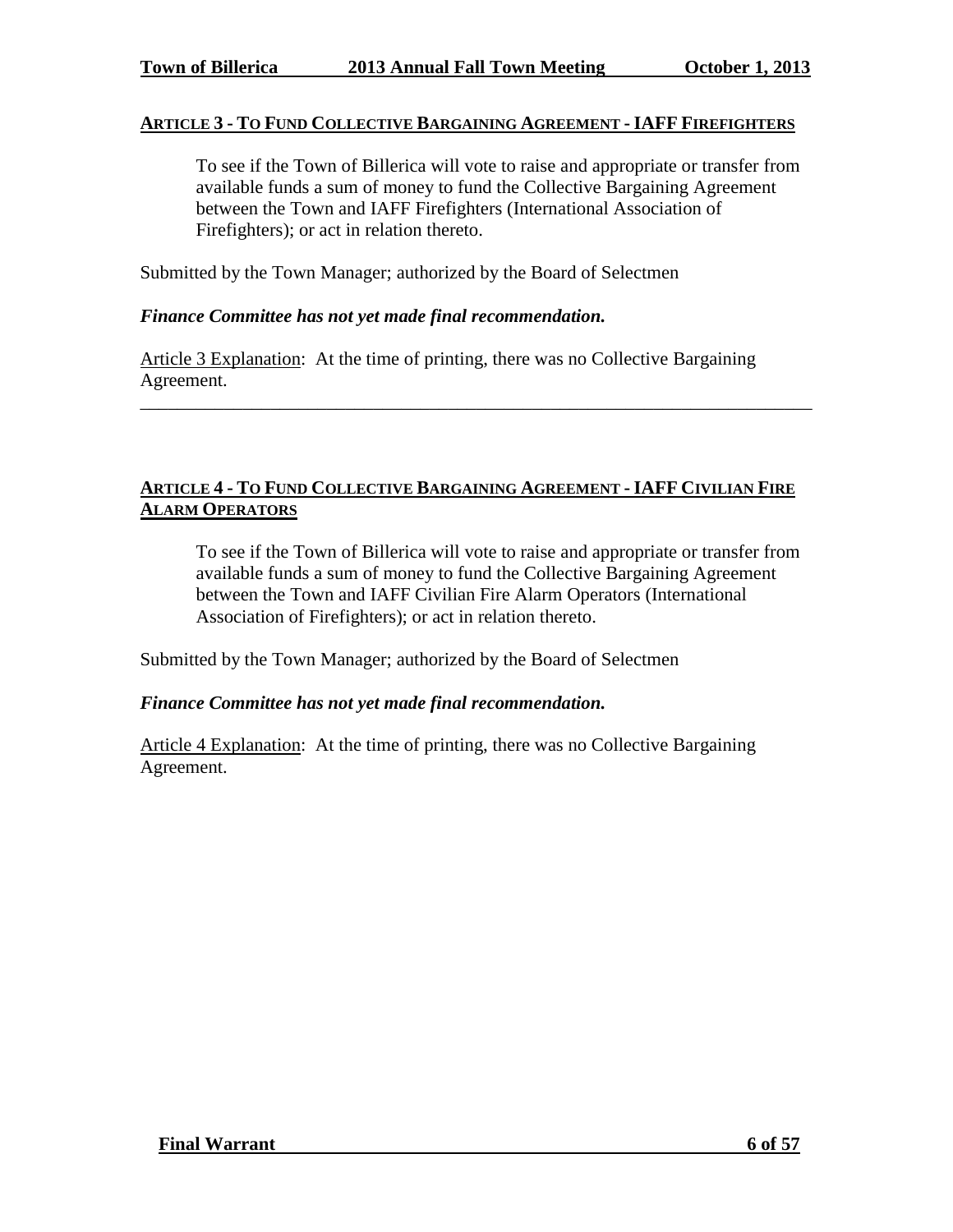#### **ARTICLE 3 - TO FUND COLLECTIVE BARGAINING AGREEMENT - IAFF FIREFIGHTERS**

To see if the Town of Billerica will vote to raise and appropriate or transfer from available funds a sum of money to fund the Collective Bargaining Agreement between the Town and IAFF Firefighters (International Association of Firefighters); or act in relation thereto.

Submitted by the Town Manager; authorized by the Board of Selectmen

#### *Finance Committee has not yet made final recommendation.*

Article 3 Explanation: At the time of printing, there was no Collective Bargaining Agreement.

# **ARTICLE 4 - TO FUND COLLECTIVE BARGAINING AGREEMENT - IAFF CIVILIAN FIRE ALARM OPERATORS**

\_\_\_\_\_\_\_\_\_\_\_\_\_\_\_\_\_\_\_\_\_\_\_\_\_\_\_\_\_\_\_\_\_\_\_\_\_\_\_\_\_\_\_\_\_\_\_\_\_\_\_\_\_\_\_\_\_\_\_\_\_\_\_\_\_\_\_\_\_\_\_\_

To see if the Town of Billerica will vote to raise and appropriate or transfer from available funds a sum of money to fund the Collective Bargaining Agreement between the Town and IAFF Civilian Fire Alarm Operators (International Association of Firefighters); or act in relation thereto.

Submitted by the Town Manager; authorized by the Board of Selectmen

#### *Finance Committee has not yet made final recommendation.*

Article 4 Explanation: At the time of printing, there was no Collective Bargaining Agreement.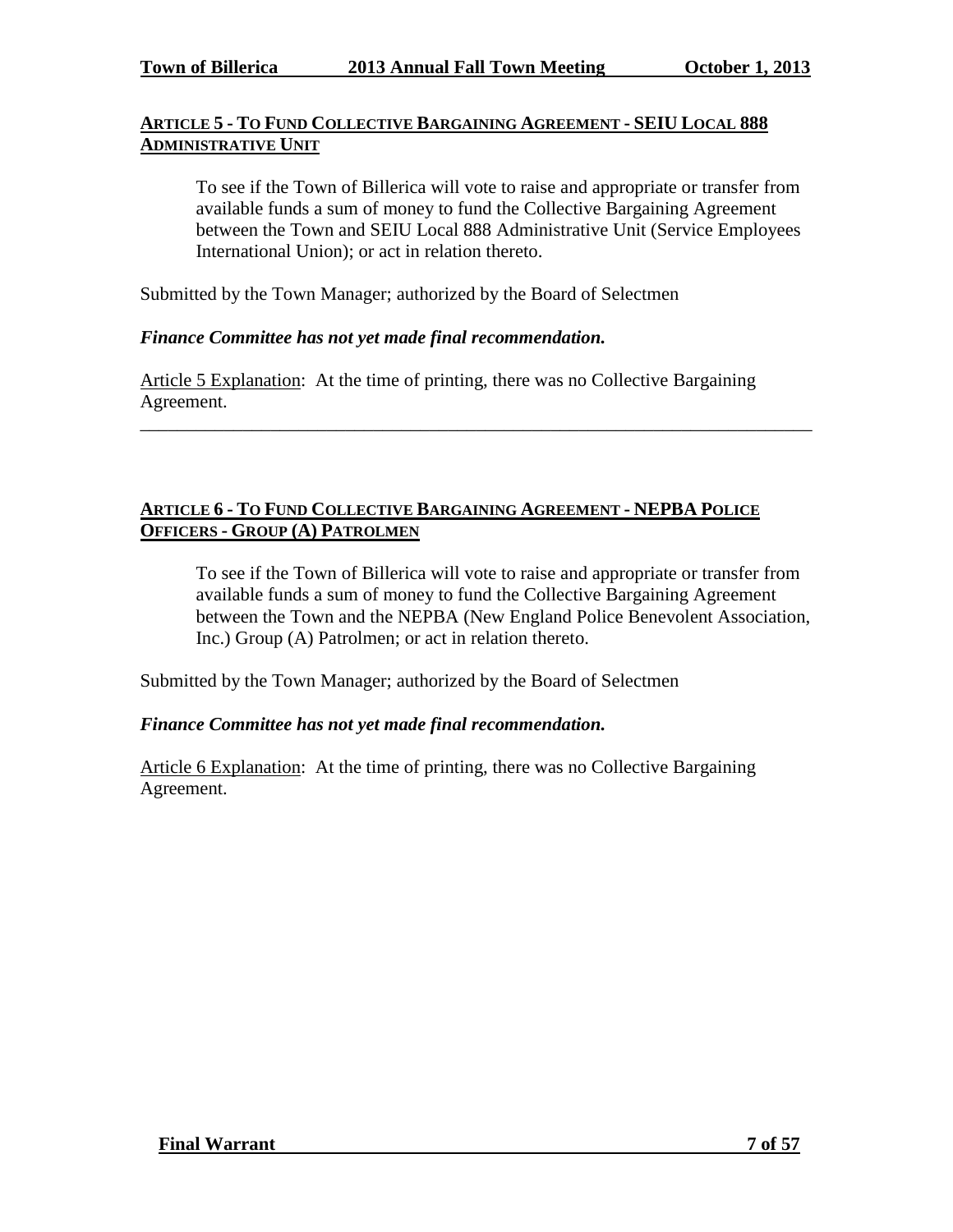# **ARTICLE 5 - TO FUND COLLECTIVE BARGAINING AGREEMENT - SEIU LOCAL 888 ADMINISTRATIVE UNIT**

To see if the Town of Billerica will vote to raise and appropriate or transfer from available funds a sum of money to fund the Collective Bargaining Agreement between the Town and SEIU Local 888 Administrative Unit (Service Employees International Union); or act in relation thereto.

Submitted by the Town Manager; authorized by the Board of Selectmen

## *Finance Committee has not yet made final recommendation.*

Article 5 Explanation: At the time of printing, there was no Collective Bargaining Agreement.

\_\_\_\_\_\_\_\_\_\_\_\_\_\_\_\_\_\_\_\_\_\_\_\_\_\_\_\_\_\_\_\_\_\_\_\_\_\_\_\_\_\_\_\_\_\_\_\_\_\_\_\_\_\_\_\_\_\_\_\_\_\_\_\_\_\_\_\_\_\_\_\_

## **ARTICLE 6 - TO FUND COLLECTIVE BARGAINING AGREEMENT - NEPBA POLICE OFFICERS - GROUP (A) PATROLMEN**

To see if the Town of Billerica will vote to raise and appropriate or transfer from available funds a sum of money to fund the Collective Bargaining Agreement between the Town and the NEPBA (New England Police Benevolent Association, Inc.) Group (A) Patrolmen; or act in relation thereto.

Submitted by the Town Manager; authorized by the Board of Selectmen

#### *Finance Committee has not yet made final recommendation.*

Article 6 Explanation: At the time of printing, there was no Collective Bargaining Agreement.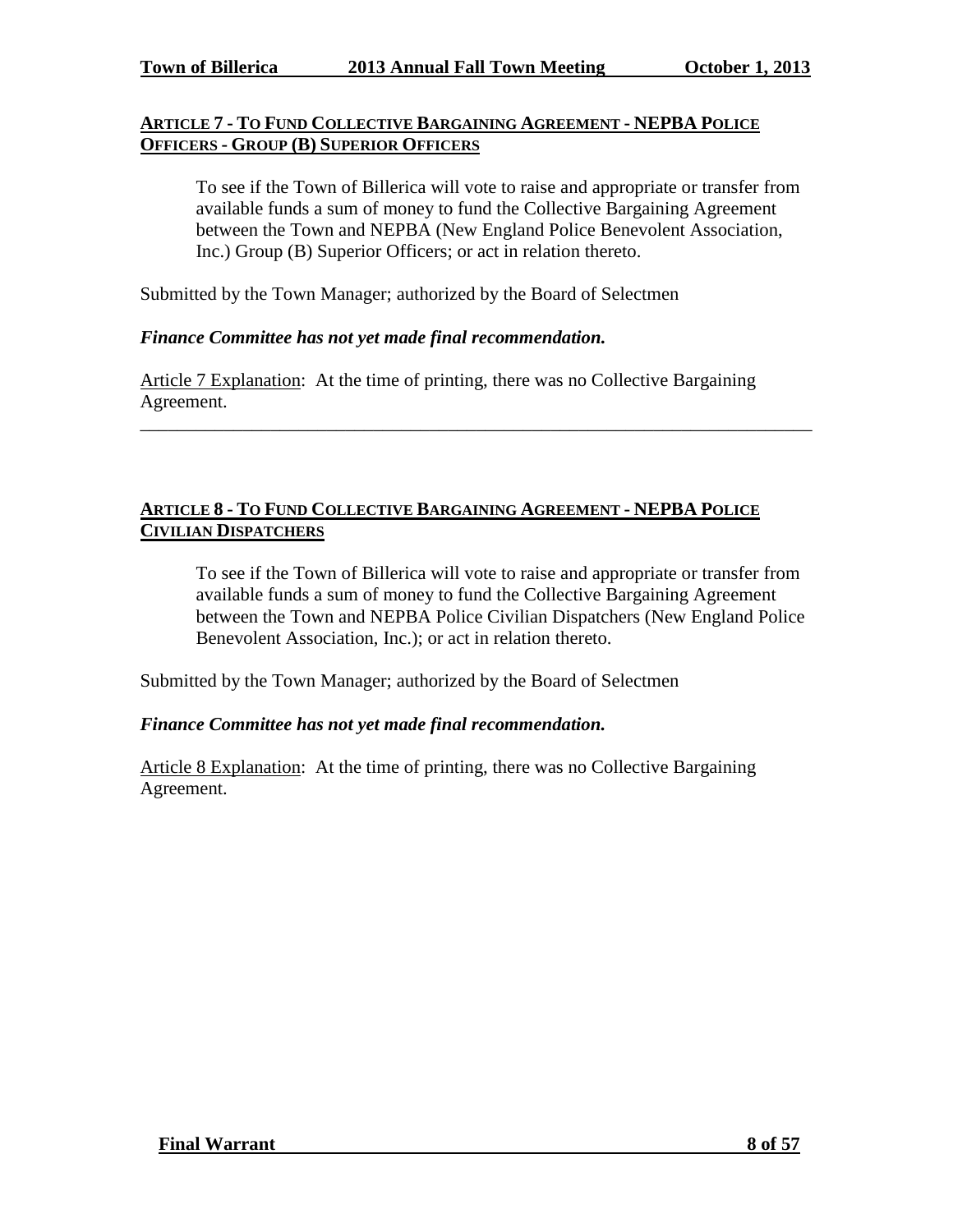## **ARTICLE 7 - TO FUND COLLECTIVE BARGAINING AGREEMENT - NEPBA POLICE OFFICERS - GROUP (B) SUPERIOR OFFICERS**

To see if the Town of Billerica will vote to raise and appropriate or transfer from available funds a sum of money to fund the Collective Bargaining Agreement between the Town and NEPBA (New England Police Benevolent Association, Inc.) Group (B) Superior Officers; or act in relation thereto.

Submitted by the Town Manager; authorized by the Board of Selectmen

#### *Finance Committee has not yet made final recommendation.*

Article 7 Explanation: At the time of printing, there was no Collective Bargaining Agreement.

\_\_\_\_\_\_\_\_\_\_\_\_\_\_\_\_\_\_\_\_\_\_\_\_\_\_\_\_\_\_\_\_\_\_\_\_\_\_\_\_\_\_\_\_\_\_\_\_\_\_\_\_\_\_\_\_\_\_\_\_\_\_\_\_\_\_\_\_\_\_\_\_

## **ARTICLE 8 - TO FUND COLLECTIVE BARGAINING AGREEMENT - NEPBA POLICE CIVILIAN DISPATCHERS**

To see if the Town of Billerica will vote to raise and appropriate or transfer from available funds a sum of money to fund the Collective Bargaining Agreement between the Town and NEPBA Police Civilian Dispatchers (New England Police Benevolent Association, Inc.); or act in relation thereto.

Submitted by the Town Manager; authorized by the Board of Selectmen

#### *Finance Committee has not yet made final recommendation.*

Article 8 Explanation: At the time of printing, there was no Collective Bargaining Agreement.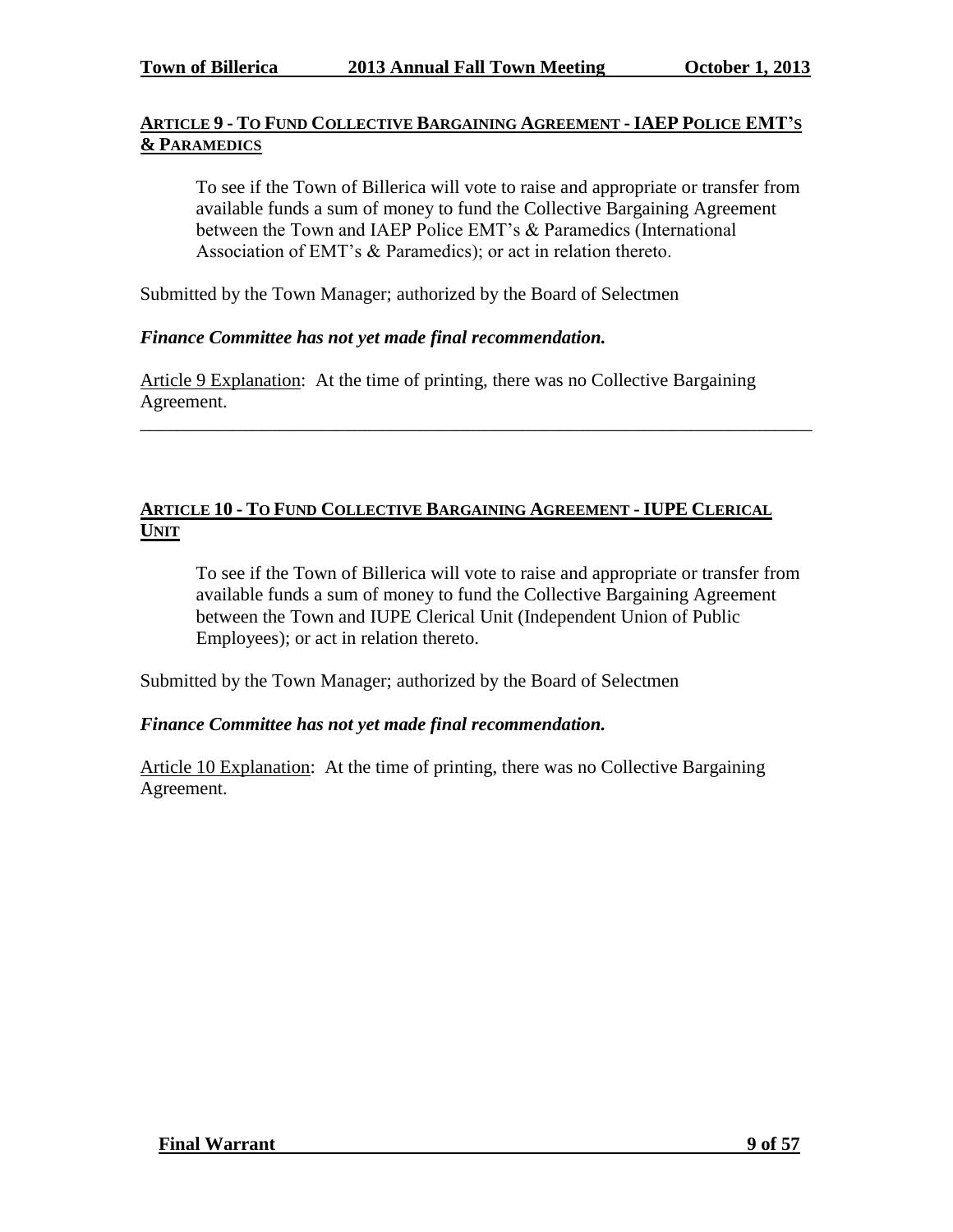# **ARTICLE 9 - TO FUND COLLECTIVE BARGAINING AGREEMENT - IAEP POLICE EMT'S & PARAMEDICS**

To see if the Town of Billerica will vote to raise and appropriate or transfer from available funds a sum of money to fund the Collective Bargaining Agreement between the Town and IAEP Police EMT's & Paramedics (International Association of EMT's & Paramedics); or act in relation thereto.

Submitted by the Town Manager; authorized by the Board of Selectmen

# *Finance Committee has not yet made final recommendation.*

Article 9 Explanation: At the time of printing, there was no Collective Bargaining Agreement.

\_\_\_\_\_\_\_\_\_\_\_\_\_\_\_\_\_\_\_\_\_\_\_\_\_\_\_\_\_\_\_\_\_\_\_\_\_\_\_\_\_\_\_\_\_\_\_\_\_\_\_\_\_\_\_\_\_\_\_\_\_\_\_\_\_\_\_\_\_\_\_\_

## **ARTICLE 10 - TO FUND COLLECTIVE BARGAINING AGREEMENT - IUPE CLERICAL UNIT**

To see if the Town of Billerica will vote to raise and appropriate or transfer from available funds a sum of money to fund the Collective Bargaining Agreement between the Town and IUPE Clerical Unit (Independent Union of Public Employees); or act in relation thereto.

Submitted by the Town Manager; authorized by the Board of Selectmen

# *Finance Committee has not yet made final recommendation.*

Article 10 Explanation: At the time of printing, there was no Collective Bargaining Agreement.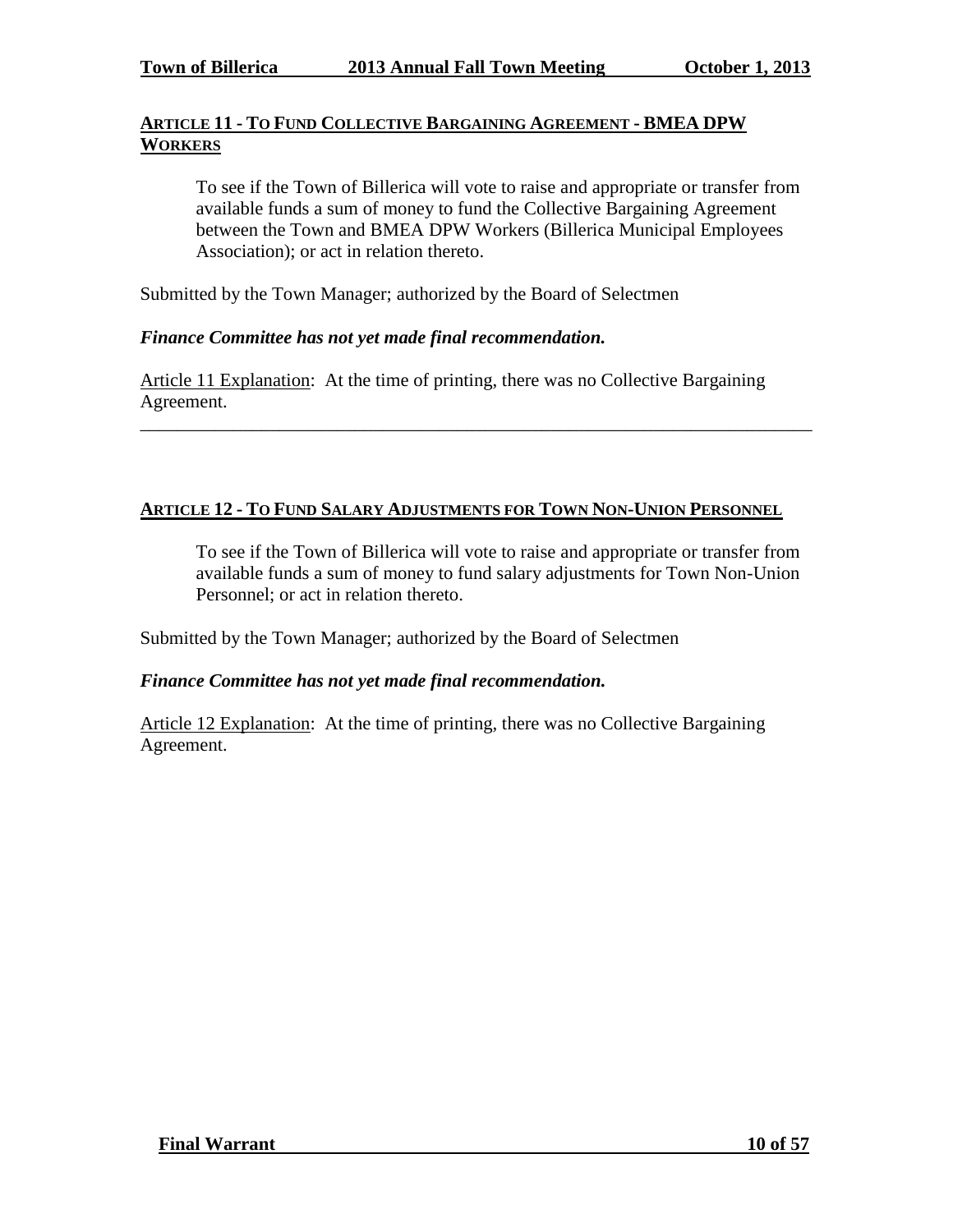# **ARTICLE 11 - TO FUND COLLECTIVE BARGAINING AGREEMENT - BMEA DPW WORKERS**

To see if the Town of Billerica will vote to raise and appropriate or transfer from available funds a sum of money to fund the Collective Bargaining Agreement between the Town and BMEA DPW Workers (Billerica Municipal Employees Association); or act in relation thereto.

Submitted by the Town Manager; authorized by the Board of Selectmen

# *Finance Committee has not yet made final recommendation.*

Article 11 Explanation: At the time of printing, there was no Collective Bargaining Agreement.

\_\_\_\_\_\_\_\_\_\_\_\_\_\_\_\_\_\_\_\_\_\_\_\_\_\_\_\_\_\_\_\_\_\_\_\_\_\_\_\_\_\_\_\_\_\_\_\_\_\_\_\_\_\_\_\_\_\_\_\_\_\_\_\_\_\_\_\_\_\_\_\_

# **ARTICLE 12 - TO FUND SALARY ADJUSTMENTS FOR TOWN NON-UNION PERSONNEL**

To see if the Town of Billerica will vote to raise and appropriate or transfer from available funds a sum of money to fund salary adjustments for Town Non-Union Personnel; or act in relation thereto.

Submitted by the Town Manager; authorized by the Board of Selectmen

# *Finance Committee has not yet made final recommendation.*

Article 12 Explanation: At the time of printing, there was no Collective Bargaining Agreement.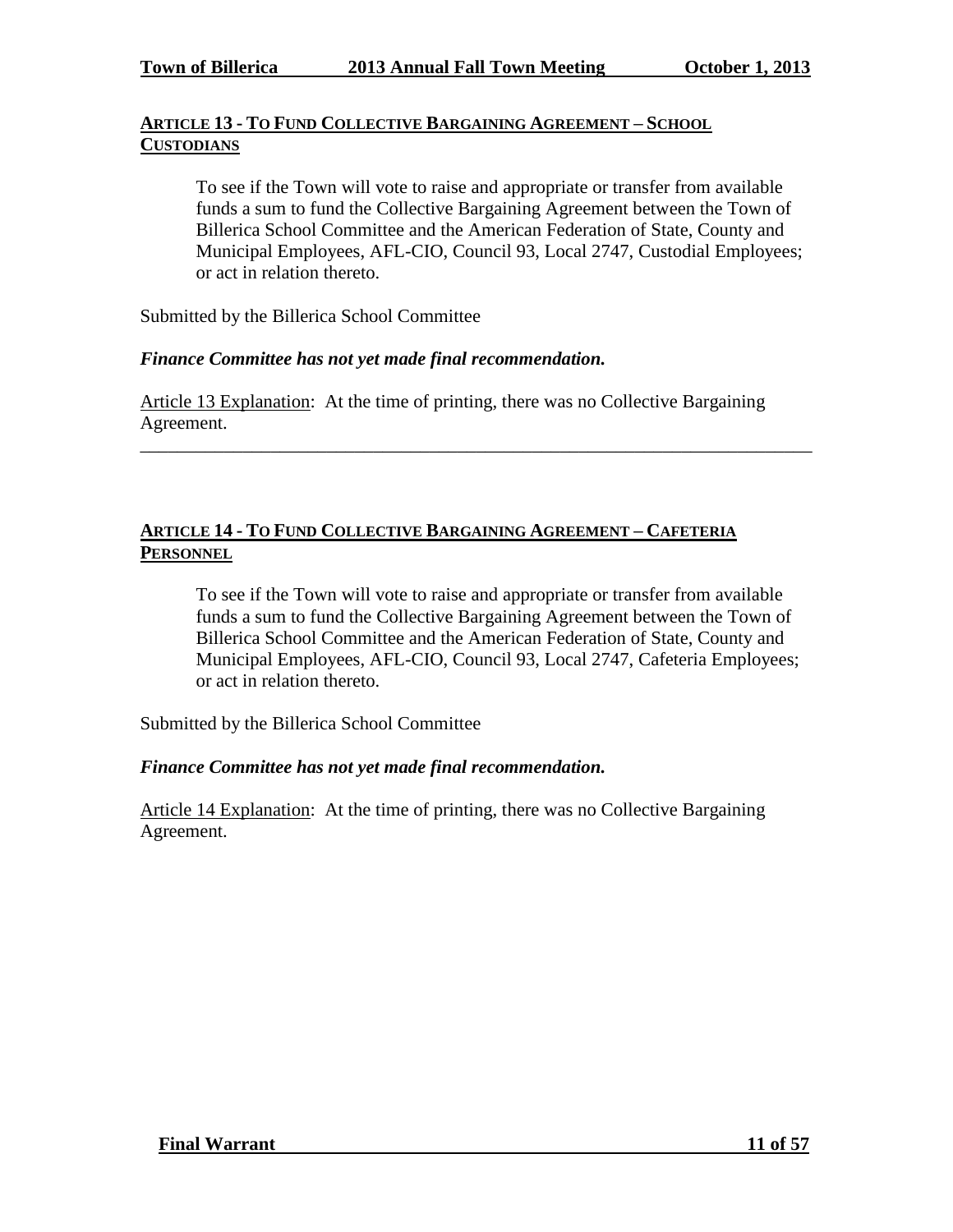# **ARTICLE 13 - TO FUND COLLECTIVE BARGAINING AGREEMENT – SCHOOL CUSTODIANS**

To see if the Town will vote to raise and appropriate or transfer from available funds a sum to fund the Collective Bargaining Agreement between the Town of Billerica School Committee and the American Federation of State, County and Municipal Employees, AFL-CIO, Council 93, Local 2747, Custodial Employees; or act in relation thereto.

Submitted by the Billerica School Committee

## *Finance Committee has not yet made final recommendation.*

Article 13 Explanation: At the time of printing, there was no Collective Bargaining Agreement.

\_\_\_\_\_\_\_\_\_\_\_\_\_\_\_\_\_\_\_\_\_\_\_\_\_\_\_\_\_\_\_\_\_\_\_\_\_\_\_\_\_\_\_\_\_\_\_\_\_\_\_\_\_\_\_\_\_\_\_\_\_\_\_\_\_\_\_\_\_\_\_\_

# **ARTICLE 14 - TO FUND COLLECTIVE BARGAINING AGREEMENT – CAFETERIA PERSONNEL**

To see if the Town will vote to raise and appropriate or transfer from available funds a sum to fund the Collective Bargaining Agreement between the Town of Billerica School Committee and the American Federation of State, County and Municipal Employees, AFL-CIO, Council 93, Local 2747, Cafeteria Employees; or act in relation thereto.

Submitted by the Billerica School Committee

#### *Finance Committee has not yet made final recommendation.*

Article 14 Explanation: At the time of printing, there was no Collective Bargaining Agreement.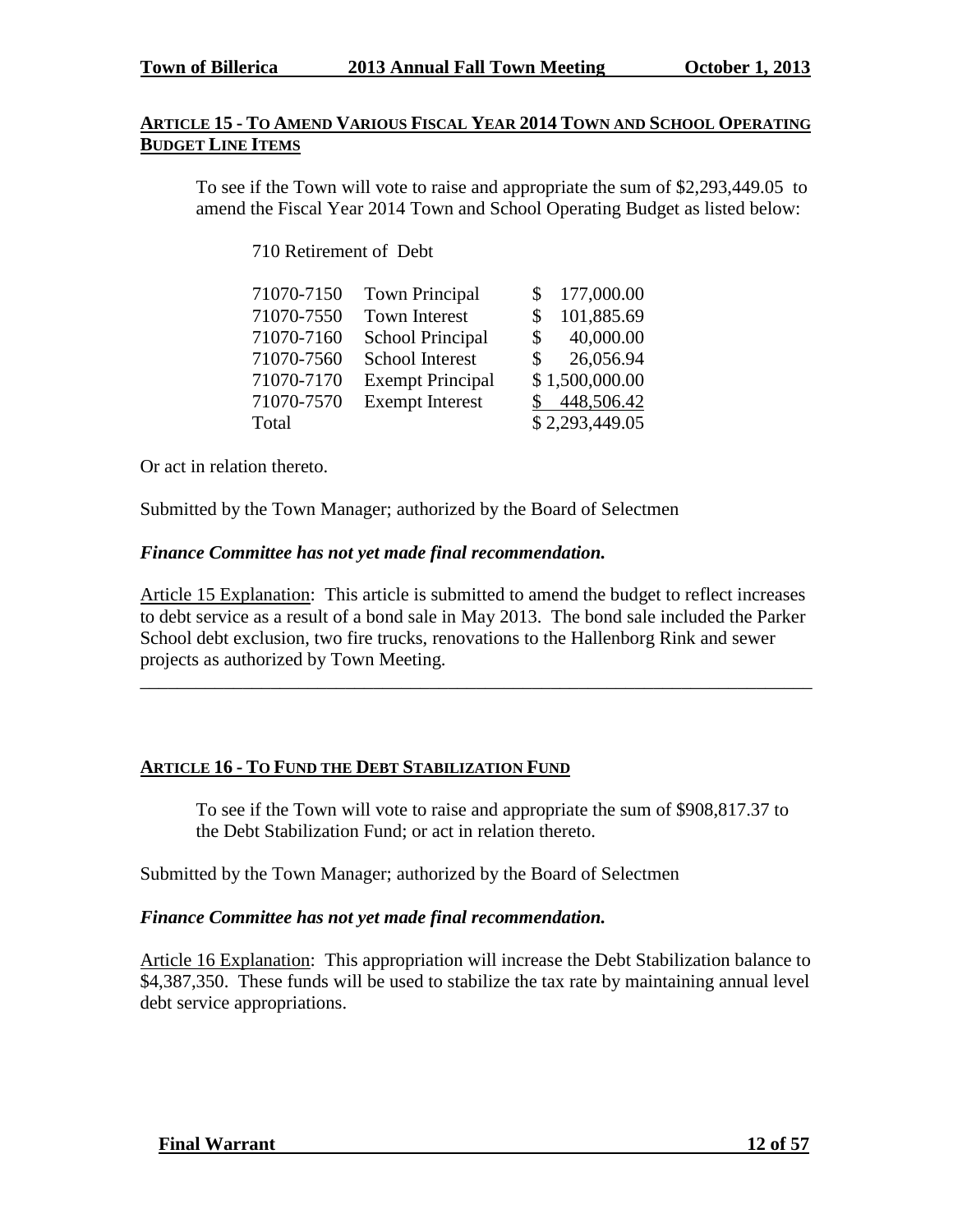### **ARTICLE 15 - TO AMEND VARIOUS FISCAL YEAR 2014 TOWN AND SCHOOL OPERATING BUDGET LINE ITEMS**

To see if the Town will vote to raise and appropriate the sum of \$2,293,449.05 to amend the Fiscal Year 2014 Town and School Operating Budget as listed below:

710 Retirement of Debt

| 71070-7150 | <b>Town Principal</b>   | 177,000.00      |
|------------|-------------------------|-----------------|
| 71070-7550 | <b>Town Interest</b>    | 101,885.69<br>S |
| 71070-7160 | <b>School Principal</b> | 40,000.00<br>S. |
| 71070-7560 | School Interest         | 26,056.94<br>S. |
| 71070-7170 | <b>Exempt Principal</b> | \$1,500,000.00  |
| 71070-7570 | <b>Exempt Interest</b>  | 448,506.42      |
| Total      |                         | \$2,293,449.05  |

Or act in relation thereto.

Submitted by the Town Manager; authorized by the Board of Selectmen

## *Finance Committee has not yet made final recommendation.*

Article 15 Explanation: This article is submitted to amend the budget to reflect increases to debt service as a result of a bond sale in May 2013. The bond sale included the Parker School debt exclusion, two fire trucks, renovations to the Hallenborg Rink and sewer projects as authorized by Town Meeting.

\_\_\_\_\_\_\_\_\_\_\_\_\_\_\_\_\_\_\_\_\_\_\_\_\_\_\_\_\_\_\_\_\_\_\_\_\_\_\_\_\_\_\_\_\_\_\_\_\_\_\_\_\_\_\_\_\_\_\_\_\_\_\_\_\_\_\_\_\_\_\_\_

# **ARTICLE 16 - TO FUND THE DEBT STABILIZATION FUND**

To see if the Town will vote to raise and appropriate the sum of \$908,817.37 to the Debt Stabilization Fund; or act in relation thereto.

Submitted by the Town Manager; authorized by the Board of Selectmen

# *Finance Committee has not yet made final recommendation.*

Article 16 Explanation: This appropriation will increase the Debt Stabilization balance to \$4,387,350. These funds will be used to stabilize the tax rate by maintaining annual level debt service appropriations.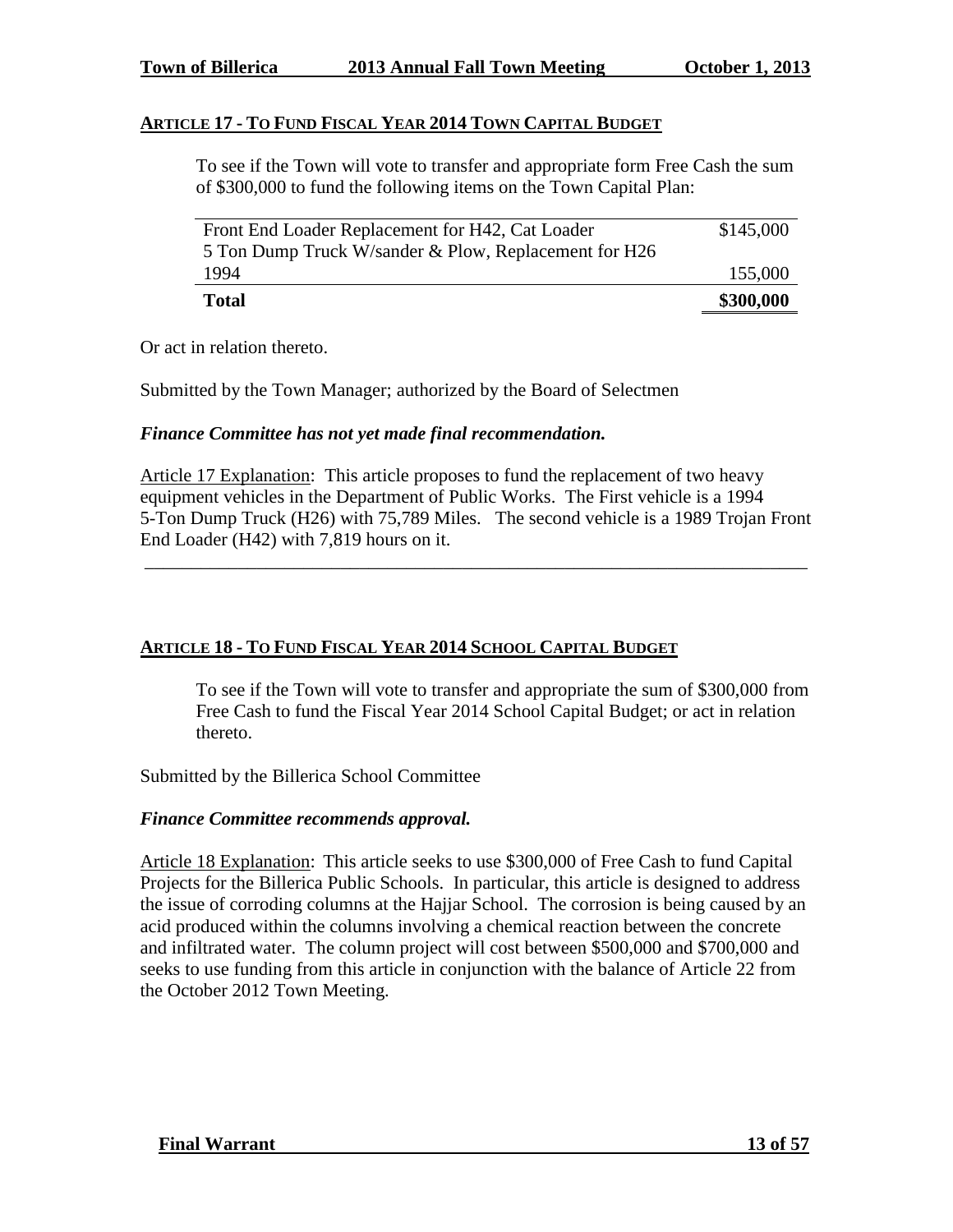## **ARTICLE 17 - TO FUND FISCAL YEAR 2014 TOWN CAPITAL BUDGET**

To see if the Town will vote to transfer and appropriate form Free Cash the sum of \$300,000 to fund the following items on the Town Capital Plan:

| Front End Loader Replacement for H42, Cat Loader      | \$145,000 |
|-------------------------------------------------------|-----------|
| 5 Ton Dump Truck W/sander & Plow, Replacement for H26 |           |
| 1994                                                  | 155,000   |
| Total                                                 | \$300,000 |

Or act in relation thereto.

Submitted by the Town Manager; authorized by the Board of Selectmen

## *Finance Committee has not yet made final recommendation.*

Article 17 Explanation: This article proposes to fund the replacement of two heavy equipment vehicles in the Department of Public Works. The First vehicle is a 1994 5-Ton Dump Truck (H26) with 75,789 Miles. The second vehicle is a 1989 Trojan Front End Loader (H42) with 7,819 hours on it.

\_\_\_\_\_\_\_\_\_\_\_\_\_\_\_\_\_\_\_\_\_\_\_\_\_\_\_\_\_\_\_\_\_\_\_\_\_\_\_\_\_\_\_\_\_\_\_\_\_\_\_\_\_\_\_\_\_\_\_\_\_\_\_\_\_\_\_\_\_\_\_

# **ARTICLE 18 - TO FUND FISCAL YEAR 2014 SCHOOL CAPITAL BUDGET**

To see if the Town will vote to transfer and appropriate the sum of \$300,000 from Free Cash to fund the Fiscal Year 2014 School Capital Budget; or act in relation thereto.

Submitted by the Billerica School Committee

# *Finance Committee recommends approval.*

Article 18 Explanation: This article seeks to use \$300,000 of Free Cash to fund Capital Projects for the Billerica Public Schools. In particular, this article is designed to address the issue of corroding columns at the Hajjar School. The corrosion is being caused by an acid produced within the columns involving a chemical reaction between the concrete and infiltrated water. The column project will cost between \$500,000 and \$700,000 and seeks to use funding from this article in conjunction with the balance of Article 22 from the October 2012 Town Meeting.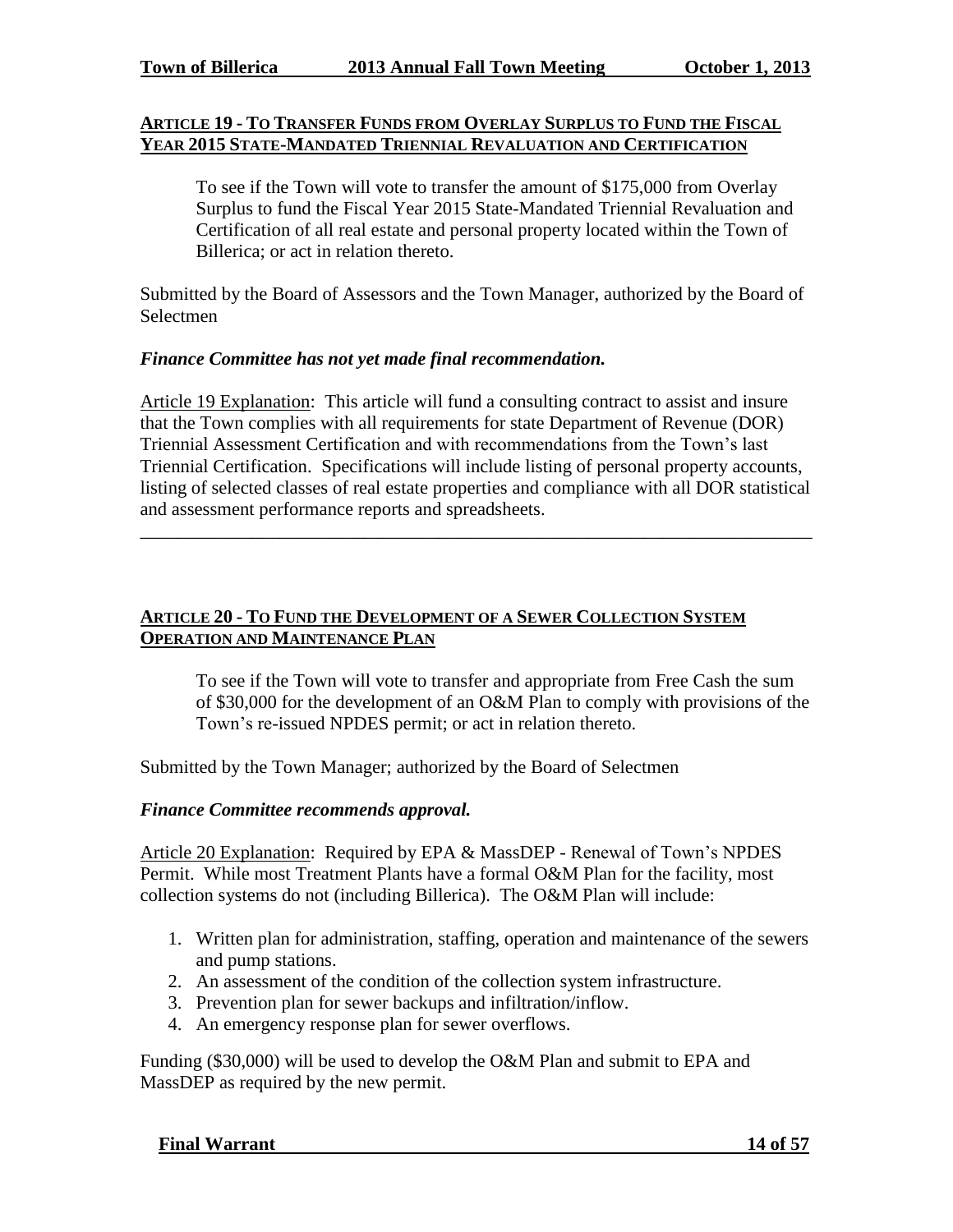#### **ARTICLE 19 - TO TRANSFER FUNDS FROM OVERLAY SURPLUS TO FUND THE FISCAL YEAR 2015 STATE-MANDATED TRIENNIAL REVALUATION AND CERTIFICATION**

To see if the Town will vote to transfer the amount of \$175,000 from Overlay Surplus to fund the Fiscal Year 2015 State-Mandated Triennial Revaluation and Certification of all real estate and personal property located within the Town of Billerica; or act in relation thereto.

Submitted by the Board of Assessors and the Town Manager, authorized by the Board of Selectmen

#### *Finance Committee has not yet made final recommendation.*

Article 19 Explanation: This article will fund a consulting contract to assist and insure that the Town complies with all requirements for state Department of Revenue (DOR) Triennial Assessment Certification and with recommendations from the Town's last Triennial Certification. Specifications will include listing of personal property accounts, listing of selected classes of real estate properties and compliance with all DOR statistical and assessment performance reports and spreadsheets.

\_\_\_\_\_\_\_\_\_\_\_\_\_\_\_\_\_\_\_\_\_\_\_\_\_\_\_\_\_\_\_\_\_\_\_\_\_\_\_\_\_\_\_\_\_\_\_\_\_\_\_\_\_\_\_\_\_\_\_\_\_\_\_\_\_\_\_\_\_\_\_\_

## **ARTICLE 20 - TO FUND THE DEVELOPMENT OF A SEWER COLLECTION SYSTEM OPERATION AND MAINTENANCE PLAN**

To see if the Town will vote to transfer and appropriate from Free Cash the sum of \$30,000 for the development of an O&M Plan to comply with provisions of the Town's re-issued NPDES permit; or act in relation thereto.

Submitted by the Town Manager; authorized by the Board of Selectmen

#### *Finance Committee recommends approval.*

Article 20 Explanation: Required by EPA & MassDEP - Renewal of Town's NPDES Permit. While most Treatment Plants have a formal O&M Plan for the facility, most collection systems do not (including Billerica). The O&M Plan will include:

- 1. Written plan for administration, staffing, operation and maintenance of the sewers and pump stations.
- 2. An assessment of the condition of the collection system infrastructure.
- 3. Prevention plan for sewer backups and infiltration/inflow.
- 4. An emergency response plan for sewer overflows.

Funding (\$30,000) will be used to develop the O&M Plan and submit to EPA and MassDEP as required by the new permit.

#### **Final Warrant 14 of 57**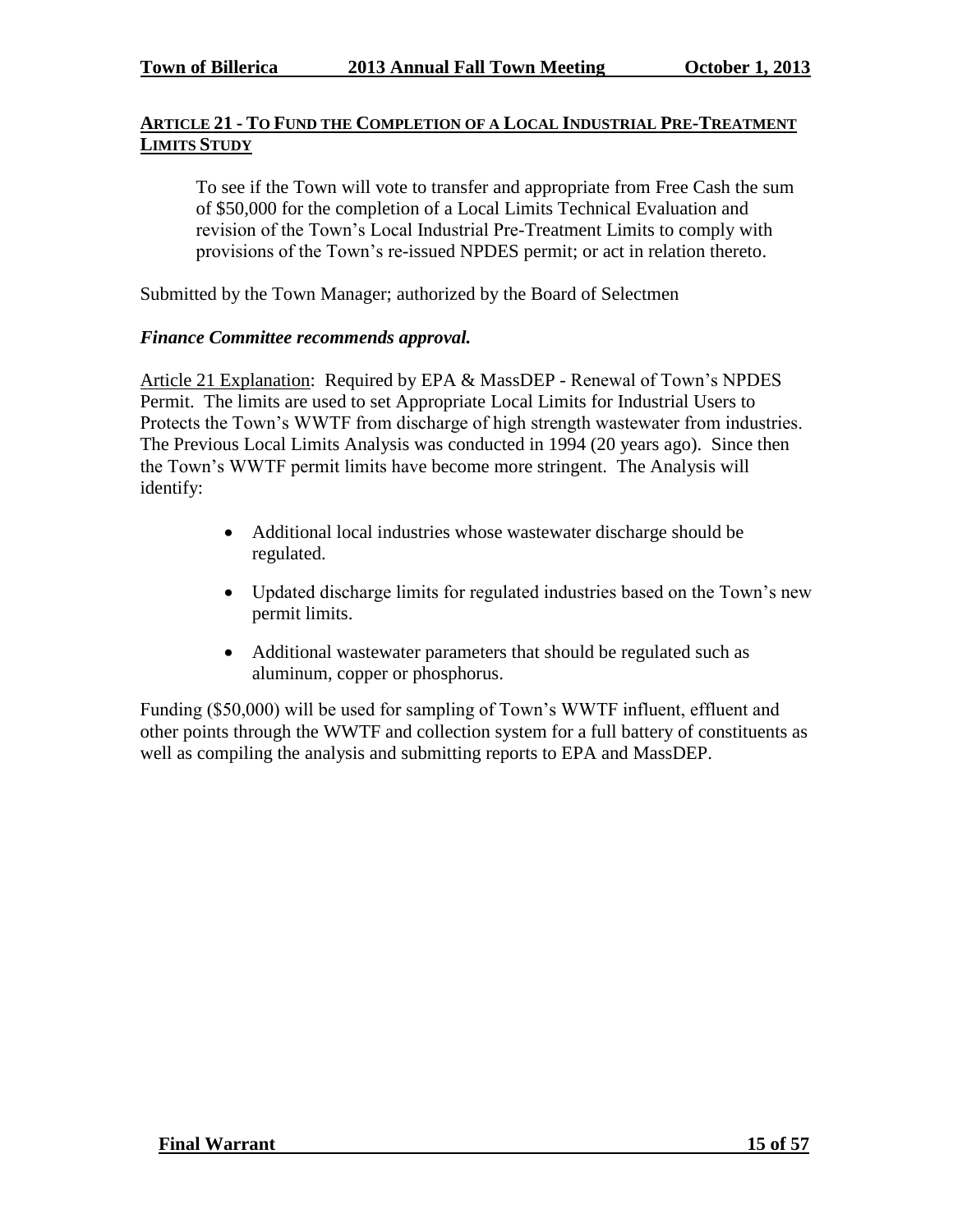# **ARTICLE 21 - TO FUND THE COMPLETION OF A LOCAL INDUSTRIAL PRE-TREATMENT LIMITS STUDY**

To see if the Town will vote to transfer and appropriate from Free Cash the sum of \$50,000 for the completion of a Local Limits Technical Evaluation and revision of the Town's Local Industrial Pre-Treatment Limits to comply with provisions of the Town's re-issued NPDES permit; or act in relation thereto.

Submitted by the Town Manager; authorized by the Board of Selectmen

# *Finance Committee recommends approval.*

Article 21 Explanation: Required by EPA & MassDEP - Renewal of Town's NPDES Permit. The limits are used to set Appropriate Local Limits for Industrial Users to Protects the Town's WWTF from discharge of high strength wastewater from industries. The Previous Local Limits Analysis was conducted in 1994 (20 years ago). Since then the Town's WWTF permit limits have become more stringent. The Analysis will identify:

- Additional local industries whose wastewater discharge should be regulated.
- Updated discharge limits for regulated industries based on the Town's new permit limits.
- Additional wastewater parameters that should be regulated such as aluminum, copper or phosphorus.

Funding (\$50,000) will be used for sampling of Town's WWTF influent, effluent and other points through the WWTF and collection system for a full battery of constituents as well as compiling the analysis and submitting reports to EPA and MassDEP.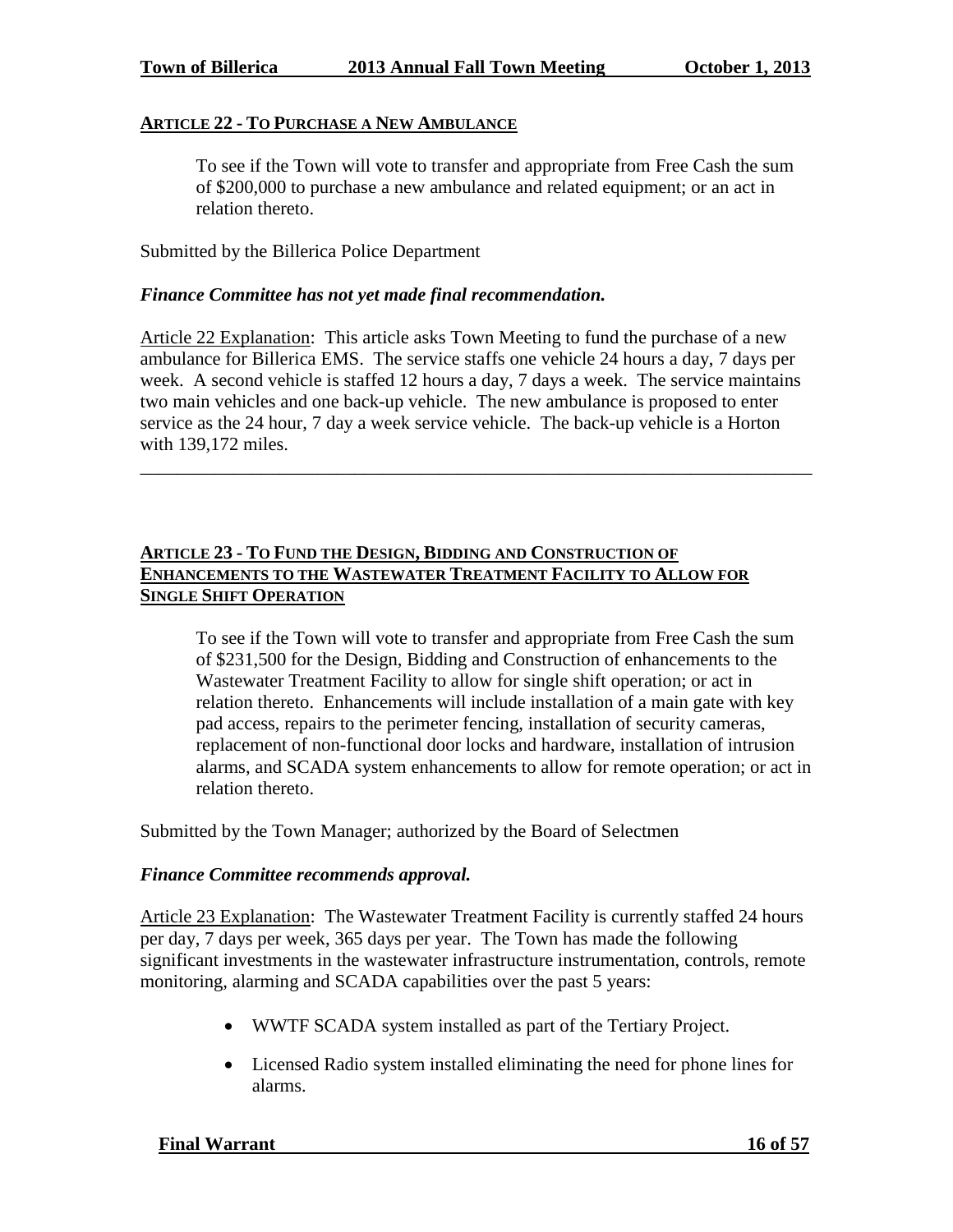#### **ARTICLE 22 - TO PURCHASE A NEW AMBULANCE**

To see if the Town will vote to transfer and appropriate from Free Cash the sum of \$200,000 to purchase a new ambulance and related equipment; or an act in relation thereto.

Submitted by the Billerica Police Department

#### *Finance Committee has not yet made final recommendation.*

Article 22 Explanation: This article asks Town Meeting to fund the purchase of a new ambulance for Billerica EMS. The service staffs one vehicle 24 hours a day, 7 days per week. A second vehicle is staffed 12 hours a day, 7 days a week. The service maintains two main vehicles and one back-up vehicle. The new ambulance is proposed to enter service as the 24 hour, 7 day a week service vehicle. The back-up vehicle is a Horton with 139,172 miles.

\_\_\_\_\_\_\_\_\_\_\_\_\_\_\_\_\_\_\_\_\_\_\_\_\_\_\_\_\_\_\_\_\_\_\_\_\_\_\_\_\_\_\_\_\_\_\_\_\_\_\_\_\_\_\_\_\_\_\_\_\_\_\_\_\_\_\_\_\_\_\_\_

# **ARTICLE 23 - TO FUND THE DESIGN, BIDDING AND CONSTRUCTION OF ENHANCEMENTS TO THE WASTEWATER TREATMENT FACILITY TO ALLOW FOR SINGLE SHIFT OPERATION**

To see if the Town will vote to transfer and appropriate from Free Cash the sum of \$231,500 for the Design, Bidding and Construction of enhancements to the Wastewater Treatment Facility to allow for single shift operation; or act in relation thereto. Enhancements will include installation of a main gate with key pad access, repairs to the perimeter fencing, installation of security cameras, replacement of non-functional door locks and hardware, installation of intrusion alarms, and SCADA system enhancements to allow for remote operation; or act in relation thereto.

Submitted by the Town Manager; authorized by the Board of Selectmen

#### *Finance Committee recommends approval.*

Article 23 Explanation: The Wastewater Treatment Facility is currently staffed 24 hours per day, 7 days per week, 365 days per year. The Town has made the following significant investments in the wastewater infrastructure instrumentation, controls, remote monitoring, alarming and SCADA capabilities over the past 5 years:

- WWTF SCADA system installed as part of the Tertiary Project.
- Licensed Radio system installed eliminating the need for phone lines for alarms.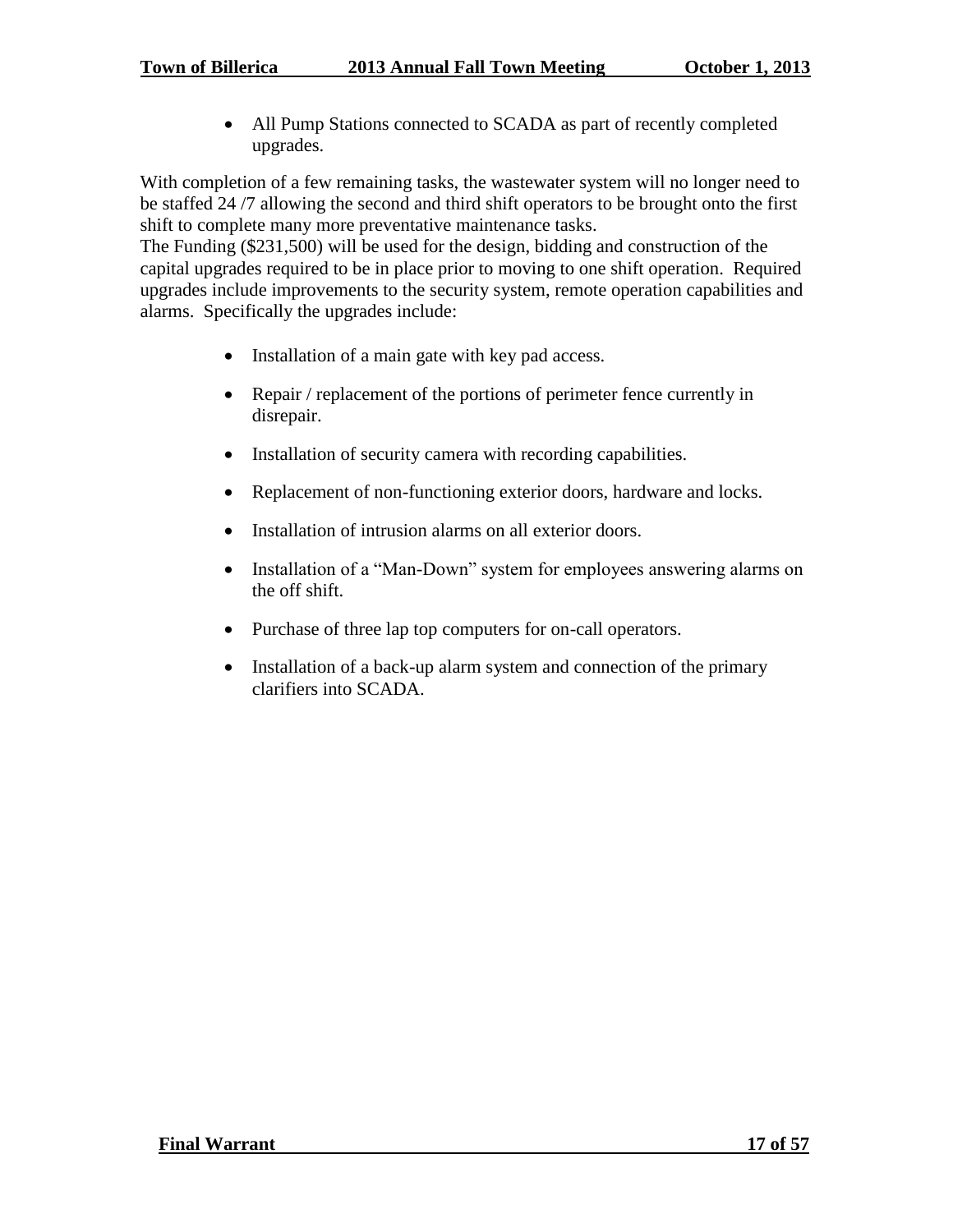All Pump Stations connected to SCADA as part of recently completed upgrades.

With completion of a few remaining tasks, the wastewater system will no longer need to be staffed 24 /7 allowing the second and third shift operators to be brought onto the first shift to complete many more preventative maintenance tasks.

The Funding (\$231,500) will be used for the design, bidding and construction of the capital upgrades required to be in place prior to moving to one shift operation. Required upgrades include improvements to the security system, remote operation capabilities and alarms. Specifically the upgrades include:

- Installation of a main gate with key pad access.
- Repair / replacement of the portions of perimeter fence currently in disrepair.
- Installation of security camera with recording capabilities.
- Replacement of non-functioning exterior doors, hardware and locks.
- Installation of intrusion alarms on all exterior doors.
- Installation of a "Man-Down" system for employees answering alarms on the off shift.
- Purchase of three lap top computers for on-call operators.
- Installation of a back-up alarm system and connection of the primary clarifiers into SCADA.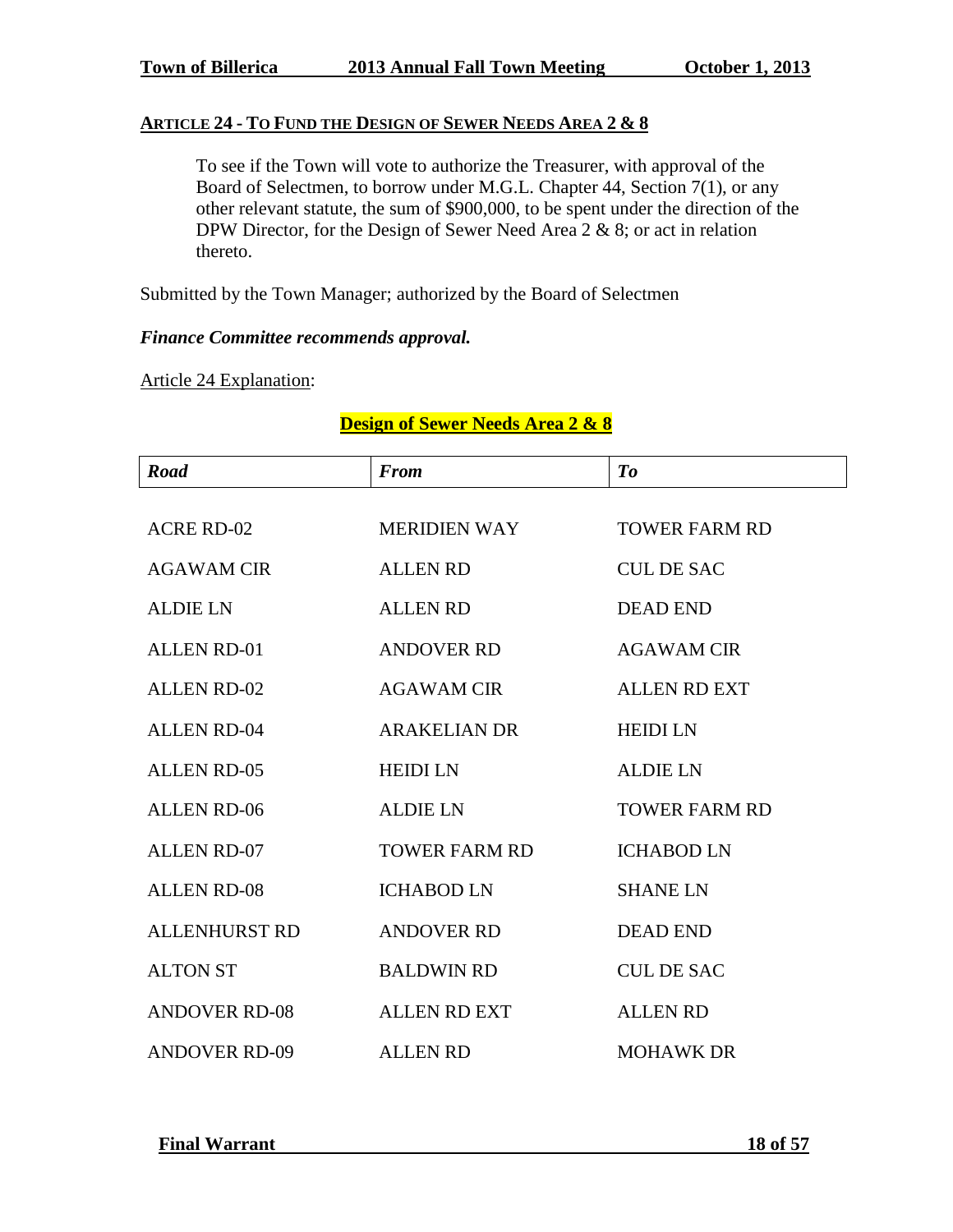## **ARTICLE 24 - TO FUND THE DESIGN OF SEWER NEEDS AREA 2 & 8**

To see if the Town will vote to authorize the Treasurer, with approval of the Board of Selectmen, to borrow under M.G.L. Chapter 44, Section 7(1), or any other relevant statute, the sum of \$900,000, to be spent under the direction of the DPW Director, for the Design of Sewer Need Area 2 & 8; or act in relation thereto.

Submitted by the Town Manager; authorized by the Board of Selectmen

## *Finance Committee recommends approval.*

Article 24 Explanation:

| <b>Road</b>          | <b>From</b>          | To                   |  |  |  |  |  |  |  |  |
|----------------------|----------------------|----------------------|--|--|--|--|--|--|--|--|
|                      |                      |                      |  |  |  |  |  |  |  |  |
| <b>ACRE RD-02</b>    | <b>MERIDIEN WAY</b>  | <b>TOWER FARM RD</b> |  |  |  |  |  |  |  |  |
| <b>AGAWAM CIR</b>    | <b>ALLEN RD</b>      | <b>CUL DE SAC</b>    |  |  |  |  |  |  |  |  |
| <b>ALDIE LN</b>      | <b>ALLEN RD</b>      | <b>DEAD END</b>      |  |  |  |  |  |  |  |  |
| <b>ALLEN RD-01</b>   | <b>ANDOVER RD</b>    | <b>AGAWAM CIR</b>    |  |  |  |  |  |  |  |  |
| <b>ALLEN RD-02</b>   | <b>AGAWAM CIR</b>    | <b>ALLEN RD EXT</b>  |  |  |  |  |  |  |  |  |
| <b>ALLEN RD-04</b>   | <b>ARAKELIAN DR</b>  | <b>HEIDI LN</b>      |  |  |  |  |  |  |  |  |
| <b>ALLEN RD-05</b>   | <b>HEIDI LN</b>      | <b>ALDIE LN</b>      |  |  |  |  |  |  |  |  |
| <b>ALLEN RD-06</b>   | <b>ALDIE LN</b>      | <b>TOWER FARM RD</b> |  |  |  |  |  |  |  |  |
| <b>ALLEN RD-07</b>   | <b>TOWER FARM RD</b> | <b>ICHABOD LN</b>    |  |  |  |  |  |  |  |  |
| <b>ALLEN RD-08</b>   | <b>ICHABOD LN</b>    | <b>SHANE LN</b>      |  |  |  |  |  |  |  |  |
| <b>ALLENHURST RD</b> | <b>ANDOVER RD</b>    | <b>DEAD END</b>      |  |  |  |  |  |  |  |  |
| <b>ALTON ST</b>      | <b>BALDWIN RD</b>    | <b>CUL DE SAC</b>    |  |  |  |  |  |  |  |  |
| <b>ANDOVER RD-08</b> | <b>ALLEN RD EXT</b>  | <b>ALLEN RD</b>      |  |  |  |  |  |  |  |  |
| <b>ANDOVER RD-09</b> | <b>ALLEN RD</b>      | <b>MOHAWK DR</b>     |  |  |  |  |  |  |  |  |

# **Design of Sewer Needs Area 2 & 8**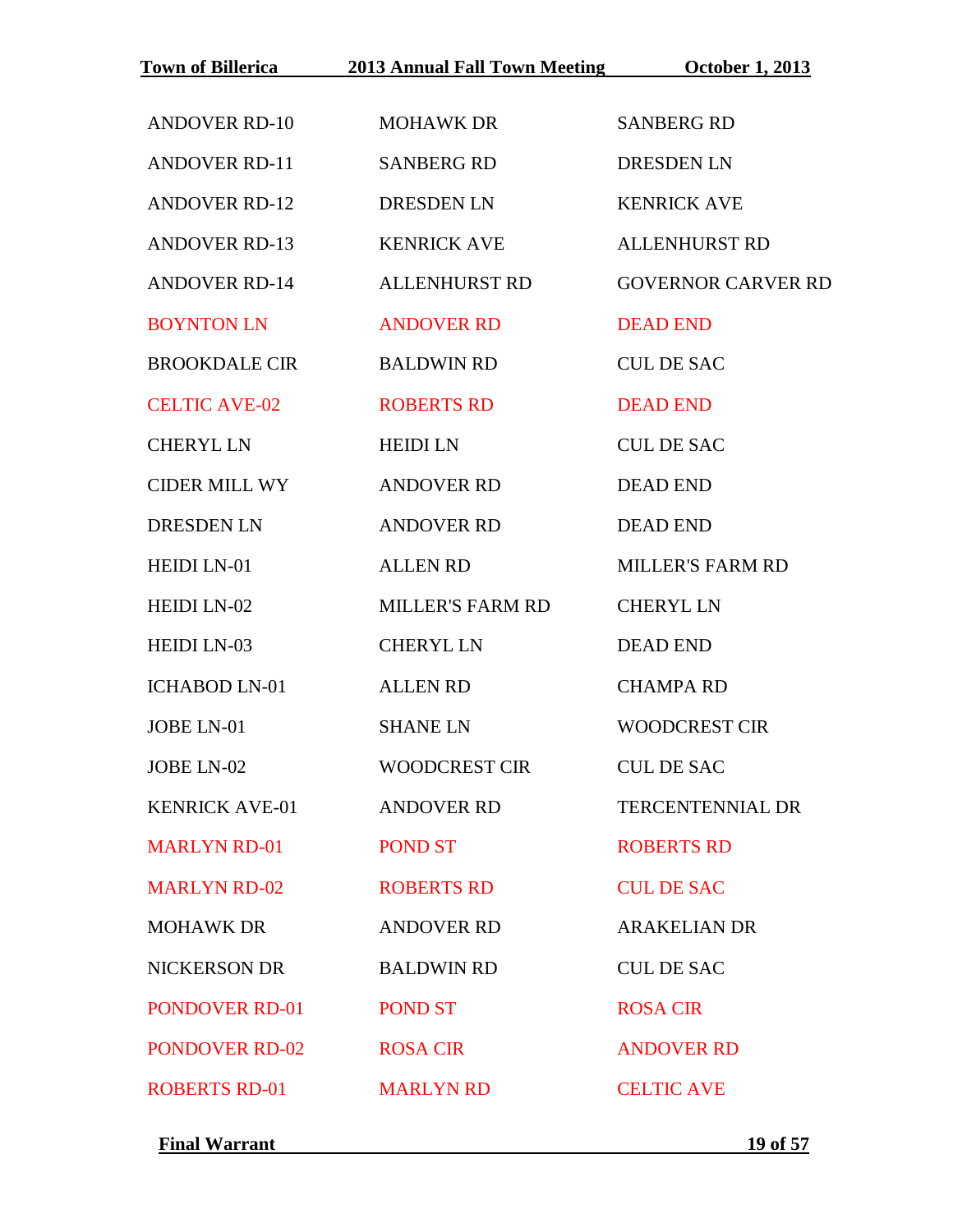|                       | Town of Billerica 2013 Annual Fall Town Meeting | <b>October 1, 2013</b>    |  |  |  |  |  |  |  |  |
|-----------------------|-------------------------------------------------|---------------------------|--|--|--|--|--|--|--|--|
| <b>ANDOVER RD-10</b>  | <b>MOHAWK DR</b>                                | <b>SANBERG RD</b>         |  |  |  |  |  |  |  |  |
| <b>ANDOVER RD-11</b>  | <b>SANBERG RD</b>                               | <b>DRESDEN LN</b>         |  |  |  |  |  |  |  |  |
| <b>ANDOVER RD-12</b>  | <b>DRESDEN LN</b>                               | <b>KENRICK AVE</b>        |  |  |  |  |  |  |  |  |
| <b>ANDOVER RD-13</b>  | <b>KENRICK AVE</b>                              | <b>ALLENHURST RD</b>      |  |  |  |  |  |  |  |  |
| <b>ANDOVER RD-14</b>  | <b>ALLENHURST RD</b>                            | <b>GOVERNOR CARVER RD</b> |  |  |  |  |  |  |  |  |
| <b>BOYNTON LN</b>     | <b>ANDOVER RD</b>                               | <b>DEAD END</b>           |  |  |  |  |  |  |  |  |
| <b>BROOKDALE CIR</b>  | <b>BALDWIN RD</b>                               | <b>CUL DE SAC</b>         |  |  |  |  |  |  |  |  |
| <b>CELTIC AVE-02</b>  | <b>ROBERTS RD</b>                               | <b>DEAD END</b>           |  |  |  |  |  |  |  |  |
| <b>CHERYL LN</b>      | <b>HEIDI LN</b>                                 | <b>CUL DE SAC</b>         |  |  |  |  |  |  |  |  |
| <b>CIDER MILL WY</b>  | <b>ANDOVER RD</b>                               | <b>DEAD END</b>           |  |  |  |  |  |  |  |  |
| <b>DRESDEN LN</b>     | <b>ANDOVER RD</b>                               | <b>DEAD END</b>           |  |  |  |  |  |  |  |  |
| HEIDI LN-01           | <b>ALLEN RD</b>                                 | <b>MILLER'S FARM RD</b>   |  |  |  |  |  |  |  |  |
| HEIDI LN-02           | <b>MILLER'S FARM RD</b>                         | <b>CHERYL LN</b>          |  |  |  |  |  |  |  |  |
| <b>HEIDI LN-03</b>    | <b>CHERYL LN</b>                                | <b>DEAD END</b>           |  |  |  |  |  |  |  |  |
| <b>ICHABOD LN-01</b>  | <b>ALLEN RD</b>                                 | <b>CHAMPA RD</b>          |  |  |  |  |  |  |  |  |
| JOBE LN-01            | <b>SHANE LN</b>                                 | <b>WOODCREST CIR</b>      |  |  |  |  |  |  |  |  |
| JOBE LN-02            | <b>WOODCREST CIR</b>                            | <b>CUL DE SAC</b>         |  |  |  |  |  |  |  |  |
| <b>KENRICK AVE-01</b> | <b>ANDOVER RD</b>                               | <b>TERCENTENNIAL DR</b>   |  |  |  |  |  |  |  |  |
| <b>MARLYN RD-01</b>   | <b>POND ST</b>                                  | <b>ROBERTS RD</b>         |  |  |  |  |  |  |  |  |
| <b>MARLYN RD-02</b>   | <b>ROBERTS RD</b>                               | <b>CUL DE SAC</b>         |  |  |  |  |  |  |  |  |
| <b>MOHAWK DR</b>      | <b>ANDOVER RD</b>                               | <b>ARAKELIAN DR</b>       |  |  |  |  |  |  |  |  |
| NICKERSON DR          | <b>BALDWIN RD</b>                               | <b>CUL DE SAC</b>         |  |  |  |  |  |  |  |  |
| <b>PONDOVER RD-01</b> | <b>POND ST</b>                                  | <b>ROSA CIR</b>           |  |  |  |  |  |  |  |  |
| <b>PONDOVER RD-02</b> | <b>ROSA CIR</b>                                 | <b>ANDOVER RD</b>         |  |  |  |  |  |  |  |  |
| <b>ROBERTS RD-01</b>  | <b>MARLYN RD</b>                                | <b>CELTIC AVE</b>         |  |  |  |  |  |  |  |  |

**Final Warrant** 19 of 57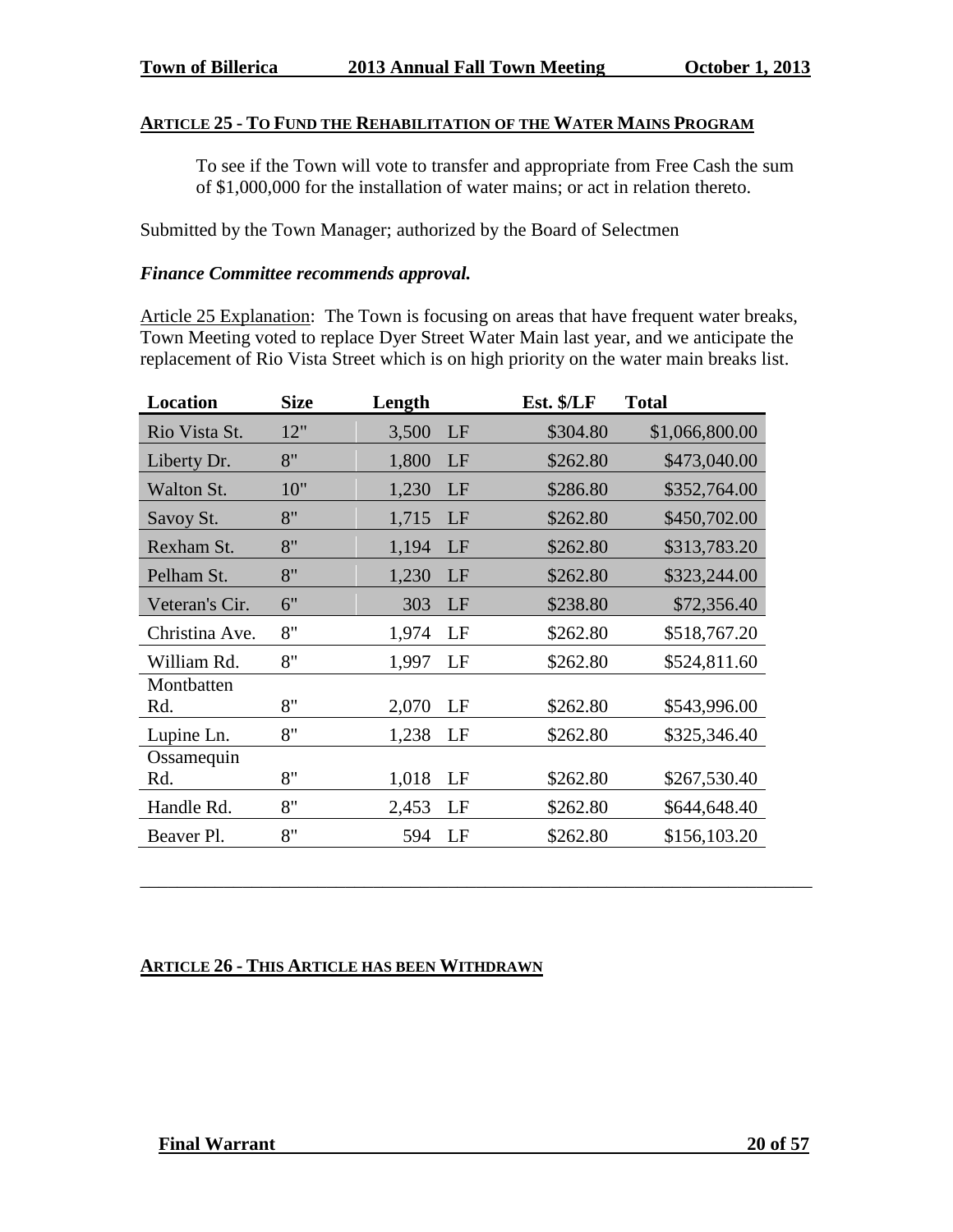## **ARTICLE 25 - TO FUND THE REHABILITATION OF THE WATER MAINS PROGRAM**

To see if the Town will vote to transfer and appropriate from Free Cash the sum of \$1,000,000 for the installation of water mains; or act in relation thereto.

Submitted by the Town Manager; authorized by the Board of Selectmen

#### *Finance Committee recommends approval.*

Article 25 Explanation: The Town is focusing on areas that have frequent water breaks, Town Meeting voted to replace Dyer Street Water Main last year, and we anticipate the replacement of Rio Vista Street which is on high priority on the water main breaks list.

| Location       | <b>Size</b> | Length |    | Est. \$/LF | <b>Total</b>   |
|----------------|-------------|--------|----|------------|----------------|
| Rio Vista St.  | 12"         | 3,500  | LF | \$304.80   | \$1,066,800.00 |
| Liberty Dr.    | 8"          | 1,800  | LF | \$262.80   | \$473,040.00   |
| Walton St.     | 10"         | 1,230  | LF | \$286.80   | \$352,764.00   |
| Savoy St.      | 8"          | 1,715  | LF | \$262.80   | \$450,702.00   |
| Rexham St.     | 8"          | 1,194  | LF | \$262.80   | \$313,783.20   |
| Pelham St.     | 8"          | 1,230  | LF | \$262.80   | \$323,244.00   |
| Veteran's Cir. | 6"          | 303    | LF | \$238.80   | \$72,356.40    |
| Christina Ave. | 8"          | 1,974  | LF | \$262.80   | \$518,767.20   |
| William Rd.    | 8"          | 1,997  | LF | \$262.80   | \$524,811.60   |
| Montbatten     |             |        |    |            |                |
| Rd.            | 8"          | 2,070  | LF | \$262.80   | \$543,996.00   |
| Lupine Ln.     | 8"          | 1,238  | LF | \$262.80   | \$325,346.40   |
| Ossamequin     |             |        |    |            |                |
| Rd.            | 8"          | 1,018  | LF | \$262.80   | \$267,530.40   |
| Handle Rd.     | 8"          | 2,453  | LF | \$262.80   | \$644,648.40   |
| Beaver Pl.     | 8"          | 594    | LF | \$262.80   | \$156,103.20   |
|                |             |        |    |            |                |

\_\_\_\_\_\_\_\_\_\_\_\_\_\_\_\_\_\_\_\_\_\_\_\_\_\_\_\_\_\_\_\_\_\_\_\_\_\_\_\_\_\_\_\_\_\_\_\_\_\_\_\_\_\_\_\_\_\_\_\_\_\_\_\_\_\_\_\_\_\_\_\_

#### **ARTICLE 26 - THIS ARTICLE HAS BEEN WITHDRAWN**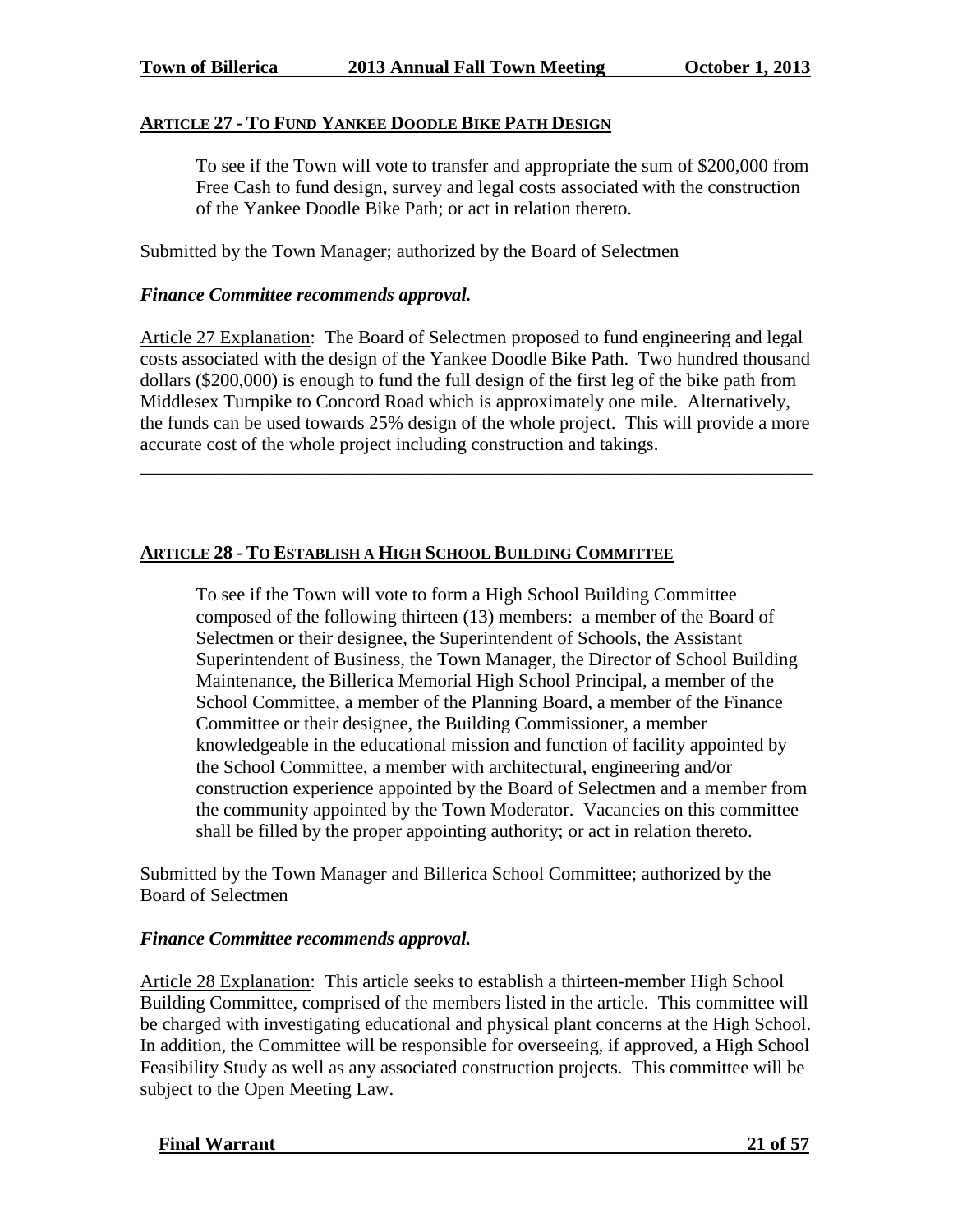# **ARTICLE 27 - TO FUND YANKEE DOODLE BIKE PATH DESIGN**

To see if the Town will vote to transfer and appropriate the sum of \$200,000 from Free Cash to fund design, survey and legal costs associated with the construction of the Yankee Doodle Bike Path; or act in relation thereto.

Submitted by the Town Manager; authorized by the Board of Selectmen

## *Finance Committee recommends approval.*

Article 27 Explanation: The Board of Selectmen proposed to fund engineering and legal costs associated with the design of the Yankee Doodle Bike Path. Two hundred thousand dollars (\$200,000) is enough to fund the full design of the first leg of the bike path from Middlesex Turnpike to Concord Road which is approximately one mile. Alternatively, the funds can be used towards 25% design of the whole project. This will provide a more accurate cost of the whole project including construction and takings.

\_\_\_\_\_\_\_\_\_\_\_\_\_\_\_\_\_\_\_\_\_\_\_\_\_\_\_\_\_\_\_\_\_\_\_\_\_\_\_\_\_\_\_\_\_\_\_\_\_\_\_\_\_\_\_\_\_\_\_\_\_\_\_\_\_\_\_\_\_\_\_\_

## **ARTICLE 28 - TO ESTABLISH A HIGH SCHOOL BUILDING COMMITTEE**

To see if the Town will vote to form a High School Building Committee composed of the following thirteen (13) members: a member of the Board of Selectmen or their designee, the Superintendent of Schools, the Assistant Superintendent of Business, the Town Manager, the Director of School Building Maintenance, the Billerica Memorial High School Principal, a member of the School Committee, a member of the Planning Board, a member of the Finance Committee or their designee, the Building Commissioner, a member knowledgeable in the educational mission and function of facility appointed by the School Committee, a member with architectural, engineering and/or construction experience appointed by the Board of Selectmen and a member from the community appointed by the Town Moderator. Vacancies on this committee shall be filled by the proper appointing authority; or act in relation thereto.

Submitted by the Town Manager and Billerica School Committee; authorized by the Board of Selectmen

# *Finance Committee recommends approval.*

Article 28 Explanation: This article seeks to establish a thirteen-member High School Building Committee, comprised of the members listed in the article. This committee will be charged with investigating educational and physical plant concerns at the High School. In addition, the Committee will be responsible for overseeing, if approved, a High School Feasibility Study as well as any associated construction projects. This committee will be subject to the Open Meeting Law.

#### **Final Warrant 21 of 57**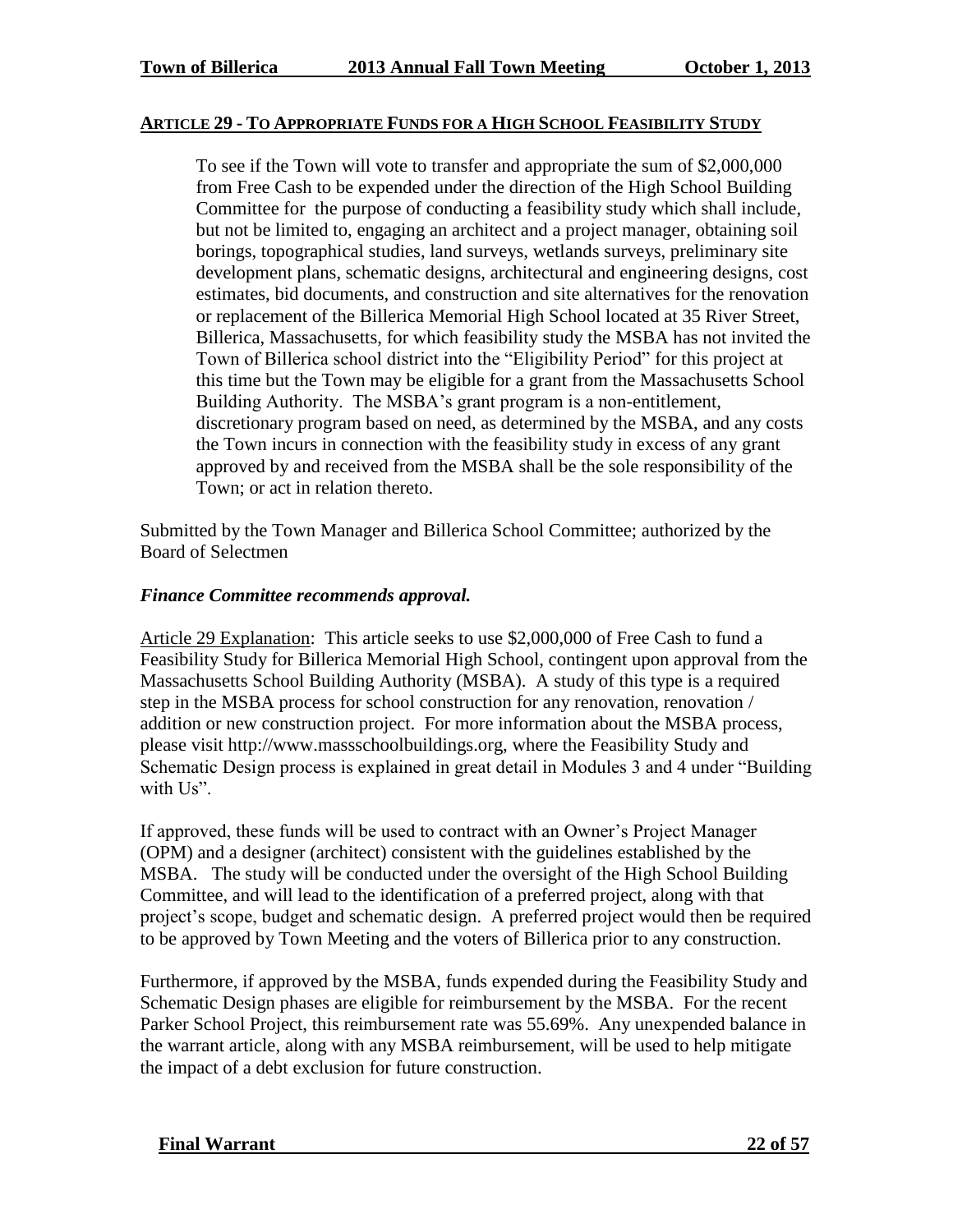#### **ARTICLE 29 - TO APPROPRIATE FUNDS FOR A HIGH SCHOOL FEASIBILITY STUDY**

To see if the Town will vote to transfer and appropriate the sum of \$2,000,000 from Free Cash to be expended under the direction of the High School Building Committee for the purpose of conducting a feasibility study which shall include, but not be limited to, engaging an architect and a project manager, obtaining soil borings, topographical studies, land surveys, wetlands surveys, preliminary site development plans, schematic designs, architectural and engineering designs, cost estimates, bid documents, and construction and site alternatives for the renovation or replacement of the Billerica Memorial High School located at 35 River Street, Billerica, Massachusetts, for which feasibility study the MSBA has not invited the Town of Billerica school district into the "Eligibility Period" for this project at this time but the Town may be eligible for a grant from the Massachusetts School Building Authority. The MSBA's grant program is a non-entitlement, discretionary program based on need, as determined by the MSBA, and any costs the Town incurs in connection with the feasibility study in excess of any grant approved by and received from the MSBA shall be the sole responsibility of the Town; or act in relation thereto.

Submitted by the Town Manager and Billerica School Committee; authorized by the Board of Selectmen

#### *Finance Committee recommends approval.*

Article 29 Explanation: This article seeks to use \$2,000,000 of Free Cash to fund a Feasibility Study for Billerica Memorial High School, contingent upon approval from the Massachusetts School Building Authority (MSBA). A study of this type is a required step in the MSBA process for school construction for any renovation, renovation / addition or new construction project. For more information about the MSBA process, please visit http://www.massschoolbuildings.org, where the Feasibility Study and Schematic Design process is explained in great detail in Modules 3 and 4 under "Building with Us".

If approved, these funds will be used to contract with an Owner's Project Manager (OPM) and a designer (architect) consistent with the guidelines established by the MSBA. The study will be conducted under the oversight of the High School Building Committee, and will lead to the identification of a preferred project, along with that project's scope, budget and schematic design. A preferred project would then be required to be approved by Town Meeting and the voters of Billerica prior to any construction.

Furthermore, if approved by the MSBA, funds expended during the Feasibility Study and Schematic Design phases are eligible for reimbursement by the MSBA. For the recent Parker School Project, this reimbursement rate was 55.69%. Any unexpended balance in the warrant article, along with any MSBA reimbursement, will be used to help mitigate the impact of a debt exclusion for future construction.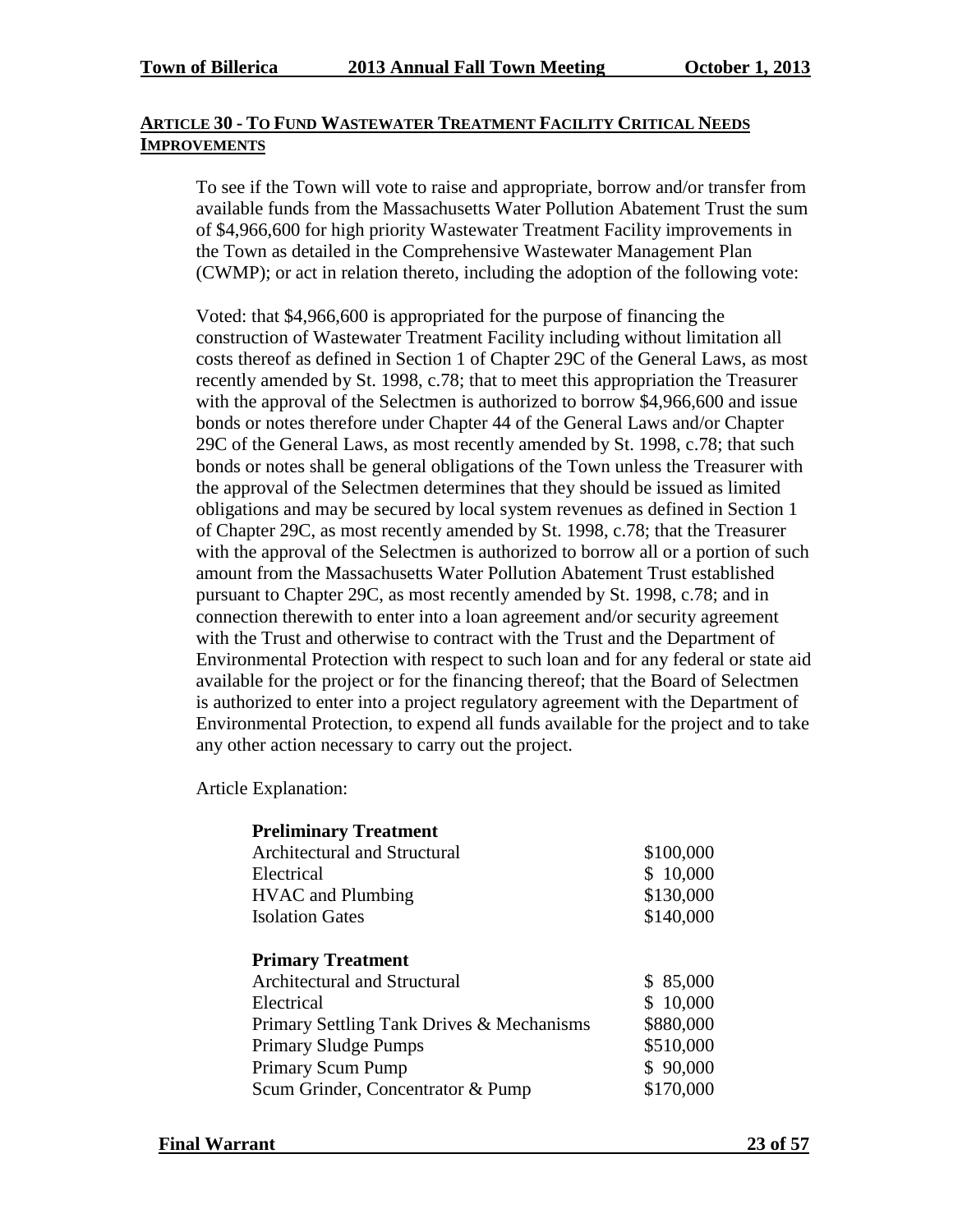## **ARTICLE 30 - TO FUND WASTEWATER TREATMENT FACILITY CRITICAL NEEDS IMPROVEMENTS**

To see if the Town will vote to raise and appropriate, borrow and/or transfer from available funds from the Massachusetts Water Pollution Abatement Trust the sum of \$4,966,600 for high priority Wastewater Treatment Facility improvements in the Town as detailed in the Comprehensive Wastewater Management Plan (CWMP); or act in relation thereto, including the adoption of the following vote:

Voted: that \$4,966,600 is appropriated for the purpose of financing the construction of Wastewater Treatment Facility including without limitation all costs thereof as defined in Section 1 of Chapter 29C of the General Laws, as most recently amended by St. 1998, c.78; that to meet this appropriation the Treasurer with the approval of the Selectmen is authorized to borrow \$4,966,600 and issue bonds or notes therefore under Chapter 44 of the General Laws and/or Chapter 29C of the General Laws, as most recently amended by St. 1998, c.78; that such bonds or notes shall be general obligations of the Town unless the Treasurer with the approval of the Selectmen determines that they should be issued as limited obligations and may be secured by local system revenues as defined in Section 1 of Chapter 29C, as most recently amended by St. 1998, c.78; that the Treasurer with the approval of the Selectmen is authorized to borrow all or a portion of such amount from the Massachusetts Water Pollution Abatement Trust established pursuant to Chapter 29C, as most recently amended by St. 1998, c.78; and in connection therewith to enter into a loan agreement and/or security agreement with the Trust and otherwise to contract with the Trust and the Department of Environmental Protection with respect to such loan and for any federal or state aid available for the project or for the financing thereof; that the Board of Selectmen is authorized to enter into a project regulatory agreement with the Department of Environmental Protection, to expend all funds available for the project and to take any other action necessary to carry out the project.

Article Explanation:

| <b>Preliminary Treatment</b>              |           |
|-------------------------------------------|-----------|
| Architectural and Structural              | \$100,000 |
| Electrical                                | \$10,000  |
| <b>HVAC</b> and Plumbing                  | \$130,000 |
| <b>Isolation Gates</b>                    | \$140,000 |
|                                           |           |
| <b>Primary Treatment</b>                  |           |
| <b>Architectural and Structural</b>       | \$85,000  |
| Electrical                                | \$10,000  |
| Primary Settling Tank Drives & Mechanisms | \$880,000 |
| <b>Primary Sludge Pumps</b>               | \$510,000 |
| Primary Scum Pump                         | \$90,000  |
| Scum Grinder, Concentrator & Pump         | \$170,000 |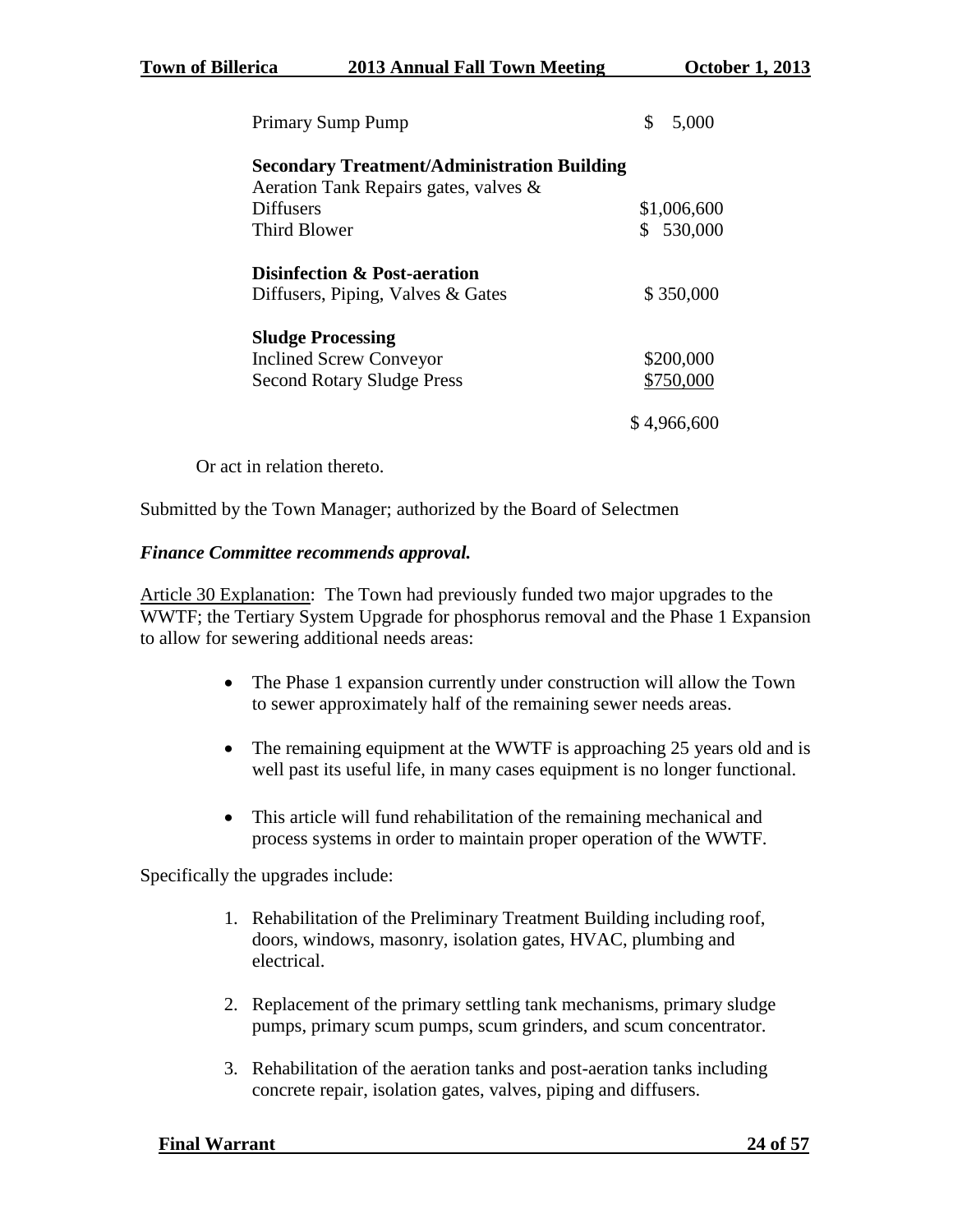**Town of Billerica 2013 Annual Fall Town Meeting October 1, 2013**

| <b>Primary Sump Pump</b>                           | 5,000       |
|----------------------------------------------------|-------------|
| <b>Secondary Treatment/Administration Building</b> |             |
| Aeration Tank Repairs gates, valves &              |             |
| <b>Diffusers</b>                                   | \$1,006,600 |
| <b>Third Blower</b>                                | 530,000     |
| <b>Disinfection &amp; Post-aeration</b>            |             |
| Diffusers, Piping, Valves & Gates                  | \$350,000   |
| <b>Sludge Processing</b>                           |             |
| <b>Inclined Screw Conveyor</b>                     | \$200,000   |
| <b>Second Rotary Sludge Press</b>                  | \$750,000   |
|                                                    | \$4,966,600 |

Or act in relation thereto.

Submitted by the Town Manager; authorized by the Board of Selectmen

#### *Finance Committee recommends approval.*

Article 30 Explanation: The Town had previously funded two major upgrades to the WWTF; the Tertiary System Upgrade for phosphorus removal and the Phase 1 Expansion to allow for sewering additional needs areas:

- The Phase 1 expansion currently under construction will allow the Town to sewer approximately half of the remaining sewer needs areas.
- The remaining equipment at the WWTF is approaching 25 years old and is well past its useful life, in many cases equipment is no longer functional.
- This article will fund rehabilitation of the remaining mechanical and process systems in order to maintain proper operation of the WWTF.

Specifically the upgrades include:

- 1. Rehabilitation of the Preliminary Treatment Building including roof, doors, windows, masonry, isolation gates, HVAC, plumbing and electrical.
- 2. Replacement of the primary settling tank mechanisms, primary sludge pumps, primary scum pumps, scum grinders, and scum concentrator.
- 3. Rehabilitation of the aeration tanks and post-aeration tanks including concrete repair, isolation gates, valves, piping and diffusers.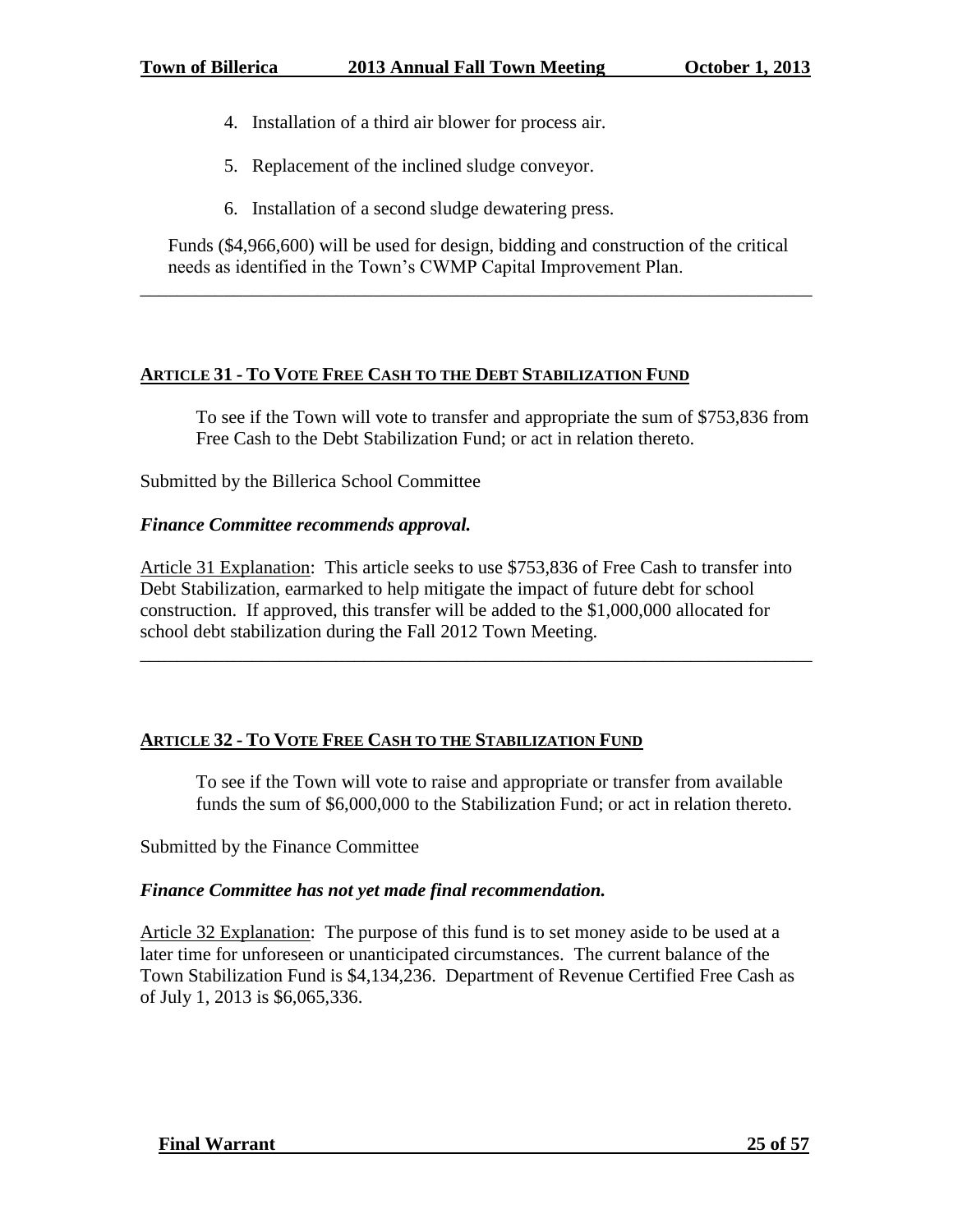- 4. Installation of a third air blower for process air.
- 5. Replacement of the inclined sludge conveyor.
- 6. Installation of a second sludge dewatering press.

Funds (\$4,966,600) will be used for design, bidding and construction of the critical needs as identified in the Town's CWMP Capital Improvement Plan.

\_\_\_\_\_\_\_\_\_\_\_\_\_\_\_\_\_\_\_\_\_\_\_\_\_\_\_\_\_\_\_\_\_\_\_\_\_\_\_\_\_\_\_\_\_\_\_\_\_\_\_\_\_\_\_\_\_\_\_\_\_\_\_\_\_\_\_\_\_\_\_\_

## **ARTICLE 31 - TO VOTE FREE CASH TO THE DEBT STABILIZATION FUND**

To see if the Town will vote to transfer and appropriate the sum of \$753,836 from Free Cash to the Debt Stabilization Fund; or act in relation thereto.

Submitted by the Billerica School Committee

#### *Finance Committee recommends approval.*

Article 31 Explanation: This article seeks to use \$753,836 of Free Cash to transfer into Debt Stabilization, earmarked to help mitigate the impact of future debt for school construction. If approved, this transfer will be added to the \$1,000,000 allocated for school debt stabilization during the Fall 2012 Town Meeting.

\_\_\_\_\_\_\_\_\_\_\_\_\_\_\_\_\_\_\_\_\_\_\_\_\_\_\_\_\_\_\_\_\_\_\_\_\_\_\_\_\_\_\_\_\_\_\_\_\_\_\_\_\_\_\_\_\_\_\_\_\_\_\_\_\_\_\_\_\_\_\_\_

# **ARTICLE 32 - TO VOTE FREE CASH TO THE STABILIZATION FUND**

To see if the Town will vote to raise and appropriate or transfer from available funds the sum of \$6,000,000 to the Stabilization Fund; or act in relation thereto.

Submitted by the Finance Committee

#### *Finance Committee has not yet made final recommendation.*

Article 32 Explanation: The purpose of this fund is to set money aside to be used at a later time for unforeseen or unanticipated circumstances. The current balance of the Town Stabilization Fund is \$4,134,236. Department of Revenue Certified Free Cash as of July 1, 2013 is \$6,065,336.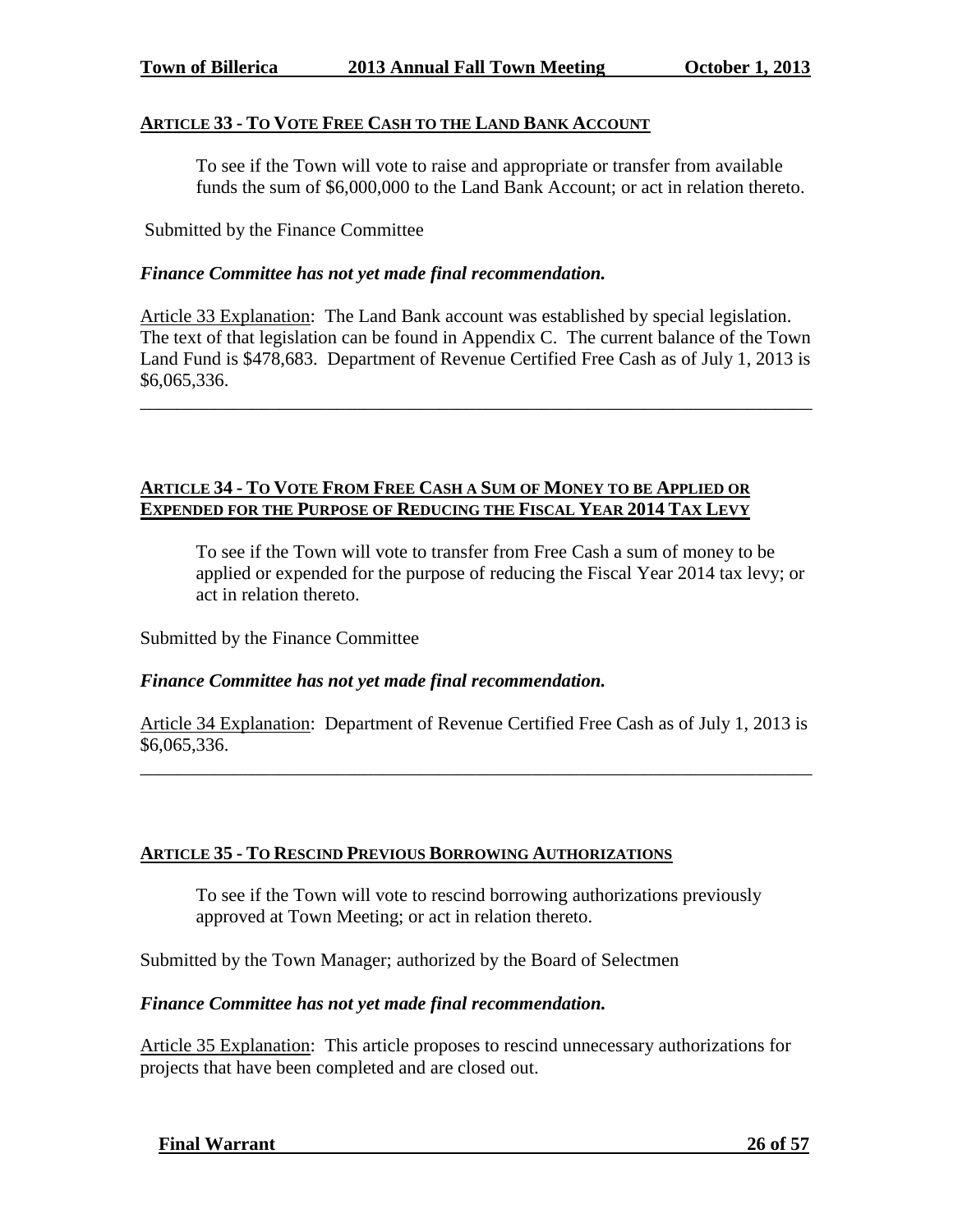#### **ARTICLE 33 - TO VOTE FREE CASH TO THE LAND BANK ACCOUNT**

To see if the Town will vote to raise and appropriate or transfer from available funds the sum of \$6,000,000 to the Land Bank Account; or act in relation thereto.

Submitted by the Finance Committee

#### *Finance Committee has not yet made final recommendation.*

Article 33 Explanation: The Land Bank account was established by special legislation. The text of that legislation can be found in Appendix C. The current balance of the Town Land Fund is \$478,683. Department of Revenue Certified Free Cash as of July 1, 2013 is \$6,065,336.

\_\_\_\_\_\_\_\_\_\_\_\_\_\_\_\_\_\_\_\_\_\_\_\_\_\_\_\_\_\_\_\_\_\_\_\_\_\_\_\_\_\_\_\_\_\_\_\_\_\_\_\_\_\_\_\_\_\_\_\_\_\_\_\_\_\_\_\_\_\_\_\_

## **ARTICLE 34 - TO VOTE FROM FREE CASH A SUM OF MONEY TO BE APPLIED OR EXPENDED FOR THE PURPOSE OF REDUCING THE FISCAL YEAR 2014 TAX LEVY**

To see if the Town will vote to transfer from Free Cash a sum of money to be applied or expended for the purpose of reducing the Fiscal Year 2014 tax levy; or act in relation thereto.

Submitted by the Finance Committee

#### *Finance Committee has not yet made final recommendation.*

Article 34 Explanation: Department of Revenue Certified Free Cash as of July 1, 2013 is \$6,065,336.

\_\_\_\_\_\_\_\_\_\_\_\_\_\_\_\_\_\_\_\_\_\_\_\_\_\_\_\_\_\_\_\_\_\_\_\_\_\_\_\_\_\_\_\_\_\_\_\_\_\_\_\_\_\_\_\_\_\_\_\_\_\_\_\_\_\_\_\_\_\_\_\_

#### **ARTICLE 35 - TO RESCIND PREVIOUS BORROWING AUTHORIZATIONS**

To see if the Town will vote to rescind borrowing authorizations previously approved at Town Meeting; or act in relation thereto.

Submitted by the Town Manager; authorized by the Board of Selectmen

#### *Finance Committee has not yet made final recommendation.*

Article 35 Explanation: This article proposes to rescind unnecessary authorizations for projects that have been completed and are closed out.

 **Final Warrant 26 of 57**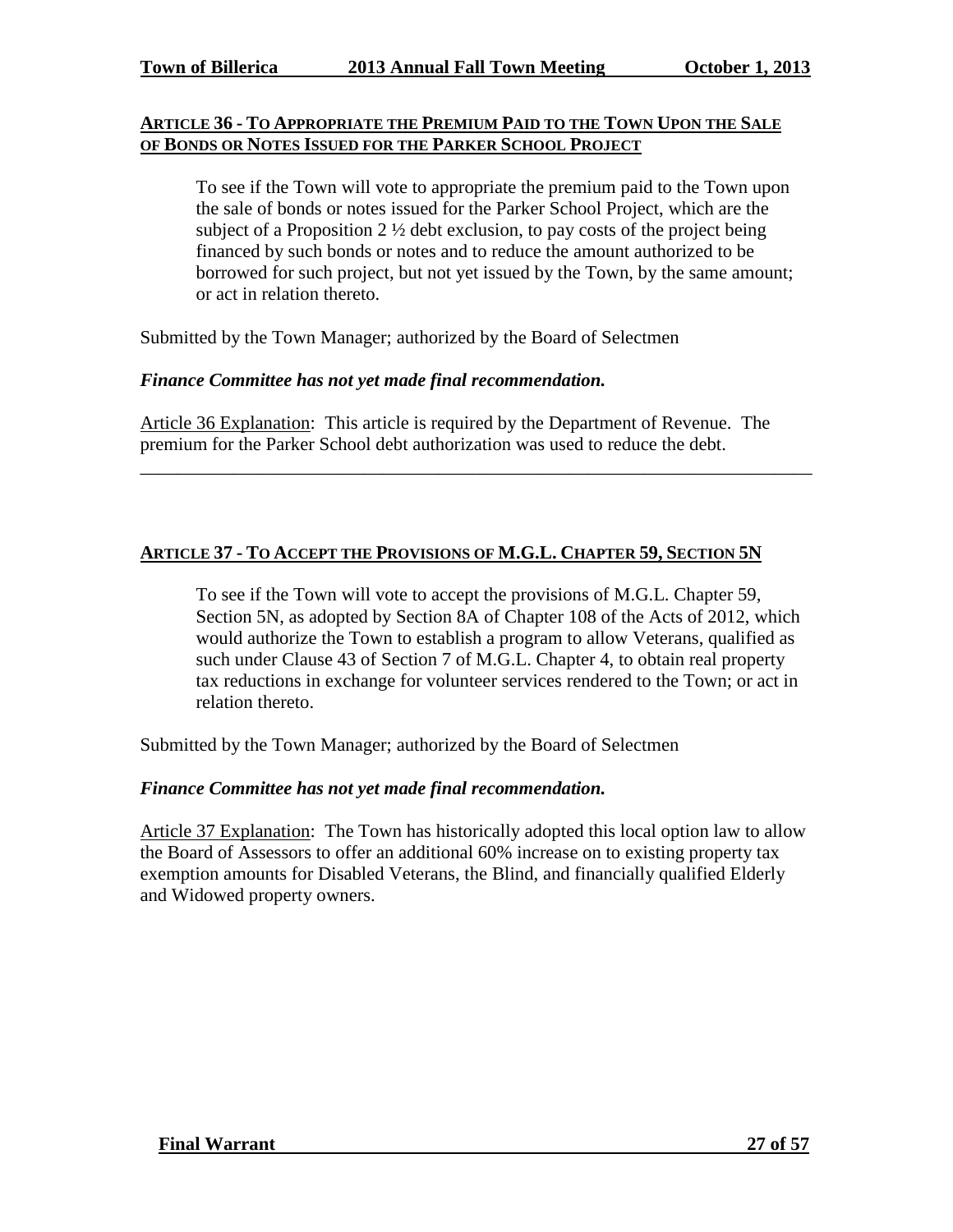### **ARTICLE 36 - TO APPROPRIATE THE PREMIUM PAID TO THE TOWN UPON THE SALE OF BONDS OR NOTES ISSUED FOR THE PARKER SCHOOL PROJECT**

To see if the Town will vote to appropriate the premium paid to the Town upon the sale of bonds or notes issued for the Parker School Project, which are the subject of a Proposition  $2 \frac{1}{2}$  debt exclusion, to pay costs of the project being financed by such bonds or notes and to reduce the amount authorized to be borrowed for such project, but not yet issued by the Town, by the same amount; or act in relation thereto.

Submitted by the Town Manager; authorized by the Board of Selectmen

#### *Finance Committee has not yet made final recommendation.*

Article 36 Explanation: This article is required by the Department of Revenue. The premium for the Parker School debt authorization was used to reduce the debt.

\_\_\_\_\_\_\_\_\_\_\_\_\_\_\_\_\_\_\_\_\_\_\_\_\_\_\_\_\_\_\_\_\_\_\_\_\_\_\_\_\_\_\_\_\_\_\_\_\_\_\_\_\_\_\_\_\_\_\_\_\_\_\_\_\_\_\_\_\_\_\_\_

#### **ARTICLE 37 - TO ACCEPT THE PROVISIONS OF M.G.L. CHAPTER 59, SECTION 5N**

To see if the Town will vote to accept the provisions of M.G.L. Chapter 59, Section 5N, as adopted by Section 8A of Chapter 108 of the Acts of 2012, which would authorize the Town to establish a program to allow Veterans, qualified as such under Clause 43 of Section 7 of M.G.L. Chapter 4, to obtain real property tax reductions in exchange for volunteer services rendered to the Town; or act in relation thereto.

Submitted by the Town Manager; authorized by the Board of Selectmen

#### *Finance Committee has not yet made final recommendation.*

Article 37 Explanation: The Town has historically adopted this local option law to allow the Board of Assessors to offer an additional 60% increase on to existing property tax exemption amounts for Disabled Veterans, the Blind, and financially qualified Elderly and Widowed property owners.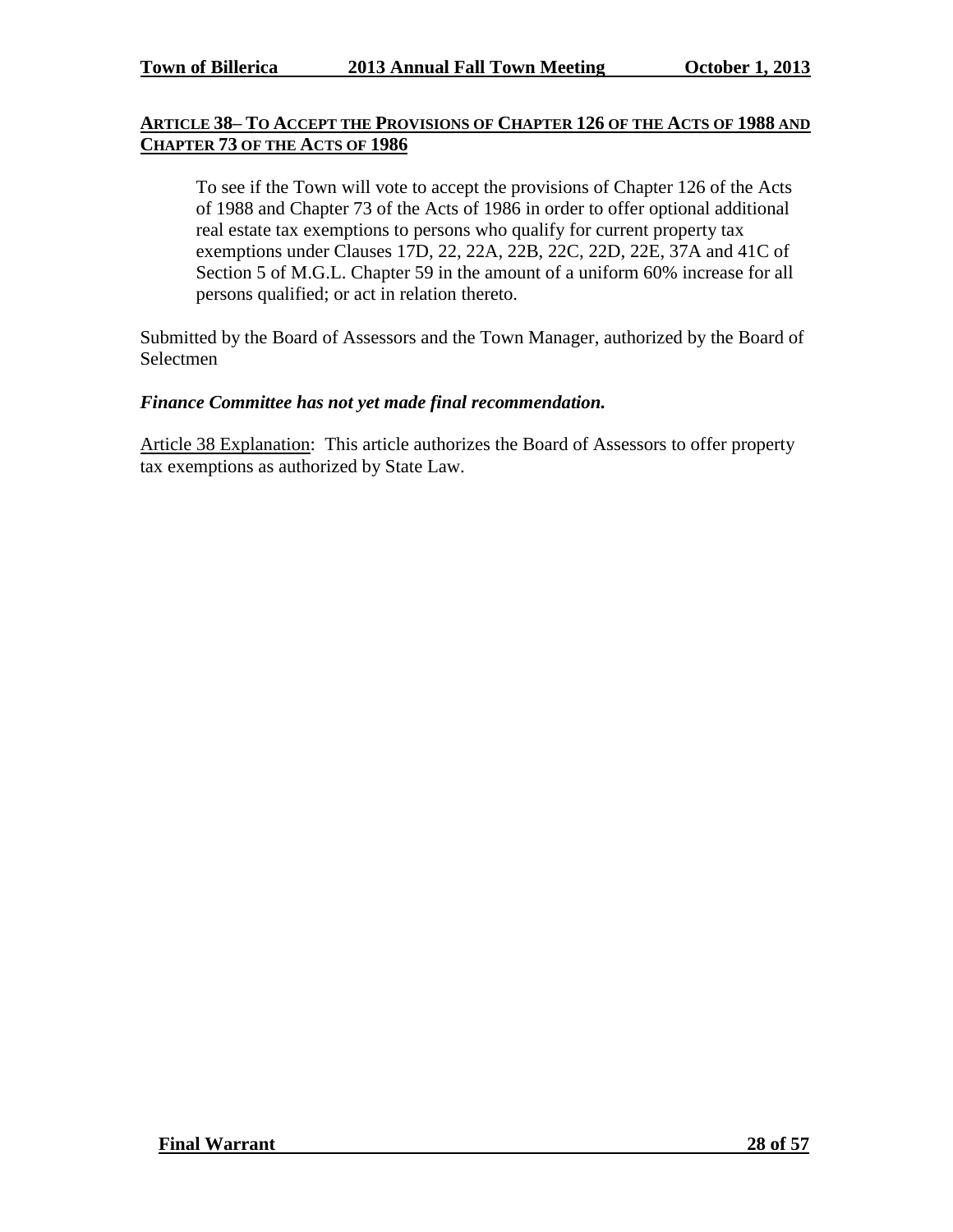## **ARTICLE 38– TO ACCEPT THE PROVISIONS OF CHAPTER 126 OF THE ACTS OF 1988 AND CHAPTER 73 OF THE ACTS OF 1986**

To see if the Town will vote to accept the provisions of Chapter 126 of the Acts of 1988 and Chapter 73 of the Acts of 1986 in order to offer optional additional real estate tax exemptions to persons who qualify for current property tax exemptions under Clauses 17D, 22, 22A, 22B, 22C, 22D, 22E, 37A and 41C of Section 5 of M.G.L. Chapter 59 in the amount of a uniform 60% increase for all persons qualified; or act in relation thereto.

Submitted by the Board of Assessors and the Town Manager, authorized by the Board of Selectmen

#### *Finance Committee has not yet made final recommendation.*

Article 38 Explanation: This article authorizes the Board of Assessors to offer property tax exemptions as authorized by State Law.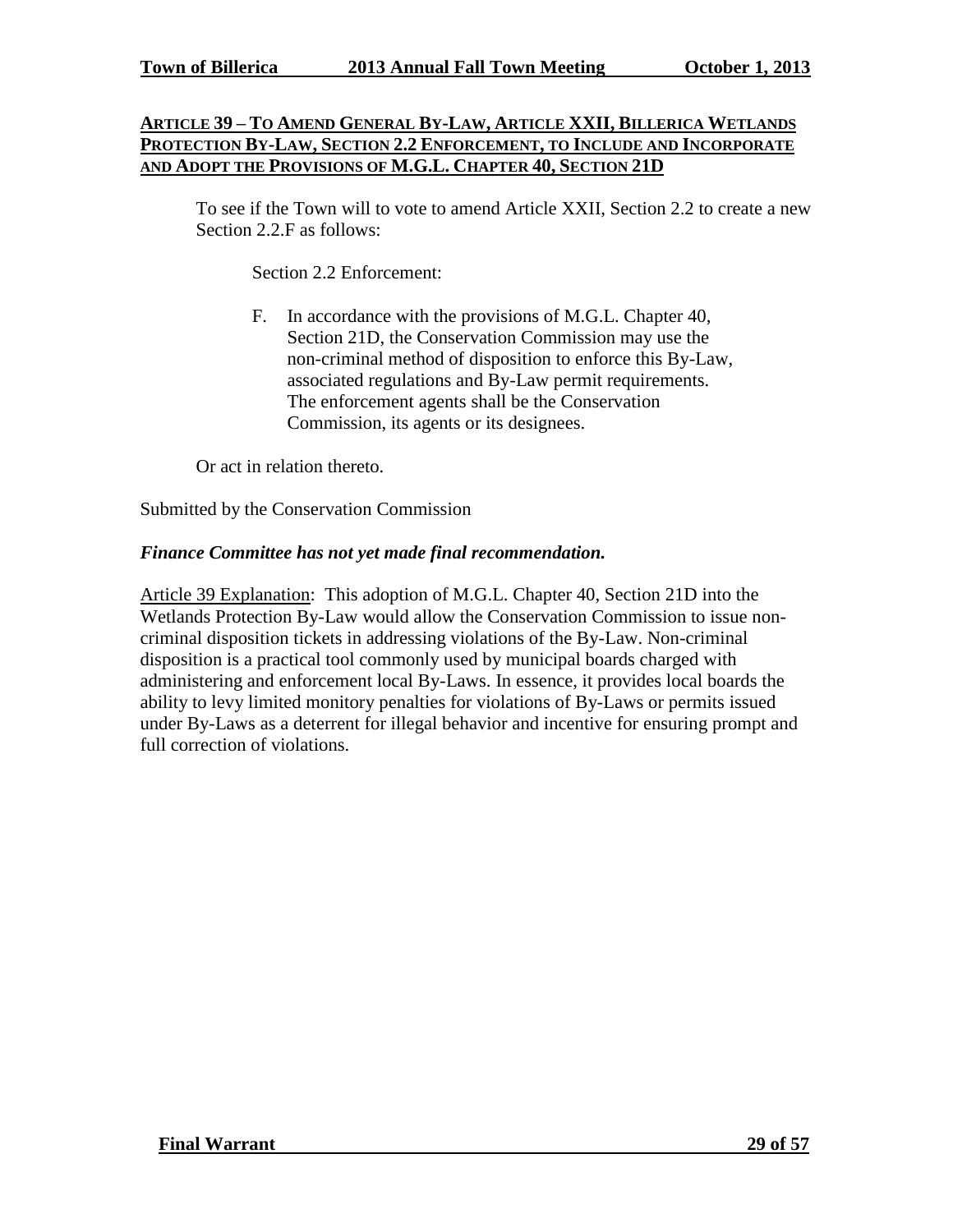## **ARTICLE 39-TO AMEND GENERAL BY-LAW, ARTICLE XXII, BILLERICA WETLANDS PROTECTION BY-LAW, SECTION 2.2 ENFORCEMENT, TO INCLUDE AND INCORPORATE AND ADOPT THE PROVISIONS OF M.G.L. CHAPTER 40, SECTION 21D**

To see if the Town will to vote to amend Article XXII, Section 2.2 to create a new Section 2.2.F as follows:

Section 2.2 Enforcement:

F. In accordance with the provisions of M.G.L. Chapter 40, Section 21D, the Conservation Commission may use the non-criminal method of disposition to enforce this By-Law, associated regulations and By-Law permit requirements. The enforcement agents shall be the Conservation Commission, its agents or its designees.

Or act in relation thereto.

Submitted by the Conservation Commission

#### *Finance Committee has not yet made final recommendation.*

Article 39 Explanation: This adoption of M.G.L. Chapter 40, Section 21D into the Wetlands Protection By-Law would allow the Conservation Commission to issue noncriminal disposition tickets in addressing violations of the By-Law. Non-criminal disposition is a practical tool commonly used by municipal boards charged with administering and enforcement local By-Laws. In essence, it provides local boards the ability to levy limited monitory penalties for violations of By-Laws or permits issued under By-Laws as a deterrent for illegal behavior and incentive for ensuring prompt and full correction of violations.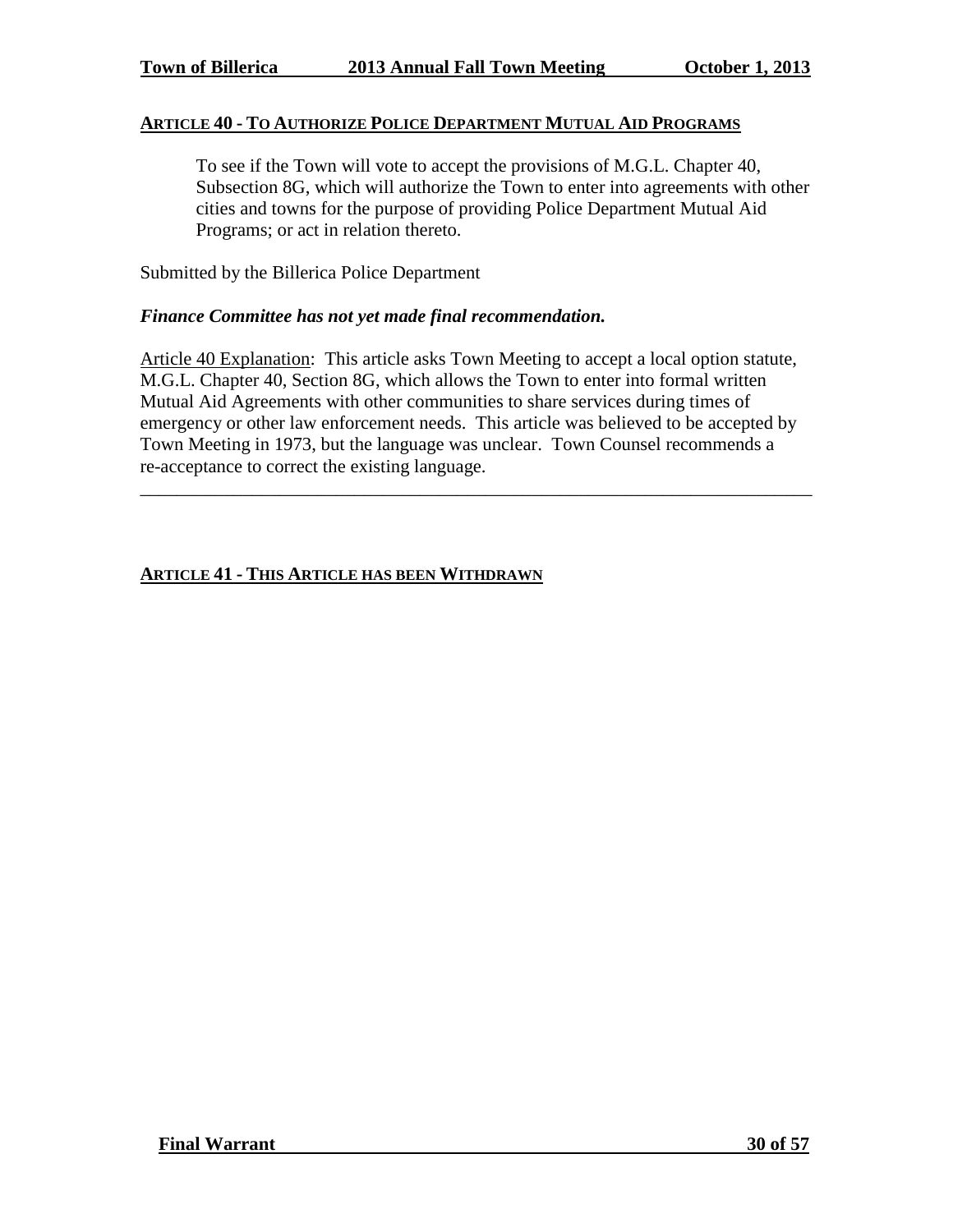## **ARTICLE 40 - TO AUTHORIZE POLICE DEPARTMENT MUTUAL AID PROGRAMS**

To see if the Town will vote to accept the provisions of M.G.L. Chapter 40, Subsection 8G, which will authorize the Town to enter into agreements with other cities and towns for the purpose of providing Police Department Mutual Aid Programs; or act in relation thereto.

Submitted by the Billerica Police Department

#### *Finance Committee has not yet made final recommendation.*

Article 40 Explanation: This article asks Town Meeting to accept a local option statute, M.G.L. Chapter 40, Section 8G, which allows the Town to enter into formal written Mutual Aid Agreements with other communities to share services during times of emergency or other law enforcement needs. This article was believed to be accepted by Town Meeting in 1973, but the language was unclear. Town Counsel recommends a re-acceptance to correct the existing language.

\_\_\_\_\_\_\_\_\_\_\_\_\_\_\_\_\_\_\_\_\_\_\_\_\_\_\_\_\_\_\_\_\_\_\_\_\_\_\_\_\_\_\_\_\_\_\_\_\_\_\_\_\_\_\_\_\_\_\_\_\_\_\_\_\_\_\_\_\_\_\_\_

# **ARTICLE 41 - THIS ARTICLE HAS BEEN WITHDRAWN**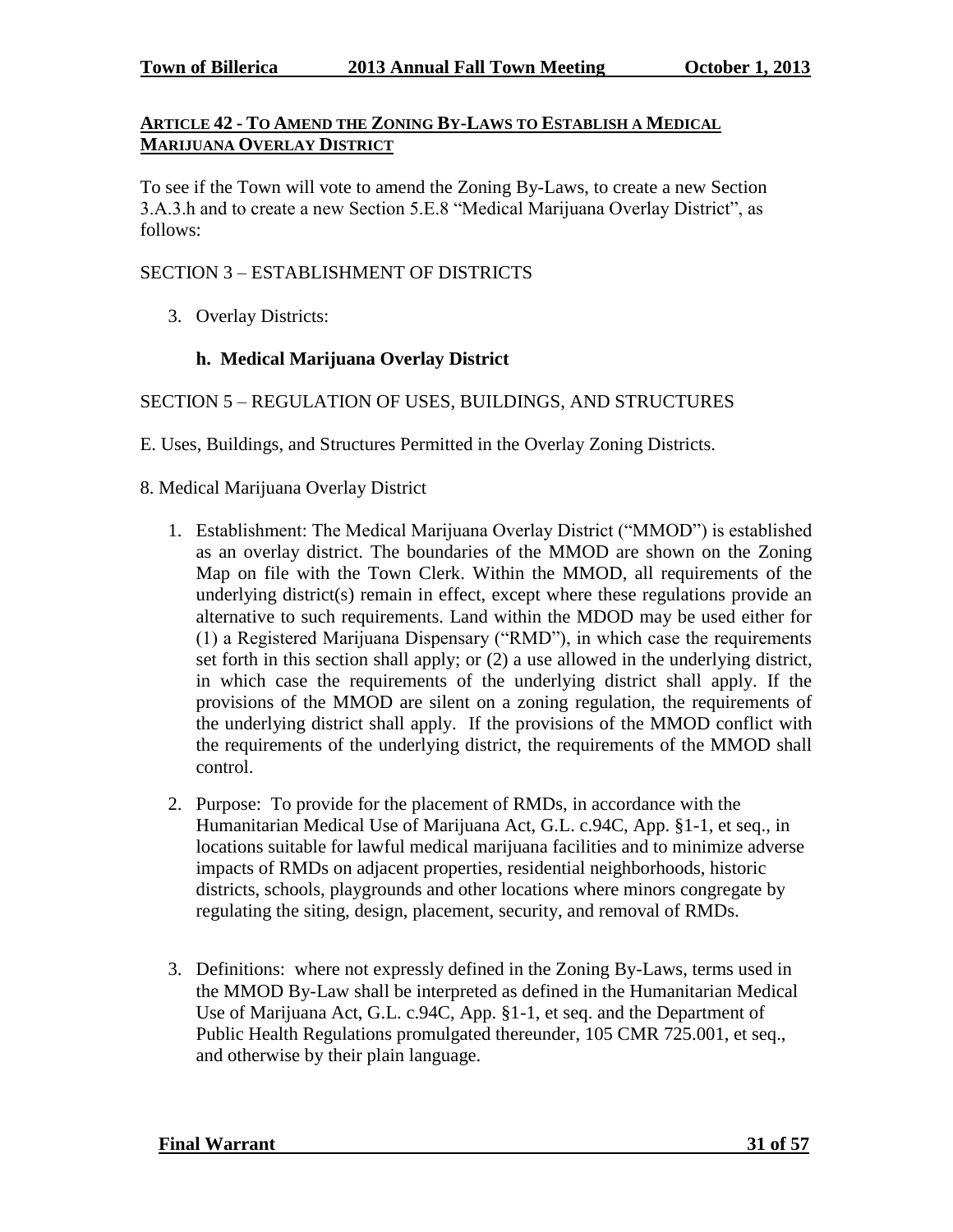## **ARTICLE 42 - TO AMEND THE ZONING BY-LAWS TO ESTABLISH A MEDICAL MARIJUANA OVERLAY DISTRICT**

To see if the Town will vote to amend the Zoning By-Laws, to create a new Section 3.A.3.h and to create a new Section 5.E.8 "Medical Marijuana Overlay District", as follows:

## SECTION 3 – ESTABLISHMENT OF DISTRICTS

3. Overlay Districts:

# **h. Medical Marijuana Overlay District**

#### SECTION 5 – REGULATION OF USES, BUILDINGS, AND STRUCTURES

E. Uses, Buildings, and Structures Permitted in the Overlay Zoning Districts.

- 8. Medical Marijuana Overlay District
	- 1. Establishment: The Medical Marijuana Overlay District ("MMOD") is established as an overlay district. The boundaries of the MMOD are shown on the Zoning Map on file with the Town Clerk. Within the MMOD, all requirements of the underlying district(s) remain in effect, except where these regulations provide an alternative to such requirements. Land within the MDOD may be used either for (1) a Registered Marijuana Dispensary ("RMD"), in which case the requirements set forth in this section shall apply; or (2) a use allowed in the underlying district, in which case the requirements of the underlying district shall apply. If the provisions of the MMOD are silent on a zoning regulation, the requirements of the underlying district shall apply. If the provisions of the MMOD conflict with the requirements of the underlying district, the requirements of the MMOD shall control.
	- 2. Purpose: To provide for the placement of RMDs, in accordance with the Humanitarian Medical Use of Marijuana Act, G.L. c.94C, App. §1-1, et seq., in locations suitable for lawful medical marijuana facilities and to minimize adverse impacts of RMDs on adjacent properties, residential neighborhoods, historic districts, schools, playgrounds and other locations where minors congregate by regulating the siting, design, placement, security, and removal of RMDs.
	- 3. Definitions: where not expressly defined in the Zoning By-Laws, terms used in the MMOD By-Law shall be interpreted as defined in the Humanitarian Medical Use of Marijuana Act, G.L. c.94C, App. §1-1, et seq. and the Department of Public Health Regulations promulgated thereunder, 105 CMR 725.001, et seq., and otherwise by their plain language.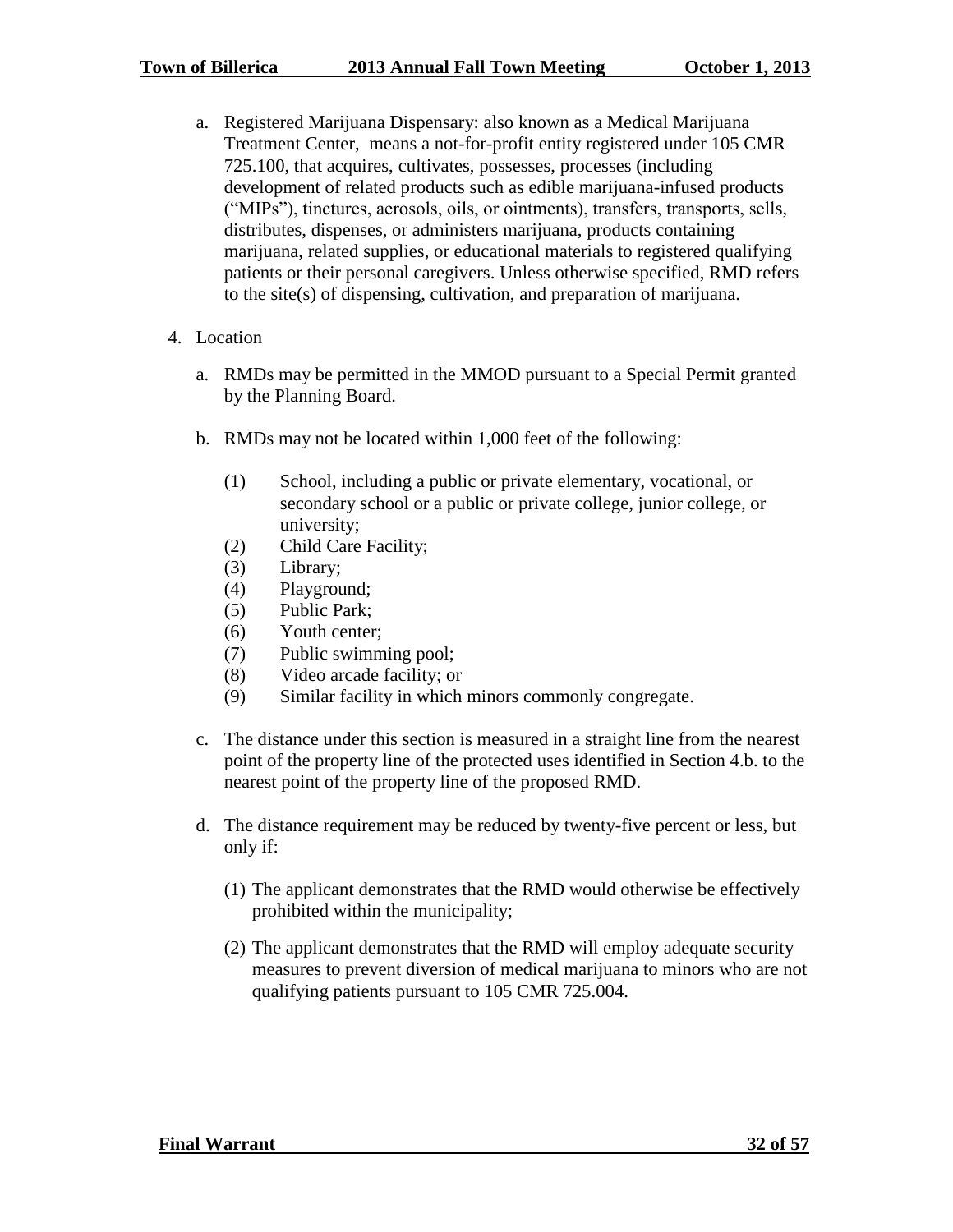- a. Registered Marijuana Dispensary: also known as a Medical Marijuana Treatment Center, means a not-for-profit entity registered under 105 CMR 725.100, that acquires, cultivates, possesses, processes (including development of related products such as edible marijuana-infused products ("MIPs"), tinctures, aerosols, oils, or ointments), transfers, transports, sells, distributes, dispenses, or administers marijuana, products containing marijuana, related supplies, or educational materials to registered qualifying patients or their personal caregivers. Unless otherwise specified, RMD refers to the site(s) of dispensing, cultivation, and preparation of marijuana.
- 4. Location
	- a. RMDs may be permitted in the MMOD pursuant to a Special Permit granted by the Planning Board.
	- b. RMDs may not be located within 1,000 feet of the following:
		- (1) School, including a public or private elementary, vocational, or secondary school or a public or private college, junior college, or university;
		- (2) Child Care Facility;
		- (3) Library;
		- (4) Playground;
		- (5) Public Park;
		- (6) Youth center;
		- (7) Public swimming pool;
		- (8) Video arcade facility; or
		- (9) Similar facility in which minors commonly congregate.
	- c. The distance under this section is measured in a straight line from the nearest point of the property line of the protected uses identified in Section 4.b. to the nearest point of the property line of the proposed RMD.
	- d. The distance requirement may be reduced by twenty-five percent or less, but only if:
		- (1) The applicant demonstrates that the RMD would otherwise be effectively prohibited within the municipality;
		- (2) The applicant demonstrates that the RMD will employ adequate security measures to prevent diversion of medical marijuana to minors who are not qualifying patients pursuant to 105 CMR 725.004.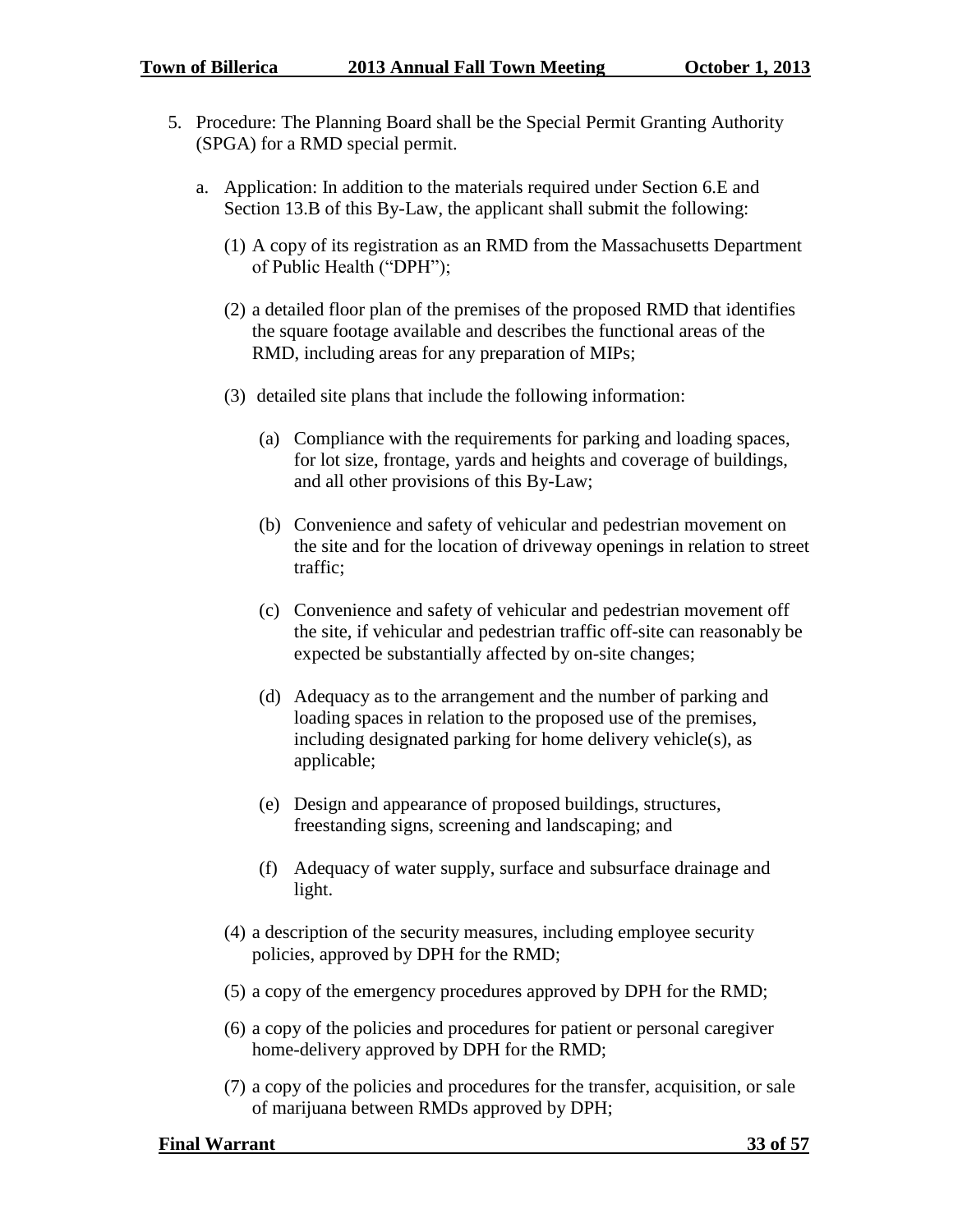- 5. Procedure: The Planning Board shall be the Special Permit Granting Authority (SPGA) for a RMD special permit.
	- a. Application: In addition to the materials required under Section 6.E and Section 13.B of this By-Law, the applicant shall submit the following:
		- (1) A copy of its registration as an RMD from the Massachusetts Department of Public Health ("DPH");
		- (2) a detailed floor plan of the premises of the proposed RMD that identifies the square footage available and describes the functional areas of the RMD, including areas for any preparation of MIPs;
		- (3) detailed site plans that include the following information:
			- (a) Compliance with the requirements for parking and loading spaces, for lot size, frontage, yards and heights and coverage of buildings, and all other provisions of this By-Law;
			- (b) Convenience and safety of vehicular and pedestrian movement on the site and for the location of driveway openings in relation to street traffic;
			- (c) Convenience and safety of vehicular and pedestrian movement off the site, if vehicular and pedestrian traffic off-site can reasonably be expected be substantially affected by on-site changes;
			- (d) Adequacy as to the arrangement and the number of parking and loading spaces in relation to the proposed use of the premises, including designated parking for home delivery vehicle(s), as applicable;
			- (e) Design and appearance of proposed buildings, structures, freestanding signs, screening and landscaping; and
			- (f) Adequacy of water supply, surface and subsurface drainage and light.
		- (4) a description of the security measures, including employee security policies, approved by DPH for the RMD;
		- (5) a copy of the emergency procedures approved by DPH for the RMD;
		- (6) a copy of the policies and procedures for patient or personal caregiver home-delivery approved by DPH for the RMD;
		- (7) a copy of the policies and procedures for the transfer, acquisition, or sale of marijuana between RMDs approved by DPH;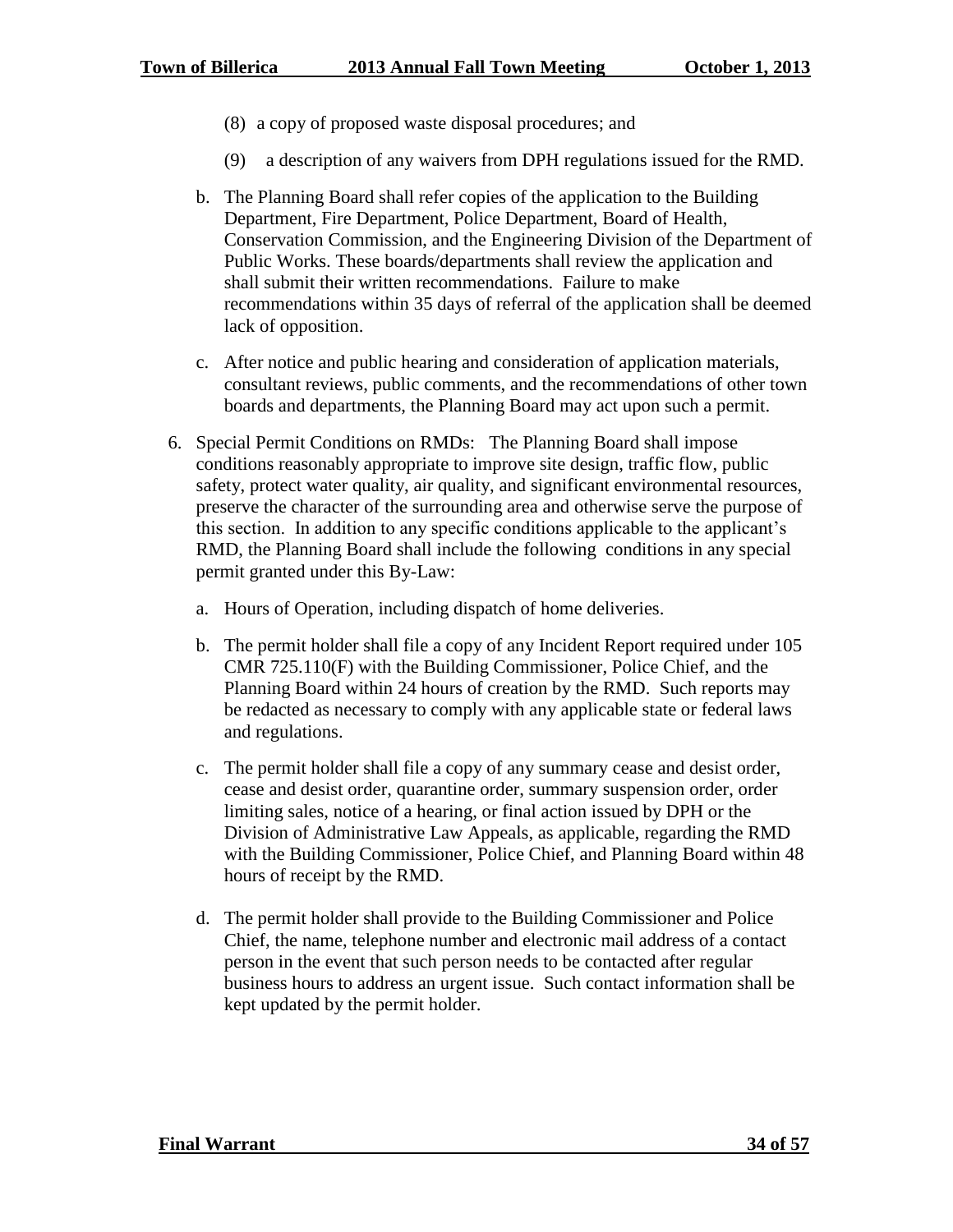- (8) a copy of proposed waste disposal procedures; and
- (9) a description of any waivers from DPH regulations issued for the RMD.
- b. The Planning Board shall refer copies of the application to the Building Department, Fire Department, Police Department, Board of Health, Conservation Commission, and the Engineering Division of the Department of Public Works. These boards/departments shall review the application and shall submit their written recommendations. Failure to make recommendations within 35 days of referral of the application shall be deemed lack of opposition.
- c. After notice and public hearing and consideration of application materials, consultant reviews, public comments, and the recommendations of other town boards and departments, the Planning Board may act upon such a permit.
- 6. Special Permit Conditions on RMDs: The Planning Board shall impose conditions reasonably appropriate to improve site design, traffic flow, public safety, protect water quality, air quality, and significant environmental resources, preserve the character of the surrounding area and otherwise serve the purpose of this section. In addition to any specific conditions applicable to the applicant's RMD, the Planning Board shall include the following conditions in any special permit granted under this By-Law:
	- a. Hours of Operation, including dispatch of home deliveries.
	- b. The permit holder shall file a copy of any Incident Report required under 105 CMR 725.110(F) with the Building Commissioner, Police Chief, and the Planning Board within 24 hours of creation by the RMD. Such reports may be redacted as necessary to comply with any applicable state or federal laws and regulations.
	- c. The permit holder shall file a copy of any summary cease and desist order, cease and desist order, quarantine order, summary suspension order, order limiting sales, notice of a hearing, or final action issued by DPH or the Division of Administrative Law Appeals, as applicable, regarding the RMD with the Building Commissioner, Police Chief, and Planning Board within 48 hours of receipt by the RMD.
	- d. The permit holder shall provide to the Building Commissioner and Police Chief, the name, telephone number and electronic mail address of a contact person in the event that such person needs to be contacted after regular business hours to address an urgent issue. Such contact information shall be kept updated by the permit holder.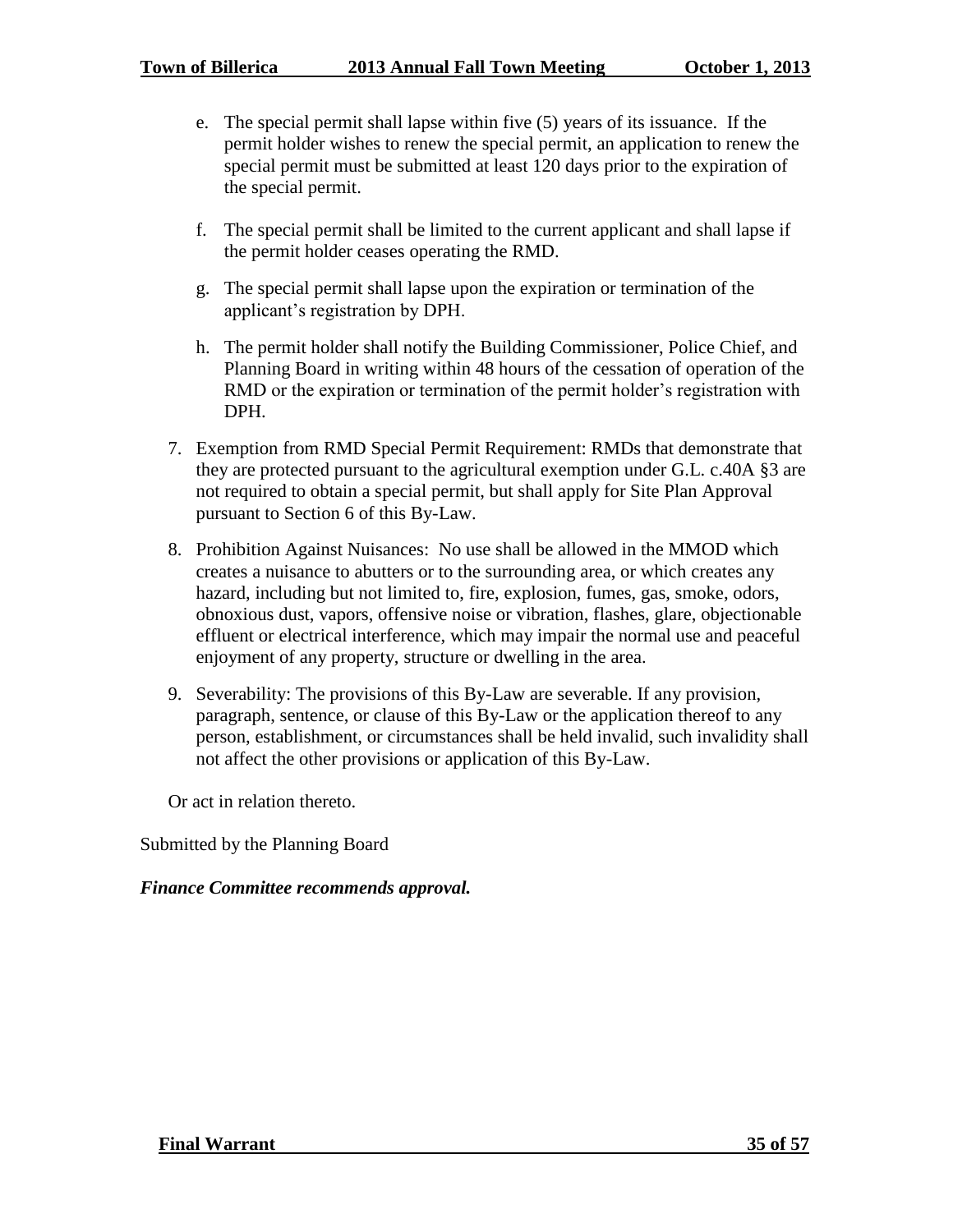- e. The special permit shall lapse within five (5) years of its issuance. If the permit holder wishes to renew the special permit, an application to renew the special permit must be submitted at least 120 days prior to the expiration of the special permit.
- f. The special permit shall be limited to the current applicant and shall lapse if the permit holder ceases operating the RMD.
- g. The special permit shall lapse upon the expiration or termination of the applicant's registration by DPH.
- h. The permit holder shall notify the Building Commissioner, Police Chief, and Planning Board in writing within 48 hours of the cessation of operation of the RMD or the expiration or termination of the permit holder's registration with DPH.
- 7. Exemption from RMD Special Permit Requirement: RMDs that demonstrate that they are protected pursuant to the agricultural exemption under G.L. c.40A §3 are not required to obtain a special permit, but shall apply for Site Plan Approval pursuant to Section 6 of this By-Law.
- 8. Prohibition Against Nuisances: No use shall be allowed in the MMOD which creates a nuisance to abutters or to the surrounding area, or which creates any hazard, including but not limited to, fire, explosion, fumes, gas, smoke, odors, obnoxious dust, vapors, offensive noise or vibration, flashes, glare, objectionable effluent or electrical interference, which may impair the normal use and peaceful enjoyment of any property, structure or dwelling in the area.
- 9. Severability: The provisions of this By-Law are severable. If any provision, paragraph, sentence, or clause of this By-Law or the application thereof to any person, establishment, or circumstances shall be held invalid, such invalidity shall not affect the other provisions or application of this By-Law.

Or act in relation thereto.

Submitted by the Planning Board

# *Finance Committee recommends approval.*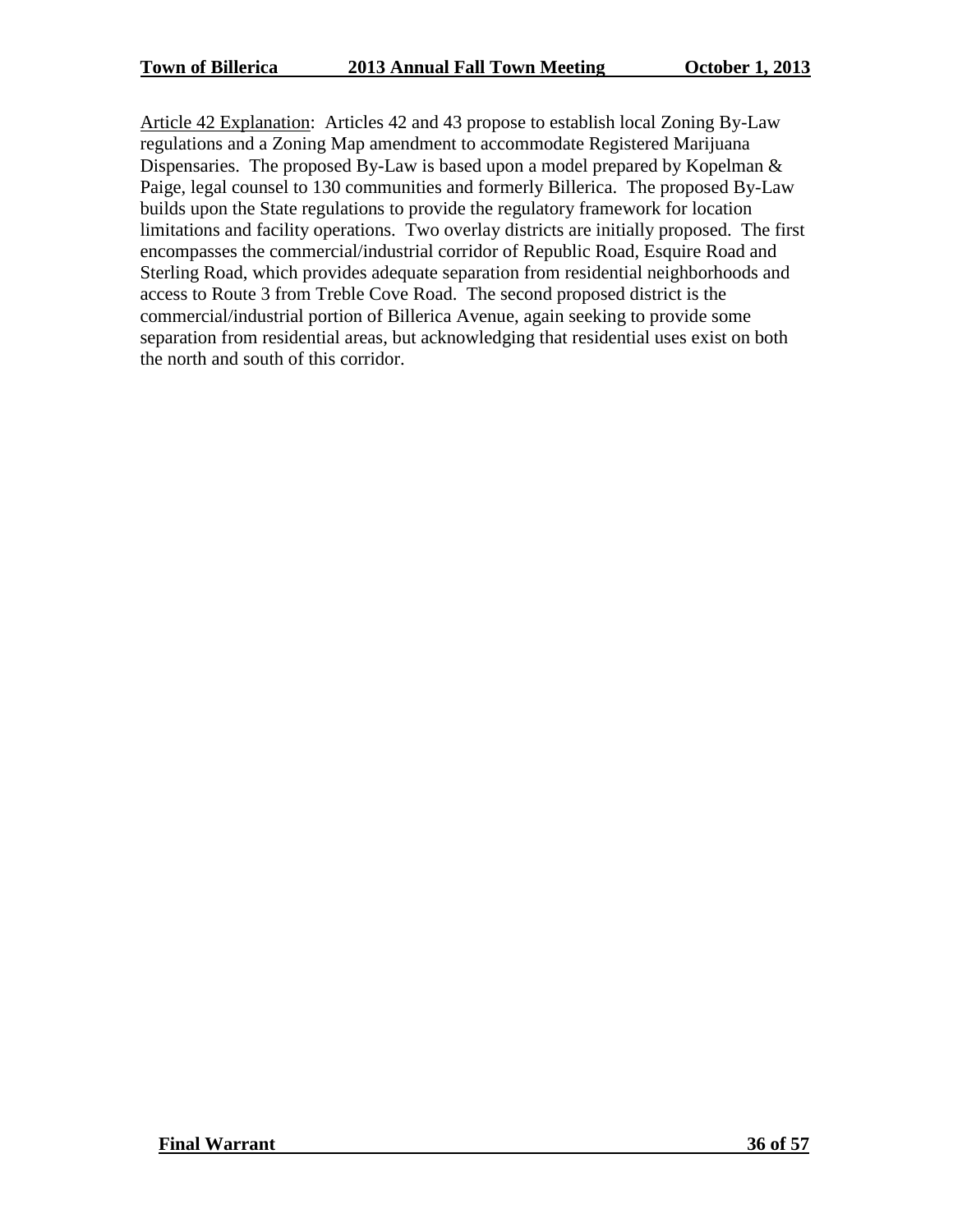Article 42 Explanation: Articles 42 and 43 propose to establish local Zoning By-Law regulations and a Zoning Map amendment to accommodate Registered Marijuana Dispensaries. The proposed By-Law is based upon a model prepared by Kopelman & Paige, legal counsel to 130 communities and formerly Billerica. The proposed By-Law builds upon the State regulations to provide the regulatory framework for location limitations and facility operations. Two overlay districts are initially proposed. The first encompasses the commercial/industrial corridor of Republic Road, Esquire Road and Sterling Road, which provides adequate separation from residential neighborhoods and access to Route 3 from Treble Cove Road. The second proposed district is the commercial/industrial portion of Billerica Avenue, again seeking to provide some separation from residential areas, but acknowledging that residential uses exist on both the north and south of this corridor.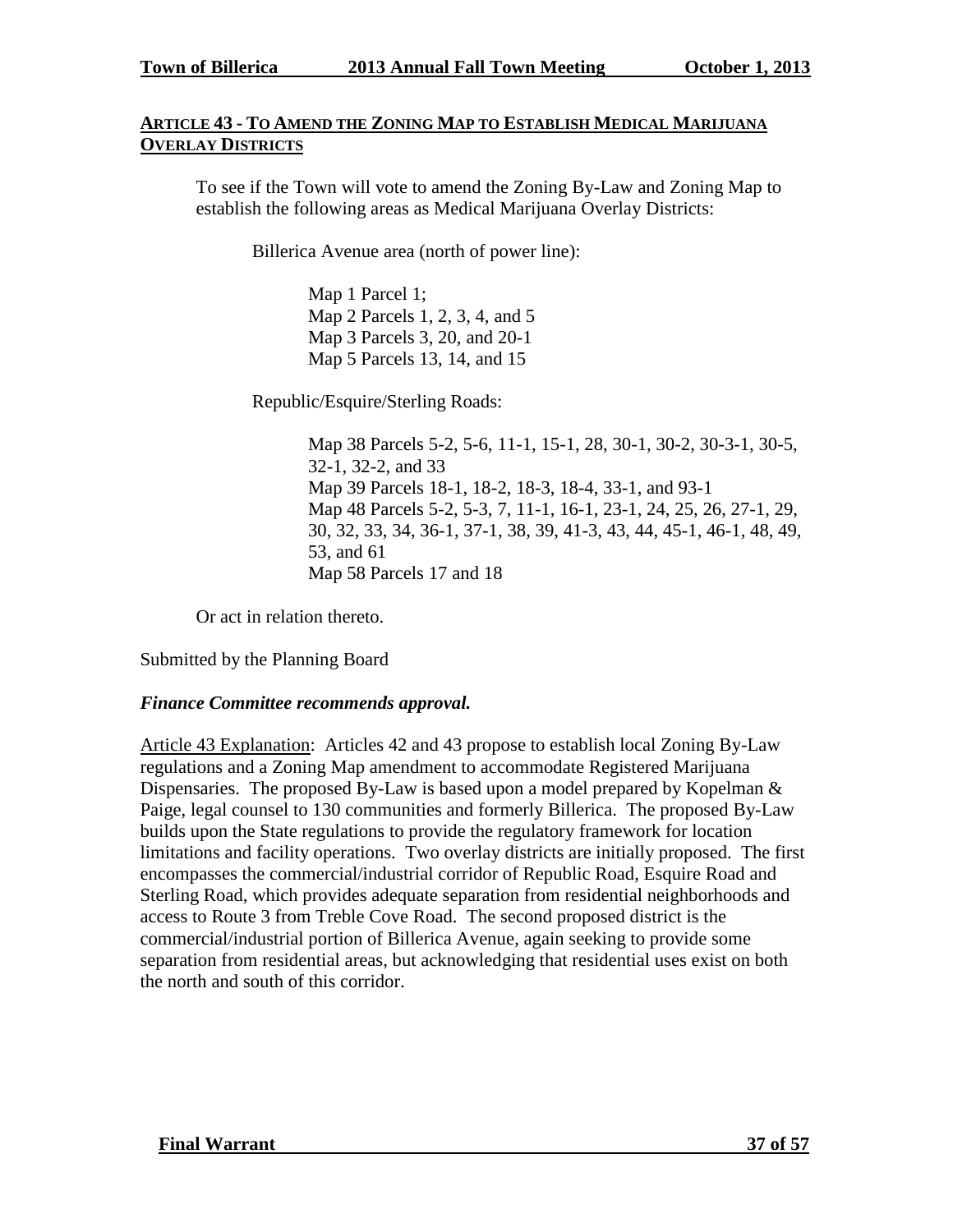## **ARTICLE 43 - TO AMEND THE ZONING MAP TO ESTABLISH MEDICAL MARIJUANA OVERLAY DISTRICTS**

To see if the Town will vote to amend the Zoning By-Law and Zoning Map to establish the following areas as Medical Marijuana Overlay Districts:

Billerica Avenue area (north of power line):

Map 1 Parcel 1; Map 2 Parcels 1, 2, 3, 4, and 5 Map 3 Parcels 3, 20, and 20-1 Map 5 Parcels 13, 14, and 15

Republic/Esquire/Sterling Roads:

Map 38 Parcels 5-2, 5-6, 11-1, 15-1, 28, 30-1, 30-2, 30-3-1, 30-5, 32-1, 32-2, and 33 Map 39 Parcels 18-1, 18-2, 18-3, 18-4, 33-1, and 93-1 Map 48 Parcels 5-2, 5-3, 7, 11-1, 16-1, 23-1, 24, 25, 26, 27-1, 29, 30, 32, 33, 34, 36-1, 37-1, 38, 39, 41-3, 43, 44, 45-1, 46-1, 48, 49, 53, and 61 Map 58 Parcels 17 and 18

Or act in relation thereto.

Submitted by the Planning Board

#### *Finance Committee recommends approval.*

Article 43 Explanation: Articles 42 and 43 propose to establish local Zoning By-Law regulations and a Zoning Map amendment to accommodate Registered Marijuana Dispensaries. The proposed By-Law is based upon a model prepared by Kopelman & Paige, legal counsel to 130 communities and formerly Billerica. The proposed By-Law builds upon the State regulations to provide the regulatory framework for location limitations and facility operations. Two overlay districts are initially proposed. The first encompasses the commercial/industrial corridor of Republic Road, Esquire Road and Sterling Road, which provides adequate separation from residential neighborhoods and access to Route 3 from Treble Cove Road. The second proposed district is the commercial/industrial portion of Billerica Avenue, again seeking to provide some separation from residential areas, but acknowledging that residential uses exist on both the north and south of this corridor.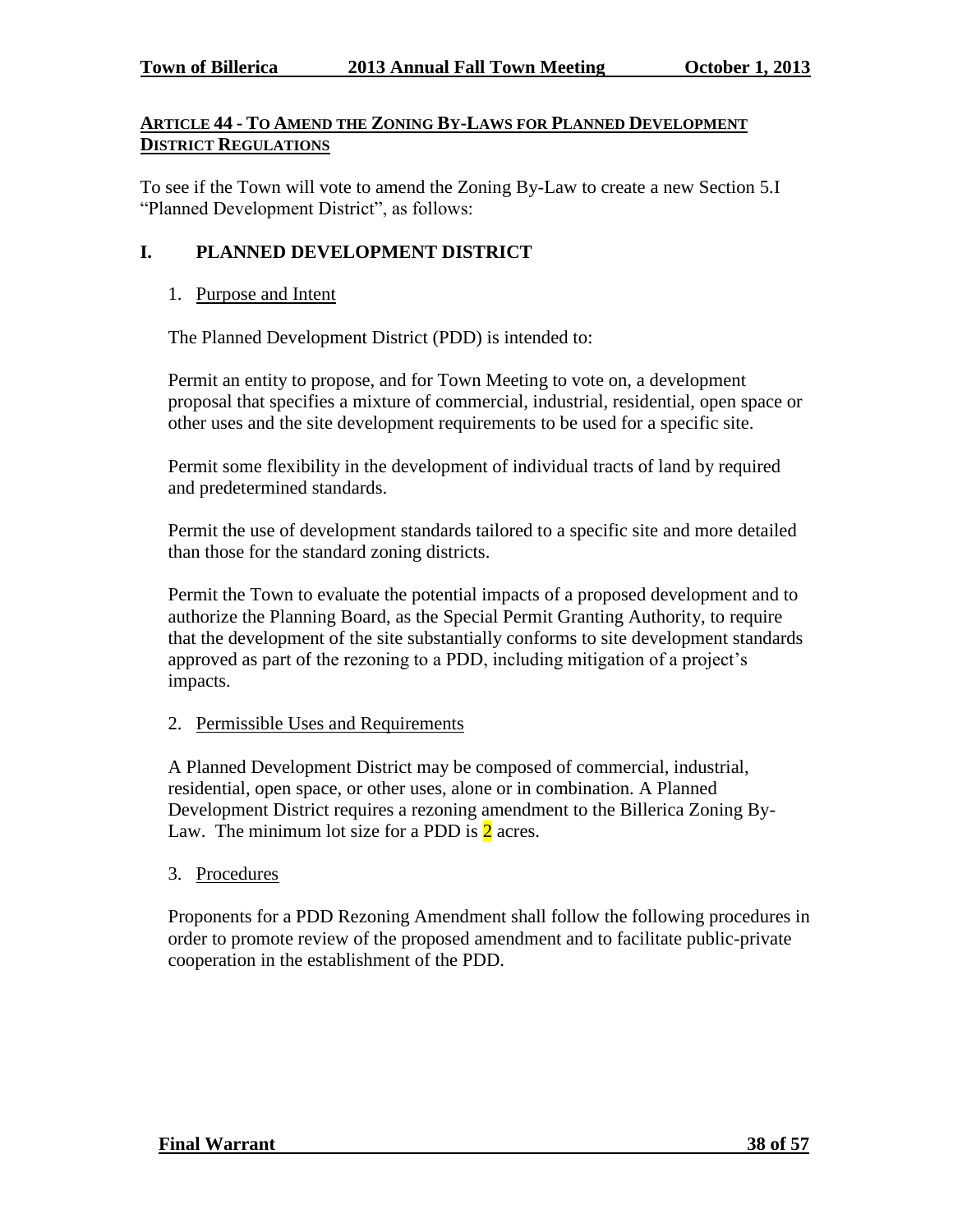## **ARTICLE 44 - TO AMEND THE ZONING BY-LAWS FOR PLANNED DEVELOPMENT DISTRICT REGULATIONS**

To see if the Town will vote to amend the Zoning By-Law to create a new Section 5.I "Planned Development District", as follows:

# **I. PLANNED DEVELOPMENT DISTRICT**

#### 1. Purpose and Intent

The Planned Development District (PDD) is intended to:

Permit an entity to propose, and for Town Meeting to vote on, a development proposal that specifies a mixture of commercial, industrial, residential, open space or other uses and the site development requirements to be used for a specific site.

Permit some flexibility in the development of individual tracts of land by required and predetermined standards.

Permit the use of development standards tailored to a specific site and more detailed than those for the standard zoning districts.

Permit the Town to evaluate the potential impacts of a proposed development and to authorize the Planning Board, as the Special Permit Granting Authority, to require that the development of the site substantially conforms to site development standards approved as part of the rezoning to a PDD, including mitigation of a project's impacts.

#### 2. Permissible Uses and Requirements

A Planned Development District may be composed of commercial, industrial, residential, open space, or other uses, alone or in combination. A Planned Development District requires a rezoning amendment to the Billerica Zoning By-Law. The minimum lot size for a PDD is  $2$  acres.

#### 3. Procedures

Proponents for a PDD Rezoning Amendment shall follow the following procedures in order to promote review of the proposed amendment and to facilitate public-private cooperation in the establishment of the PDD.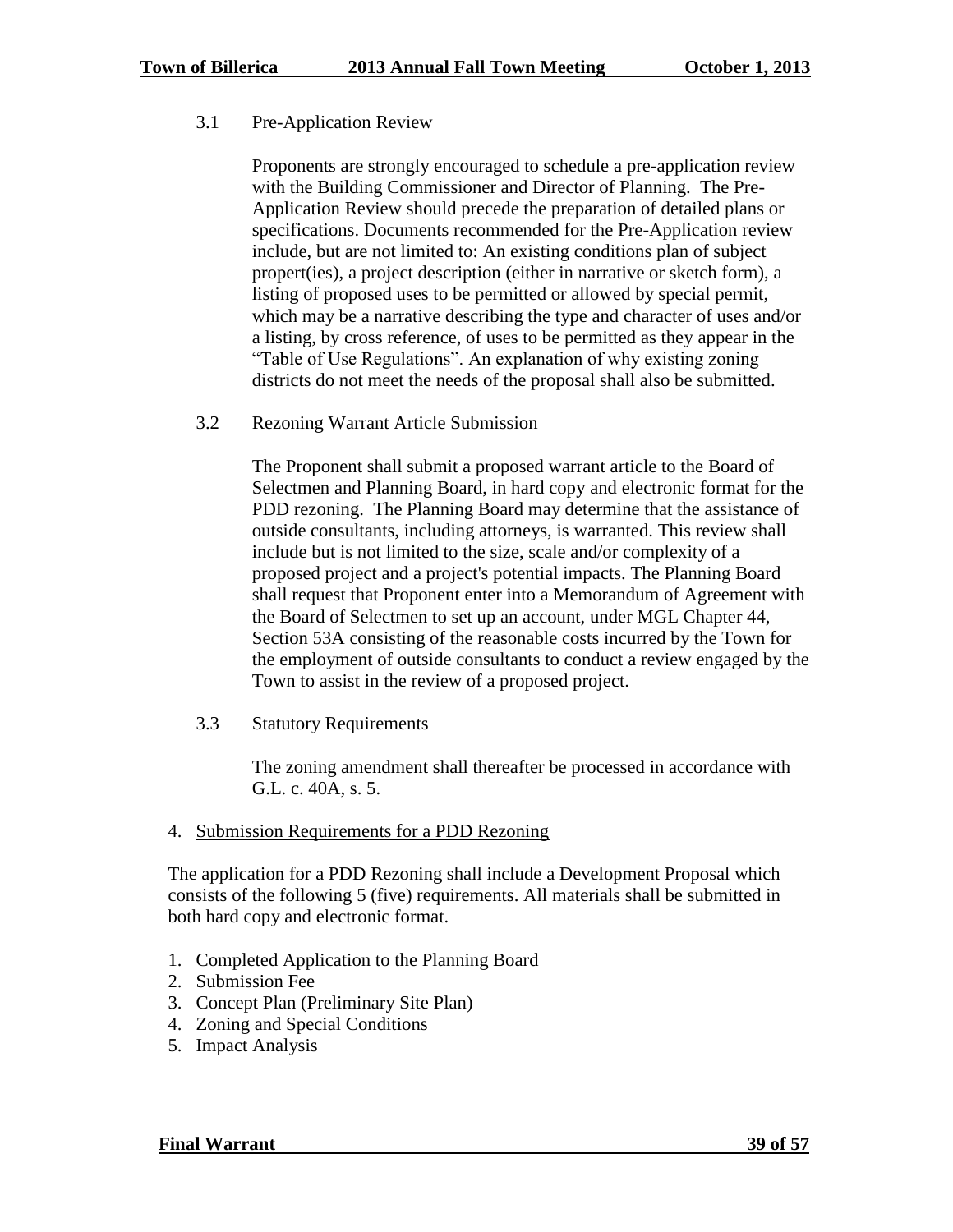## 3.1 Pre-Application Review

Proponents are strongly encouraged to schedule a pre-application review with the Building Commissioner and Director of Planning. The Pre-Application Review should precede the preparation of detailed plans or specifications. Documents recommended for the Pre-Application review include, but are not limited to: An existing conditions plan of subject propert(ies), a project description (either in narrative or sketch form), a listing of proposed uses to be permitted or allowed by special permit, which may be a narrative describing the type and character of uses and/or a listing, by cross reference, of uses to be permitted as they appear in the "Table of Use Regulations". An explanation of why existing zoning districts do not meet the needs of the proposal shall also be submitted.

3.2 Rezoning Warrant Article Submission

The Proponent shall submit a proposed warrant article to the Board of Selectmen and Planning Board, in hard copy and electronic format for the PDD rezoning. The Planning Board may determine that the assistance of outside consultants, including attorneys, is warranted. This review shall include but is not limited to the size, scale and/or complexity of a proposed project and a project's potential impacts. The Planning Board shall request that Proponent enter into a Memorandum of Agreement with the Board of Selectmen to set up an account, under MGL Chapter 44, Section 53A consisting of the reasonable costs incurred by the Town for the employment of outside consultants to conduct a review engaged by the Town to assist in the review of a proposed project.

3.3 Statutory Requirements

The zoning amendment shall thereafter be processed in accordance with G.L. c. 40A, s. 5.

4. Submission Requirements for a PDD Rezoning

The application for a PDD Rezoning shall include a Development Proposal which consists of the following 5 (five) requirements. All materials shall be submitted in both hard copy and electronic format.

- 1. Completed Application to the Planning Board
- 2. Submission Fee
- 3. Concept Plan (Preliminary Site Plan)
- 4. Zoning and Special Conditions
- 5. Impact Analysis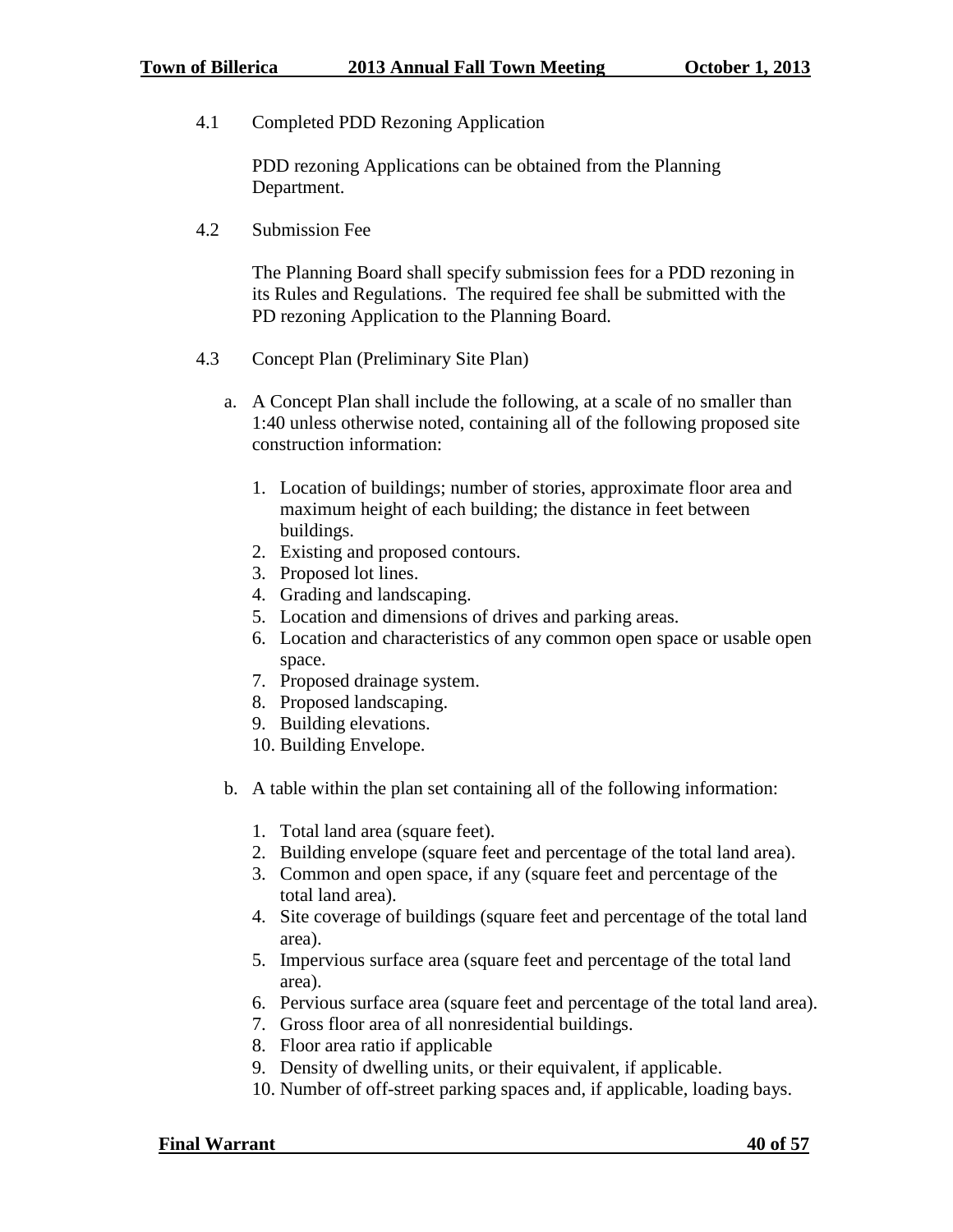4.1 Completed PDD Rezoning Application

PDD rezoning Applications can be obtained from the Planning Department.

4.2 Submission Fee

The Planning Board shall specify submission fees for a PDD rezoning in its Rules and Regulations. The required fee shall be submitted with the PD rezoning Application to the Planning Board.

- 4.3 Concept Plan (Preliminary Site Plan)
	- a. A Concept Plan shall include the following, at a scale of no smaller than 1:40 unless otherwise noted, containing all of the following proposed site construction information:
		- 1. Location of buildings; number of stories, approximate floor area and maximum height of each building; the distance in feet between buildings.
		- 2. Existing and proposed contours.
		- 3. Proposed lot lines.
		- 4. Grading and landscaping.
		- 5. Location and dimensions of drives and parking areas.
		- 6. Location and characteristics of any common open space or usable open space.
		- 7. Proposed drainage system.
		- 8. Proposed landscaping.
		- 9. Building elevations.
		- 10. Building Envelope.
	- b. A table within the plan set containing all of the following information:
		- 1. Total land area (square feet).
		- 2. Building envelope (square feet and percentage of the total land area).
		- 3. Common and open space, if any (square feet and percentage of the total land area).
		- 4. Site coverage of buildings (square feet and percentage of the total land area).
		- 5. Impervious surface area (square feet and percentage of the total land area).
		- 6. Pervious surface area (square feet and percentage of the total land area).
		- 7. Gross floor area of all nonresidential buildings.
		- 8. Floor area ratio if applicable
		- 9. Density of dwelling units, or their equivalent, if applicable.
		- 10. Number of off-street parking spaces and, if applicable, loading bays.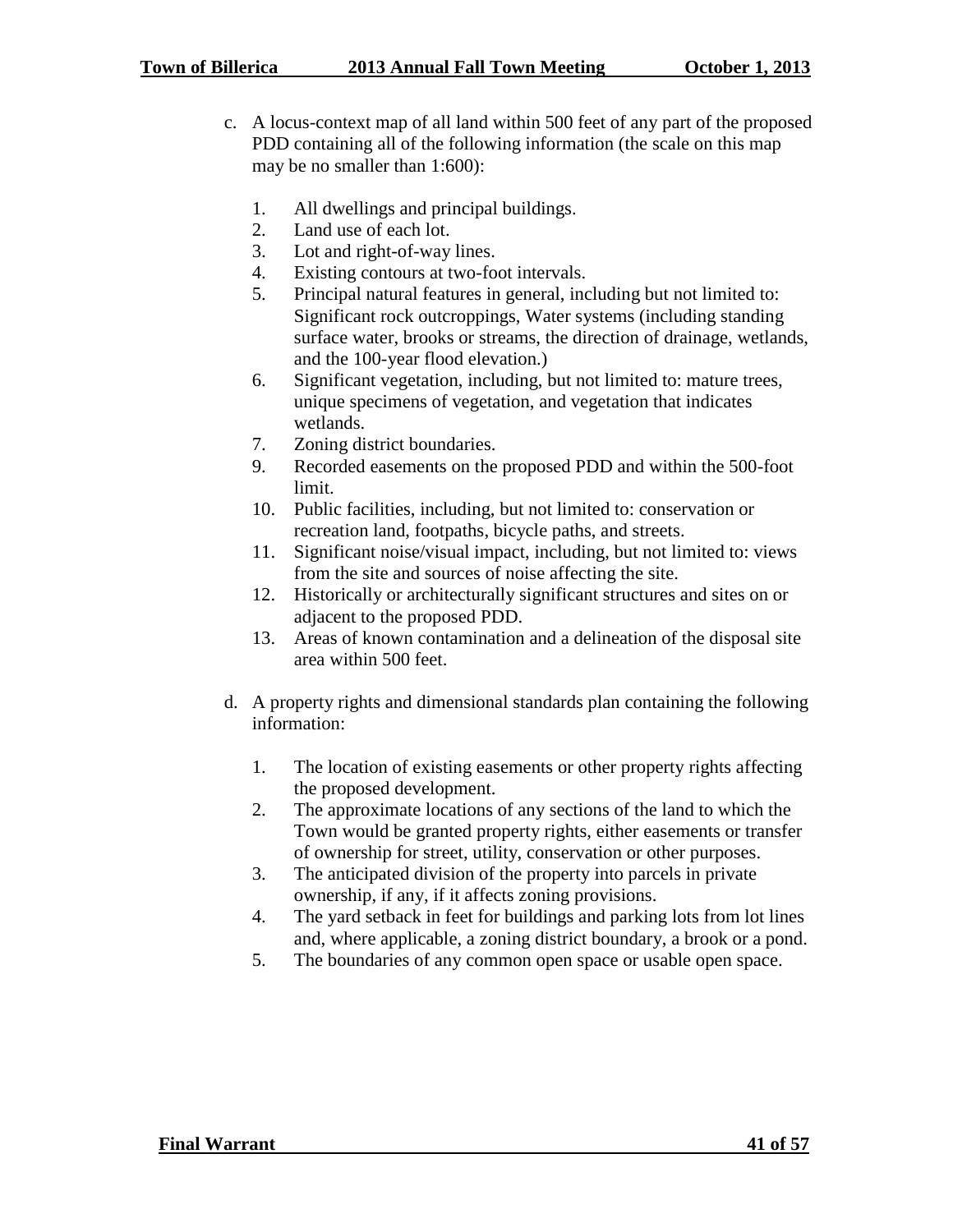- c. A locus-context map of all land within 500 feet of any part of the proposed PDD containing all of the following information (the scale on this map may be no smaller than 1:600):
	- 1. All dwellings and principal buildings.
	- 2. Land use of each lot.
	- 3. Lot and right-of-way lines.
	- 4. Existing contours at two-foot intervals.
	- 5. Principal natural features in general, including but not limited to: Significant rock outcroppings, Water systems (including standing surface water, brooks or streams, the direction of drainage, wetlands, and the 100-year flood elevation.)
	- 6. Significant vegetation, including, but not limited to: mature trees, unique specimens of vegetation, and vegetation that indicates wetlands.
	- 7. Zoning district boundaries.
	- 9. Recorded easements on the proposed PDD and within the 500-foot limit.
	- 10. Public facilities, including, but not limited to: conservation or recreation land, footpaths, bicycle paths, and streets.
	- 11. Significant noise/visual impact, including, but not limited to: views from the site and sources of noise affecting the site.
	- 12. Historically or architecturally significant structures and sites on or adjacent to the proposed PDD.
	- 13. Areas of known contamination and a delineation of the disposal site area within 500 feet.
- d. A property rights and dimensional standards plan containing the following information:
	- 1. The location of existing easements or other property rights affecting the proposed development.
	- 2. The approximate locations of any sections of the land to which the Town would be granted property rights, either easements or transfer of ownership for street, utility, conservation or other purposes.
	- 3. The anticipated division of the property into parcels in private ownership, if any, if it affects zoning provisions.
	- 4. The yard setback in feet for buildings and parking lots from lot lines and, where applicable, a zoning district boundary, a brook or a pond.
	- 5. The boundaries of any common open space or usable open space.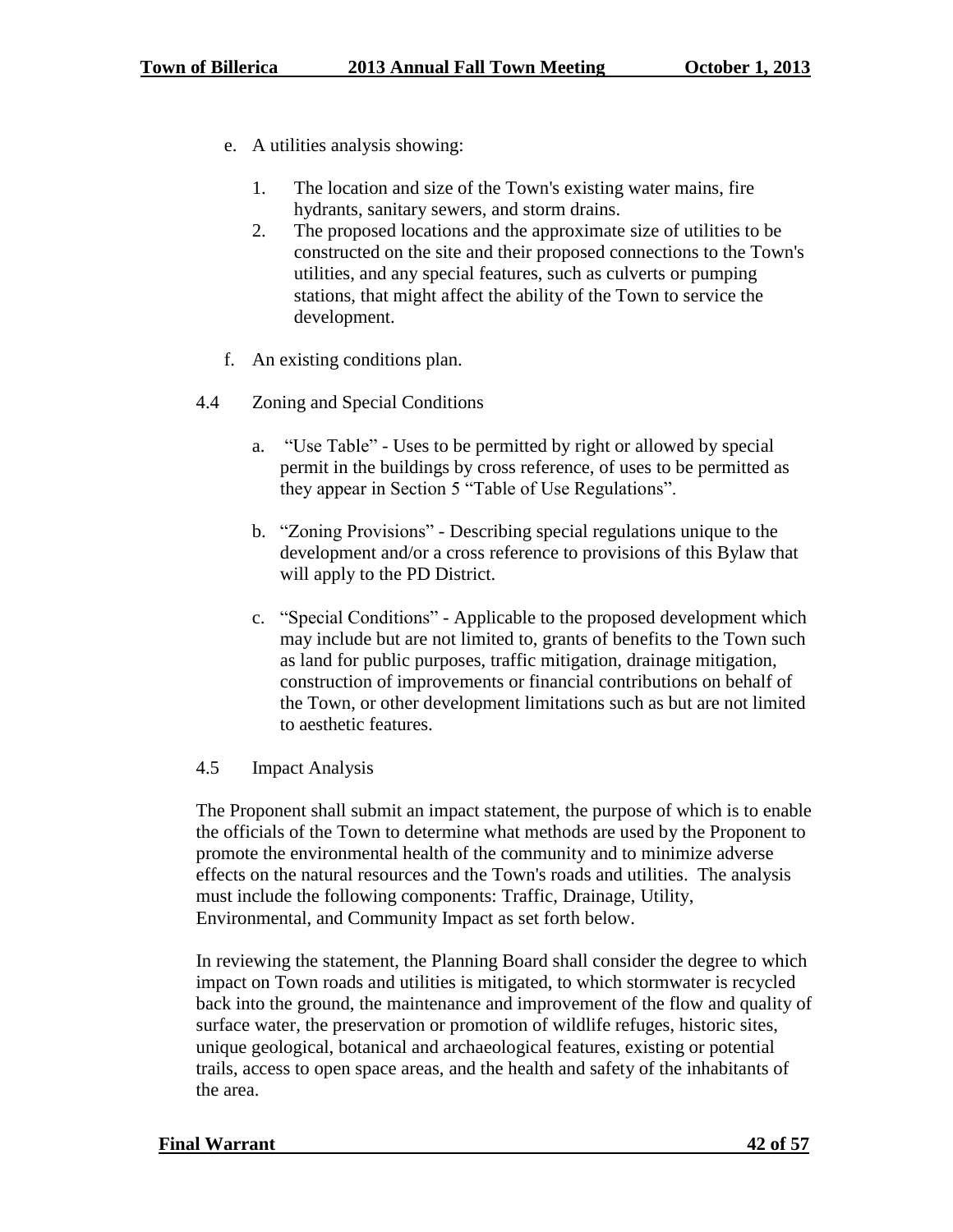- e. A utilities analysis showing:
	- 1. The location and size of the Town's existing water mains, fire hydrants, sanitary sewers, and storm drains.
	- 2. The proposed locations and the approximate size of utilities to be constructed on the site and their proposed connections to the Town's utilities, and any special features, such as culverts or pumping stations, that might affect the ability of the Town to service the development.
- f. An existing conditions plan.
- 4.4 Zoning and Special Conditions
	- a. "Use Table" Uses to be permitted by right or allowed by special permit in the buildings by cross reference, of uses to be permitted as they appear in Section 5 "Table of Use Regulations".
	- b. "Zoning Provisions" Describing special regulations unique to the development and/or a cross reference to provisions of this Bylaw that will apply to the PD District.
	- c. "Special Conditions" Applicable to the proposed development which may include but are not limited to, grants of benefits to the Town such as land for public purposes, traffic mitigation, drainage mitigation, construction of improvements or financial contributions on behalf of the Town, or other development limitations such as but are not limited to aesthetic features.

#### 4.5 Impact Analysis

The Proponent shall submit an impact statement, the purpose of which is to enable the officials of the Town to determine what methods are used by the Proponent to promote the environmental health of the community and to minimize adverse effects on the natural resources and the Town's roads and utilities. The analysis must include the following components: Traffic, Drainage, Utility, Environmental, and Community Impact as set forth below.

In reviewing the statement, the Planning Board shall consider the degree to which impact on Town roads and utilities is mitigated, to which stormwater is recycled back into the ground, the maintenance and improvement of the flow and quality of surface water, the preservation or promotion of wildlife refuges, historic sites, unique geological, botanical and archaeological features, existing or potential trails, access to open space areas, and the health and safety of the inhabitants of the area.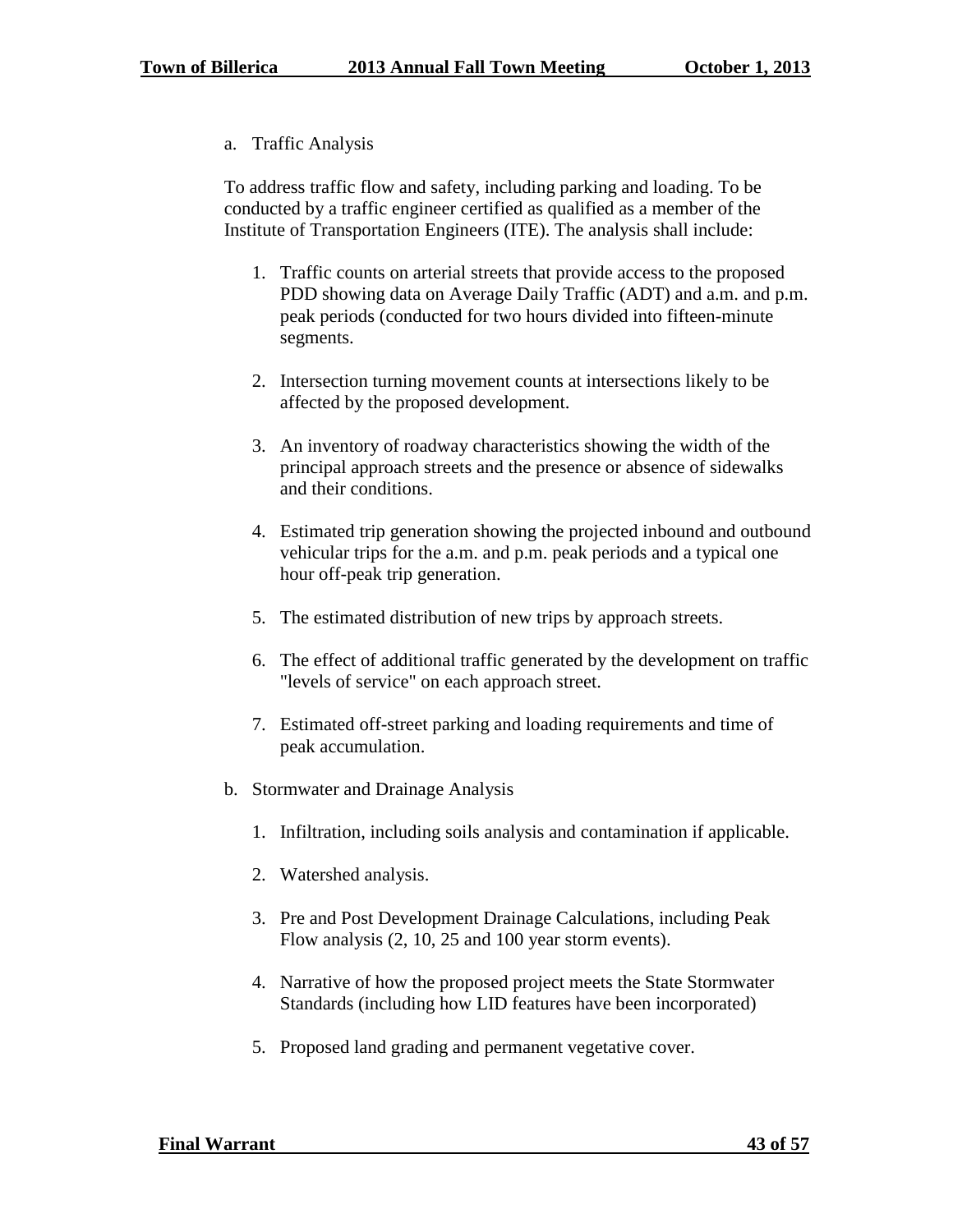a. Traffic Analysis

To address traffic flow and safety, including parking and loading. To be conducted by a traffic engineer certified as qualified as a member of the Institute of Transportation Engineers (ITE). The analysis shall include:

- 1. Traffic counts on arterial streets that provide access to the proposed PDD showing data on Average Daily Traffic (ADT) and a.m. and p.m. peak periods (conducted for two hours divided into fifteen-minute segments.
- 2. Intersection turning movement counts at intersections likely to be affected by the proposed development.
- 3. An inventory of roadway characteristics showing the width of the principal approach streets and the presence or absence of sidewalks and their conditions.
- 4. Estimated trip generation showing the projected inbound and outbound vehicular trips for the a.m. and p.m. peak periods and a typical one hour off-peak trip generation.
- 5. The estimated distribution of new trips by approach streets.
- 6. The effect of additional traffic generated by the development on traffic "levels of service" on each approach street.
- 7. Estimated off-street parking and loading requirements and time of peak accumulation.
- b. Stormwater and Drainage Analysis
	- 1. Infiltration, including soils analysis and contamination if applicable.
	- 2. Watershed analysis.
	- 3. Pre and Post Development Drainage Calculations, including Peak Flow analysis (2, 10, 25 and 100 year storm events).
	- 4. Narrative of how the proposed project meets the State Stormwater Standards (including how LID features have been incorporated)
	- 5. Proposed land grading and permanent vegetative cover.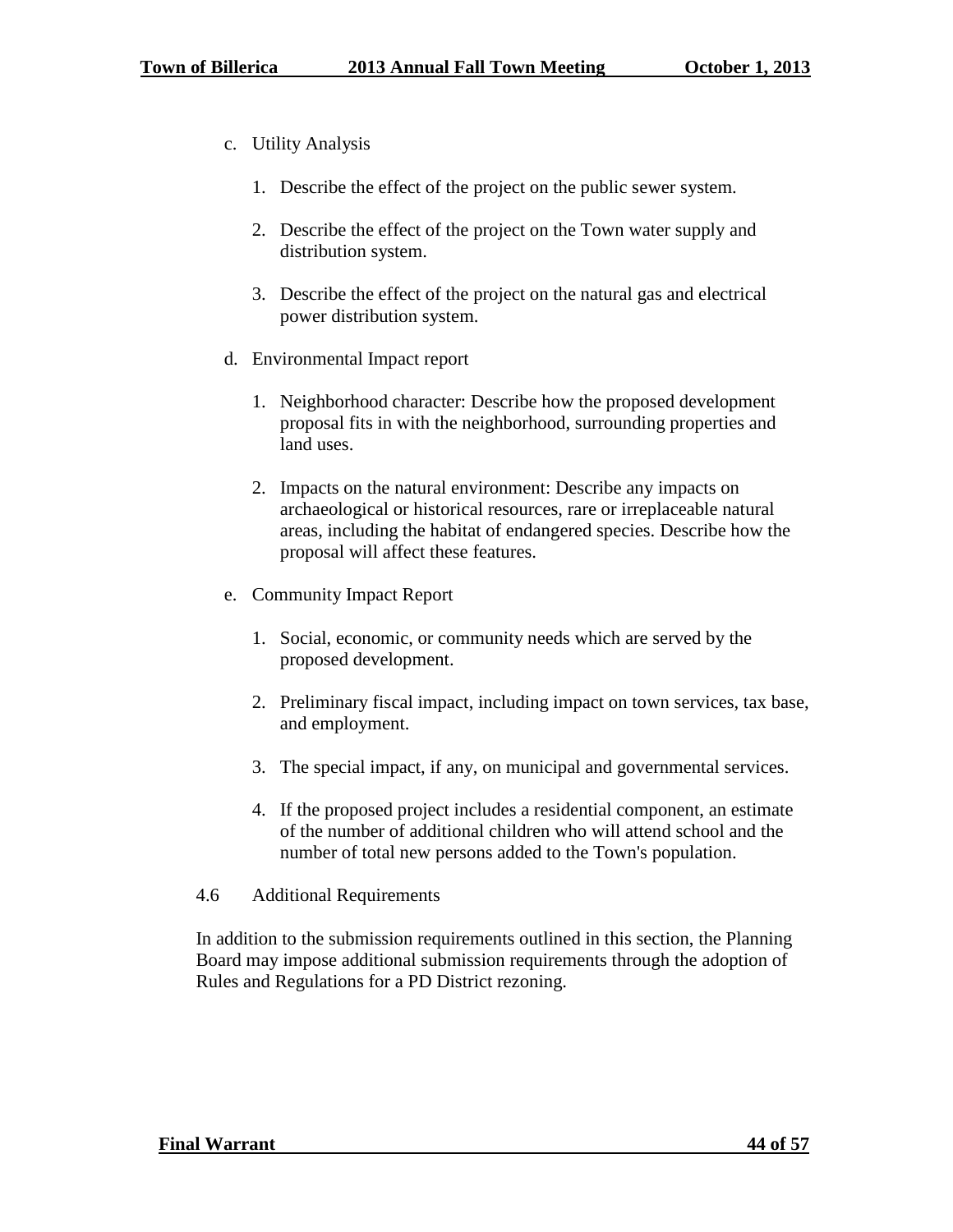- c. Utility Analysis
	- 1. Describe the effect of the project on the public sewer system.
	- 2. Describe the effect of the project on the Town water supply and distribution system.
	- 3. Describe the effect of the project on the natural gas and electrical power distribution system.
- d. Environmental Impact report
	- 1. Neighborhood character: Describe how the proposed development proposal fits in with the neighborhood, surrounding properties and land uses.
	- 2. Impacts on the natural environment: Describe any impacts on archaeological or historical resources, rare or irreplaceable natural areas, including the habitat of endangered species. Describe how the proposal will affect these features.
- e. Community Impact Report
	- 1. Social, economic, or community needs which are served by the proposed development.
	- 2. Preliminary fiscal impact, including impact on town services, tax base, and employment.
	- 3. The special impact, if any, on municipal and governmental services.
	- 4. If the proposed project includes a residential component, an estimate of the number of additional children who will attend school and the number of total new persons added to the Town's population.
- 4.6 Additional Requirements

In addition to the submission requirements outlined in this section, the Planning Board may impose additional submission requirements through the adoption of Rules and Regulations for a PD District rezoning.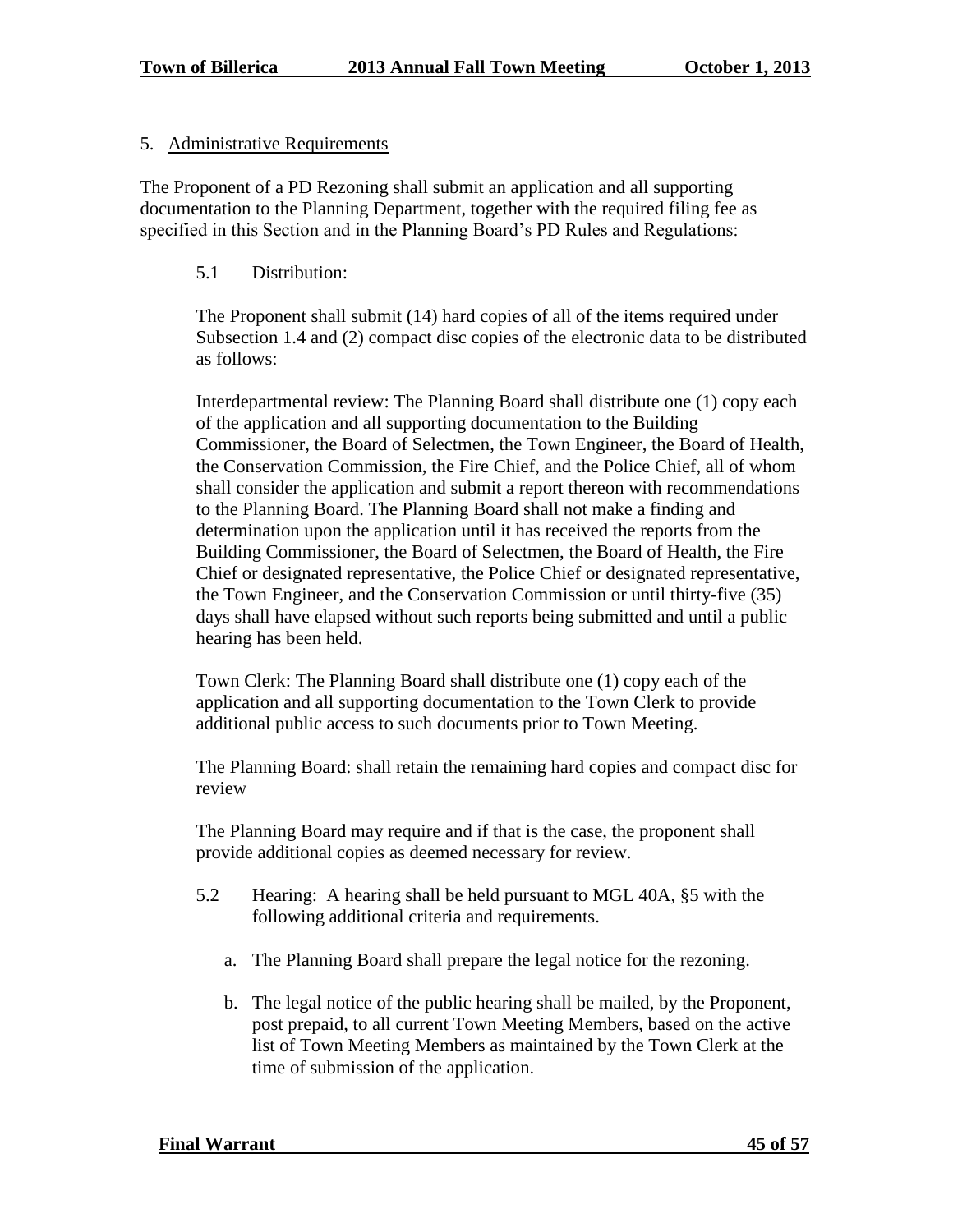## 5. Administrative Requirements

The Proponent of a PD Rezoning shall submit an application and all supporting documentation to the Planning Department, together with the required filing fee as specified in this Section and in the Planning Board's PD Rules and Regulations:

## 5.1 Distribution:

The Proponent shall submit (14) hard copies of all of the items required under Subsection 1.4 and (2) compact disc copies of the electronic data to be distributed as follows:

Interdepartmental review: The Planning Board shall distribute one (1) copy each of the application and all supporting documentation to the Building Commissioner, the Board of Selectmen, the Town Engineer, the Board of Health, the Conservation Commission, the Fire Chief, and the Police Chief, all of whom shall consider the application and submit a report thereon with recommendations to the Planning Board. The Planning Board shall not make a finding and determination upon the application until it has received the reports from the Building Commissioner, the Board of Selectmen, the Board of Health, the Fire Chief or designated representative, the Police Chief or designated representative, the Town Engineer, and the Conservation Commission or until thirty-five (35) days shall have elapsed without such reports being submitted and until a public hearing has been held.

Town Clerk: The Planning Board shall distribute one (1) copy each of the application and all supporting documentation to the Town Clerk to provide additional public access to such documents prior to Town Meeting.

The Planning Board: shall retain the remaining hard copies and compact disc for review

The Planning Board may require and if that is the case, the proponent shall provide additional copies as deemed necessary for review.

- 5.2 Hearing: A hearing shall be held pursuant to MGL 40A, §5 with the following additional criteria and requirements.
	- a. The Planning Board shall prepare the legal notice for the rezoning.
	- b. The legal notice of the public hearing shall be mailed, by the Proponent, post prepaid, to all current Town Meeting Members, based on the active list of Town Meeting Members as maintained by the Town Clerk at the time of submission of the application.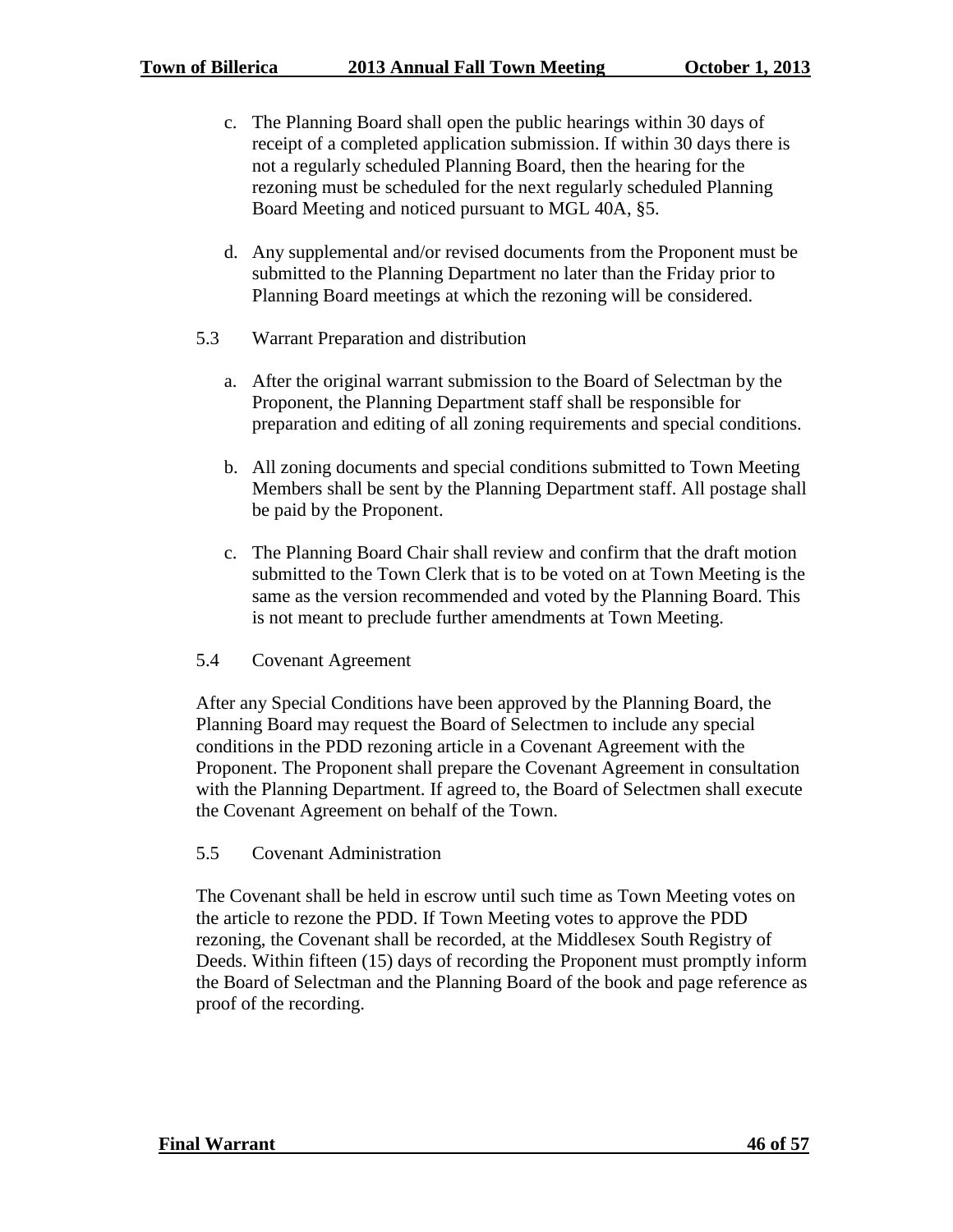- c. The Planning Board shall open the public hearings within 30 days of receipt of a completed application submission. If within 30 days there is not a regularly scheduled Planning Board, then the hearing for the rezoning must be scheduled for the next regularly scheduled Planning Board Meeting and noticed pursuant to MGL 40A, §5.
- d. Any supplemental and/or revised documents from the Proponent must be submitted to the Planning Department no later than the Friday prior to Planning Board meetings at which the rezoning will be considered.
- 5.3 Warrant Preparation and distribution
	- a. After the original warrant submission to the Board of Selectman by the Proponent, the Planning Department staff shall be responsible for preparation and editing of all zoning requirements and special conditions.
	- b. All zoning documents and special conditions submitted to Town Meeting Members shall be sent by the Planning Department staff. All postage shall be paid by the Proponent.
	- c. The Planning Board Chair shall review and confirm that the draft motion submitted to the Town Clerk that is to be voted on at Town Meeting is the same as the version recommended and voted by the Planning Board. This is not meant to preclude further amendments at Town Meeting.
- 5.4 Covenant Agreement

After any Special Conditions have been approved by the Planning Board, the Planning Board may request the Board of Selectmen to include any special conditions in the PDD rezoning article in a Covenant Agreement with the Proponent. The Proponent shall prepare the Covenant Agreement in consultation with the Planning Department. If agreed to, the Board of Selectmen shall execute the Covenant Agreement on behalf of the Town.

#### 5.5 Covenant Administration

The Covenant shall be held in escrow until such time as Town Meeting votes on the article to rezone the PDD. If Town Meeting votes to approve the PDD rezoning, the Covenant shall be recorded, at the Middlesex South Registry of Deeds. Within fifteen (15) days of recording the Proponent must promptly inform the Board of Selectman and the Planning Board of the book and page reference as proof of the recording.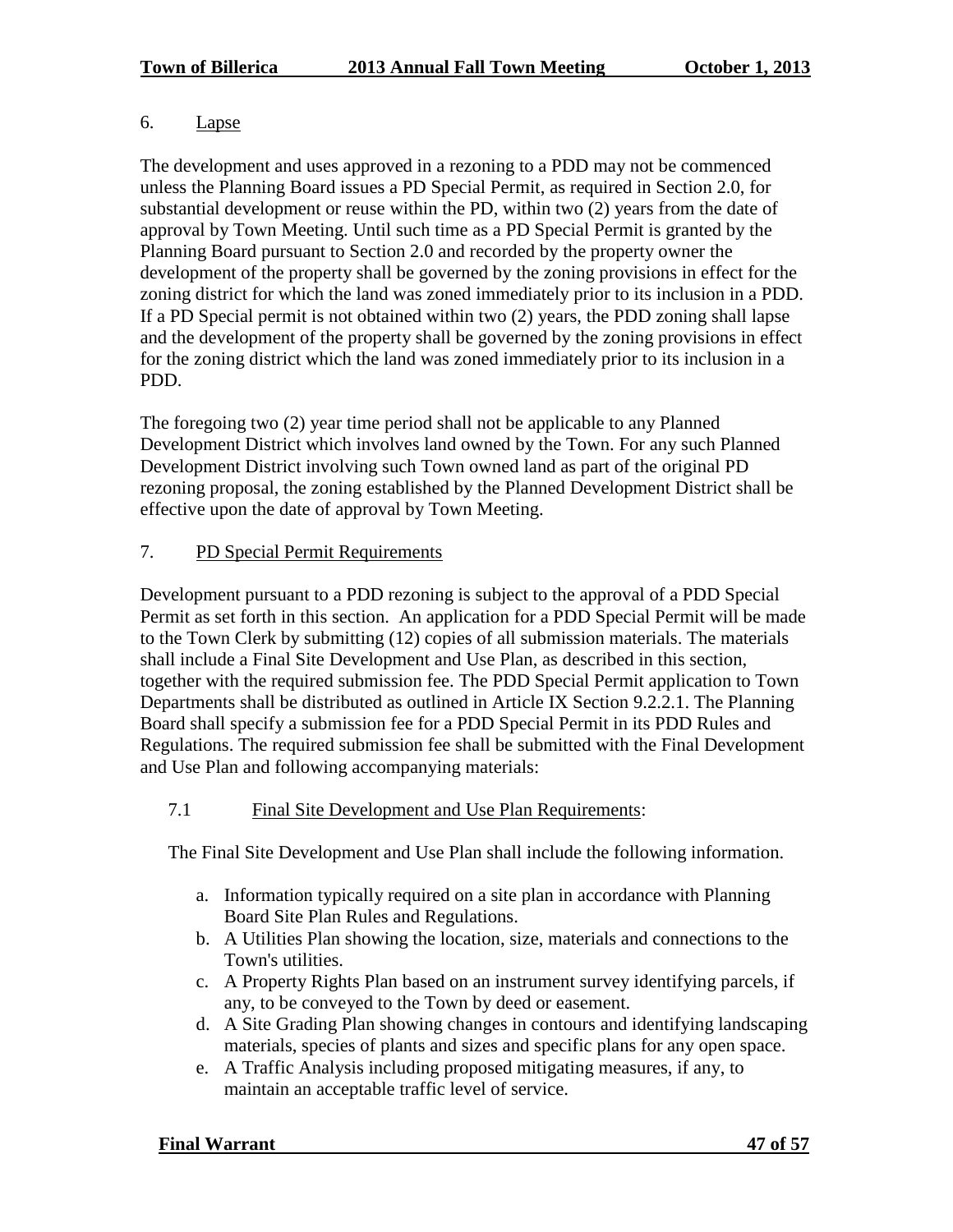# 6. Lapse

The development and uses approved in a rezoning to a PDD may not be commenced unless the Planning Board issues a PD Special Permit, as required in Section 2.0, for substantial development or reuse within the PD, within two (2) years from the date of approval by Town Meeting. Until such time as a PD Special Permit is granted by the Planning Board pursuant to Section 2.0 and recorded by the property owner the development of the property shall be governed by the zoning provisions in effect for the zoning district for which the land was zoned immediately prior to its inclusion in a PDD. If a PD Special permit is not obtained within two (2) years, the PDD zoning shall lapse and the development of the property shall be governed by the zoning provisions in effect for the zoning district which the land was zoned immediately prior to its inclusion in a PDD.

The foregoing two (2) year time period shall not be applicable to any Planned Development District which involves land owned by the Town. For any such Planned Development District involving such Town owned land as part of the original PD rezoning proposal, the zoning established by the Planned Development District shall be effective upon the date of approval by Town Meeting.

# 7. PD Special Permit Requirements

Development pursuant to a PDD rezoning is subject to the approval of a PDD Special Permit as set forth in this section. An application for a PDD Special Permit will be made to the Town Clerk by submitting (12) copies of all submission materials. The materials shall include a Final Site Development and Use Plan, as described in this section, together with the required submission fee. The PDD Special Permit application to Town Departments shall be distributed as outlined in Article IX Section 9.2.2.1. The Planning Board shall specify a submission fee for a PDD Special Permit in its PDD Rules and Regulations. The required submission fee shall be submitted with the Final Development and Use Plan and following accompanying materials:

# 7.1 Final Site Development and Use Plan Requirements:

The Final Site Development and Use Plan shall include the following information.

- a. Information typically required on a site plan in accordance with Planning Board Site Plan Rules and Regulations.
- b. A Utilities Plan showing the location, size, materials and connections to the Town's utilities.
- c. A Property Rights Plan based on an instrument survey identifying parcels, if any, to be conveyed to the Town by deed or easement.
- d. A Site Grading Plan showing changes in contours and identifying landscaping materials, species of plants and sizes and specific plans for any open space.
- e. A Traffic Analysis including proposed mitigating measures, if any, to maintain an acceptable traffic level of service.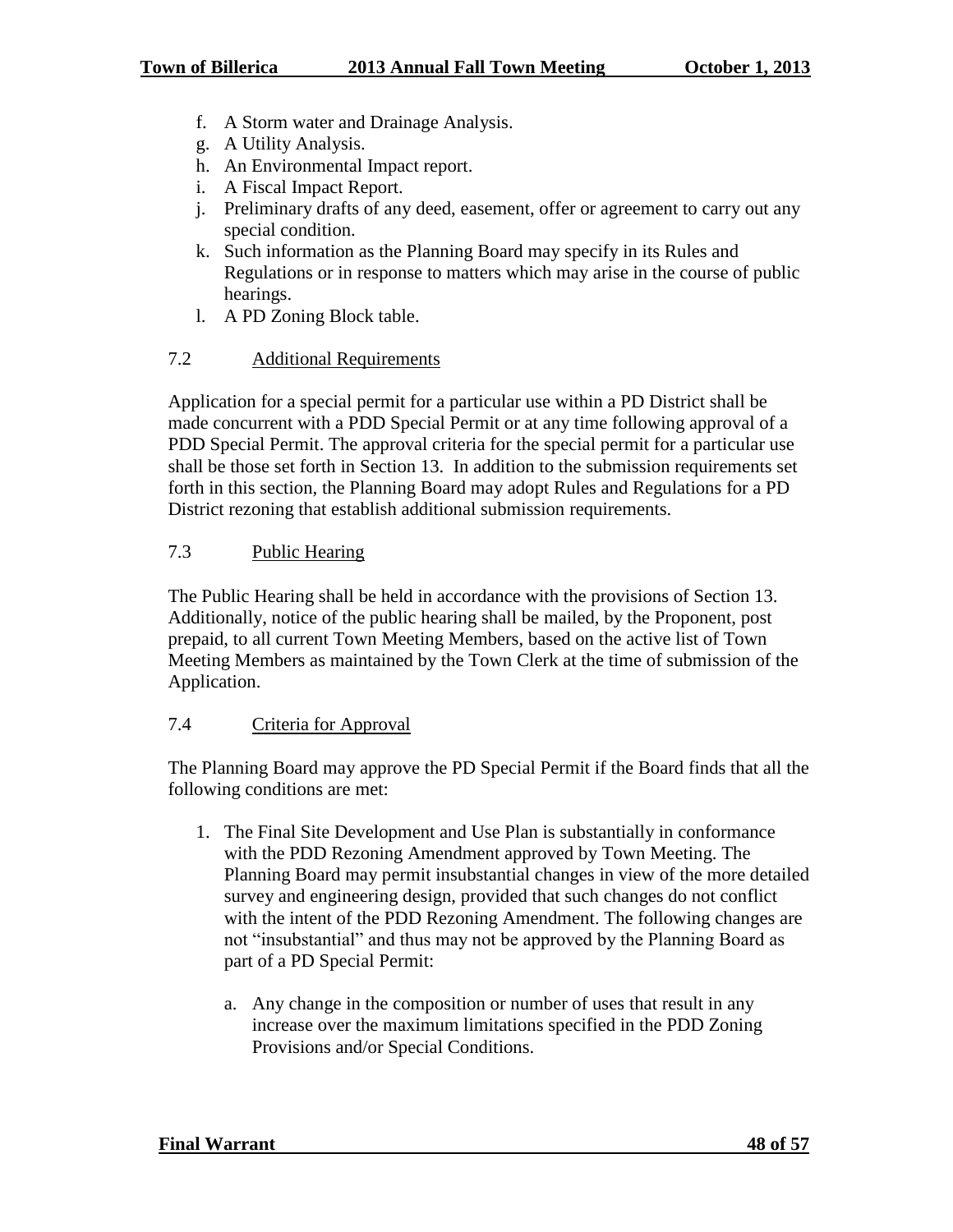- f. A Storm water and Drainage Analysis.
- g. A Utility Analysis.
- h. An Environmental Impact report.
- i. A Fiscal Impact Report.
- j. Preliminary drafts of any deed, easement, offer or agreement to carry out any special condition.
- k. Such information as the Planning Board may specify in its Rules and Regulations or in response to matters which may arise in the course of public hearings.
- l. A PD Zoning Block table.

# 7.2 Additional Requirements

Application for a special permit for a particular use within a PD District shall be made concurrent with a PDD Special Permit or at any time following approval of a PDD Special Permit. The approval criteria for the special permit for a particular use shall be those set forth in Section 13. In addition to the submission requirements set forth in this section, the Planning Board may adopt Rules and Regulations for a PD District rezoning that establish additional submission requirements.

# 7.3 Public Hearing

The Public Hearing shall be held in accordance with the provisions of Section 13. Additionally, notice of the public hearing shall be mailed, by the Proponent, post prepaid, to all current Town Meeting Members, based on the active list of Town Meeting Members as maintained by the Town Clerk at the time of submission of the Application.

# 7.4 Criteria for Approval

The Planning Board may approve the PD Special Permit if the Board finds that all the following conditions are met:

- 1. The Final Site Development and Use Plan is substantially in conformance with the PDD Rezoning Amendment approved by Town Meeting. The Planning Board may permit insubstantial changes in view of the more detailed survey and engineering design, provided that such changes do not conflict with the intent of the PDD Rezoning Amendment. The following changes are not "insubstantial" and thus may not be approved by the Planning Board as part of a PD Special Permit:
	- a. Any change in the composition or number of uses that result in any increase over the maximum limitations specified in the PDD Zoning Provisions and/or Special Conditions.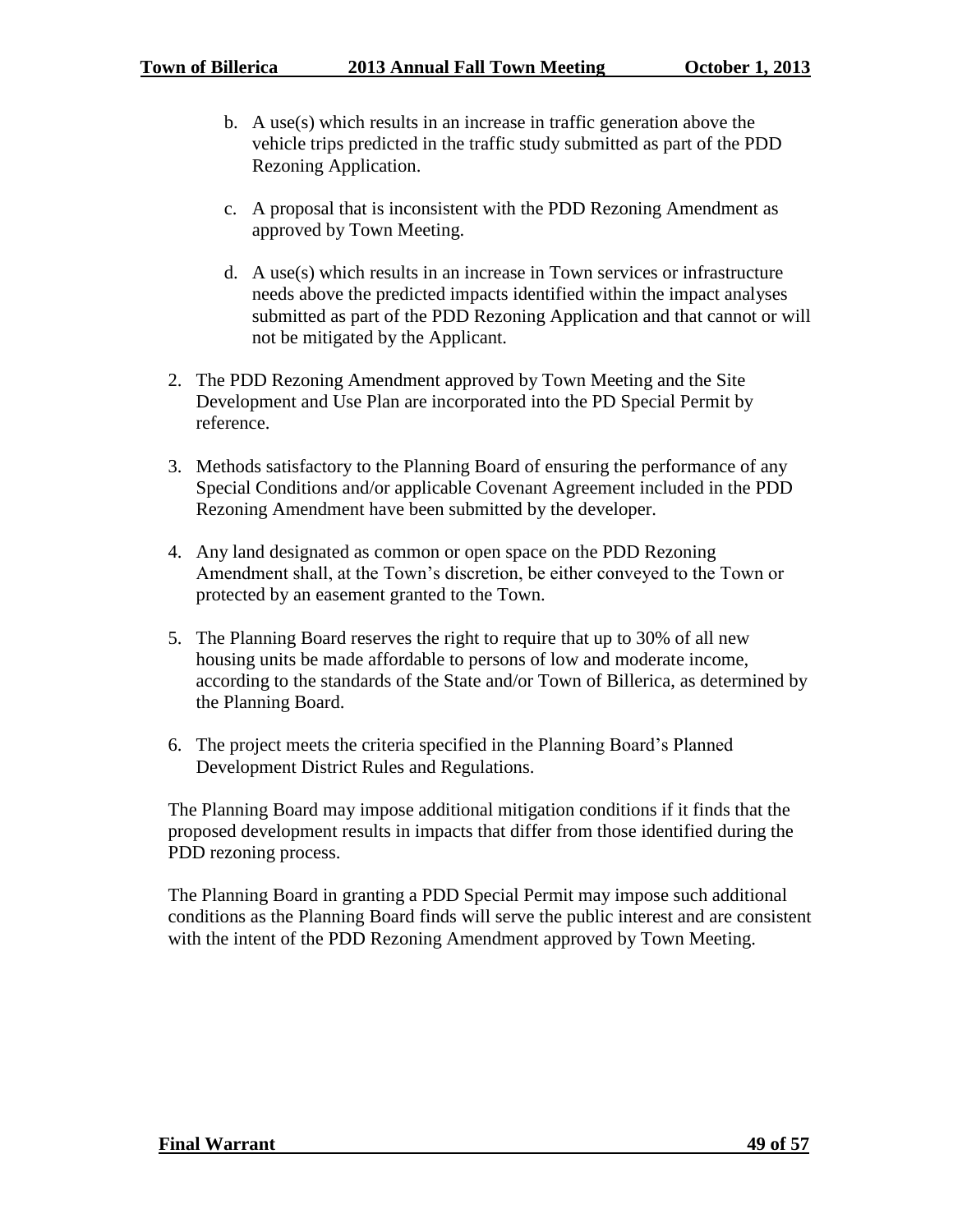- b. A use(s) which results in an increase in traffic generation above the vehicle trips predicted in the traffic study submitted as part of the PDD Rezoning Application.
- c. A proposal that is inconsistent with the PDD Rezoning Amendment as approved by Town Meeting.
- d. A use(s) which results in an increase in Town services or infrastructure needs above the predicted impacts identified within the impact analyses submitted as part of the PDD Rezoning Application and that cannot or will not be mitigated by the Applicant.
- 2. The PDD Rezoning Amendment approved by Town Meeting and the Site Development and Use Plan are incorporated into the PD Special Permit by reference.
- 3. Methods satisfactory to the Planning Board of ensuring the performance of any Special Conditions and/or applicable Covenant Agreement included in the PDD Rezoning Amendment have been submitted by the developer.
- 4. Any land designated as common or open space on the PDD Rezoning Amendment shall, at the Town's discretion, be either conveyed to the Town or protected by an easement granted to the Town.
- 5. The Planning Board reserves the right to require that up to 30% of all new housing units be made affordable to persons of low and moderate income, according to the standards of the State and/or Town of Billerica, as determined by the Planning Board.
- 6. The project meets the criteria specified in the Planning Board's Planned Development District Rules and Regulations.

The Planning Board may impose additional mitigation conditions if it finds that the proposed development results in impacts that differ from those identified during the PDD rezoning process.

The Planning Board in granting a PDD Special Permit may impose such additional conditions as the Planning Board finds will serve the public interest and are consistent with the intent of the PDD Rezoning Amendment approved by Town Meeting.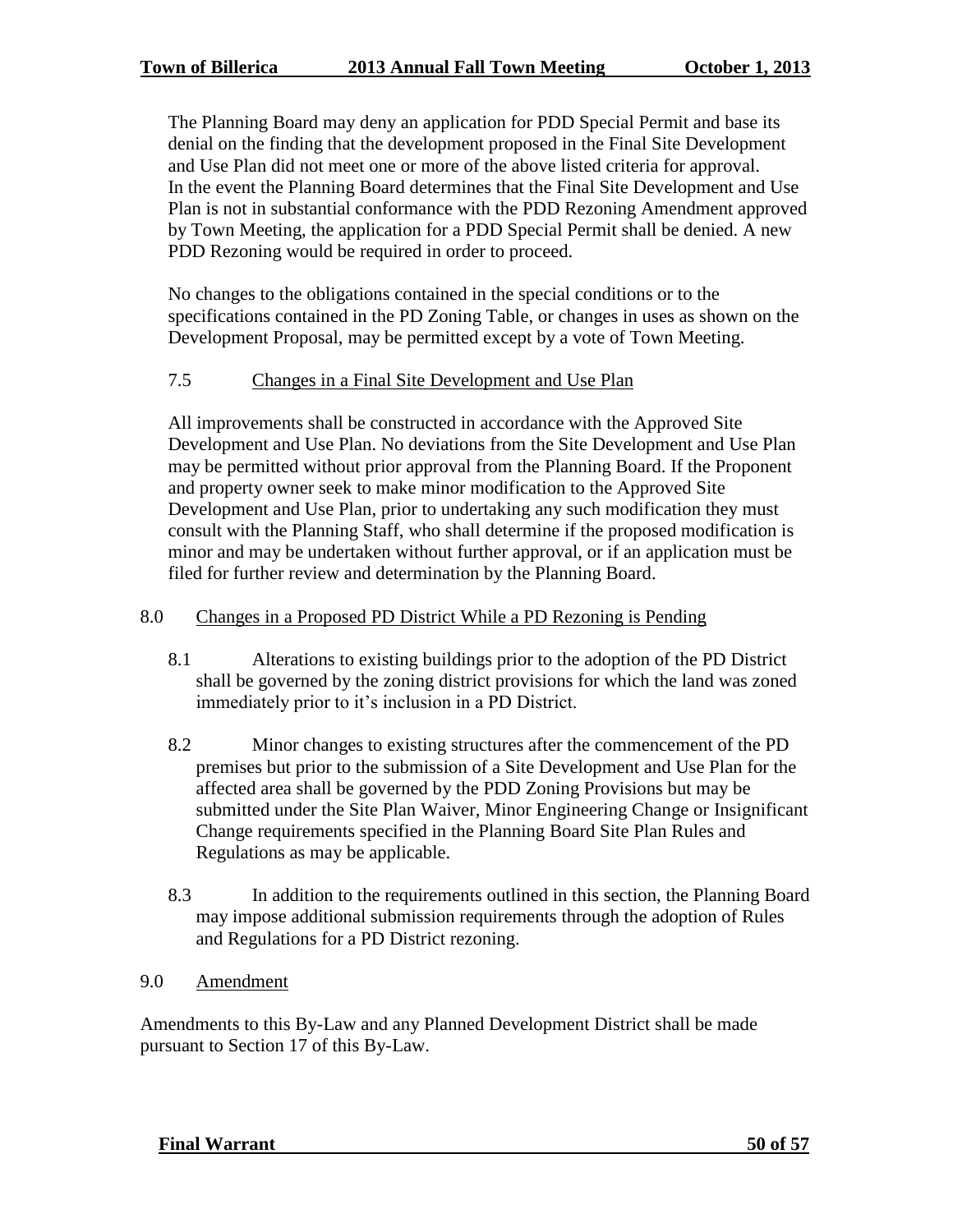The Planning Board may deny an application for PDD Special Permit and base its denial on the finding that the development proposed in the Final Site Development and Use Plan did not meet one or more of the above listed criteria for approval. In the event the Planning Board determines that the Final Site Development and Use Plan is not in substantial conformance with the PDD Rezoning Amendment approved by Town Meeting, the application for a PDD Special Permit shall be denied. A new PDD Rezoning would be required in order to proceed.

No changes to the obligations contained in the special conditions or to the specifications contained in the PD Zoning Table, or changes in uses as shown on the Development Proposal, may be permitted except by a vote of Town Meeting.

## 7.5 Changes in a Final Site Development and Use Plan

All improvements shall be constructed in accordance with the Approved Site Development and Use Plan. No deviations from the Site Development and Use Plan may be permitted without prior approval from the Planning Board. If the Proponent and property owner seek to make minor modification to the Approved Site Development and Use Plan, prior to undertaking any such modification they must consult with the Planning Staff, who shall determine if the proposed modification is minor and may be undertaken without further approval, or if an application must be filed for further review and determination by the Planning Board.

#### 8.0 Changes in a Proposed PD District While a PD Rezoning is Pending

- 8.1 Alterations to existing buildings prior to the adoption of the PD District shall be governed by the zoning district provisions for which the land was zoned immediately prior to it's inclusion in a PD District.
- 8.2 Minor changes to existing structures after the commencement of the PD premises but prior to the submission of a Site Development and Use Plan for the affected area shall be governed by the PDD Zoning Provisions but may be submitted under the Site Plan Waiver, Minor Engineering Change or Insignificant Change requirements specified in the Planning Board Site Plan Rules and Regulations as may be applicable.
- 8.3 In addition to the requirements outlined in this section, the Planning Board may impose additional submission requirements through the adoption of Rules and Regulations for a PD District rezoning.
- 9.0 Amendment

Amendments to this By-Law and any Planned Development District shall be made pursuant to Section 17 of this By-Law.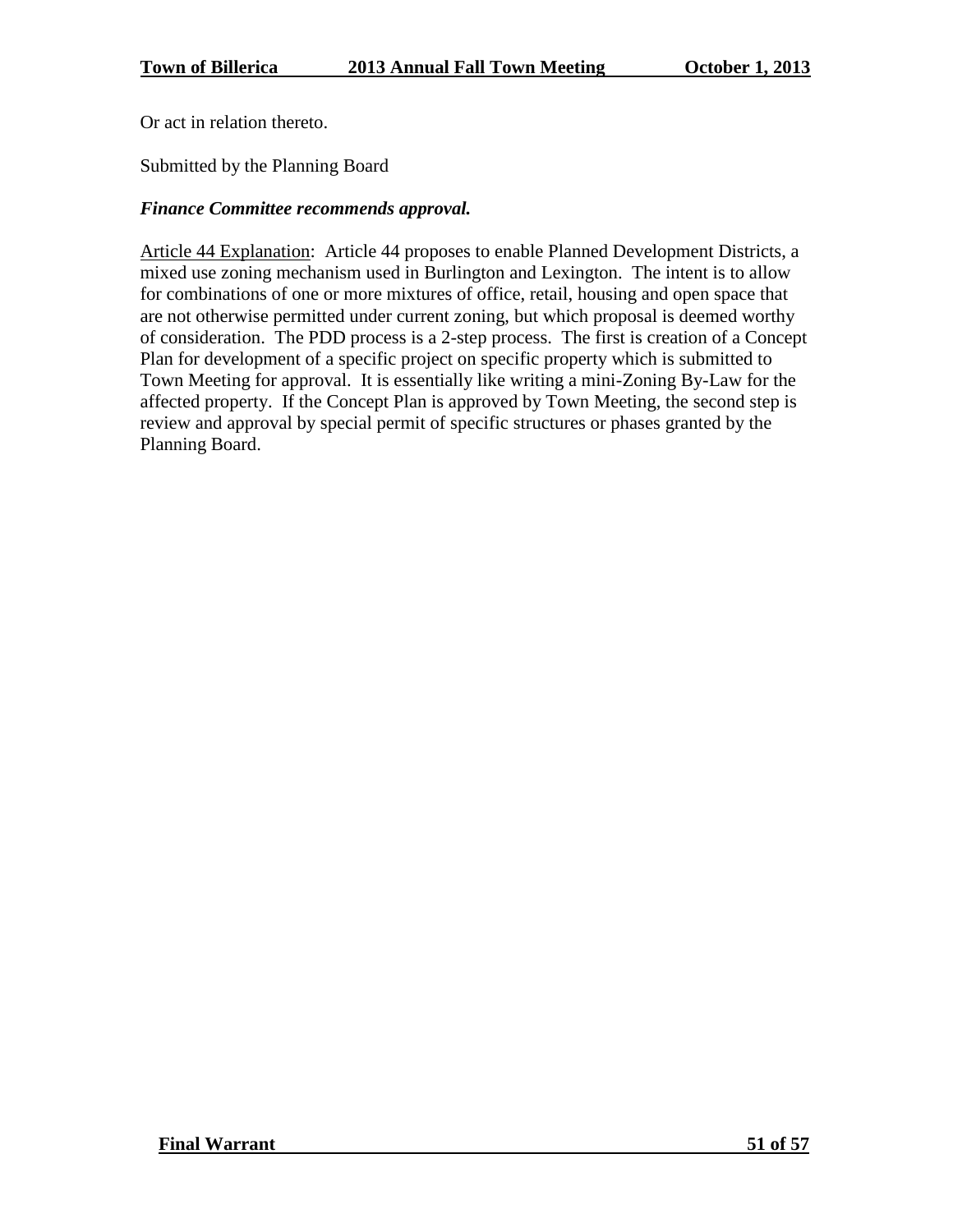Or act in relation thereto.

Submitted by the Planning Board

# *Finance Committee recommends approval.*

Article 44 Explanation: Article 44 proposes to enable Planned Development Districts, a mixed use zoning mechanism used in Burlington and Lexington. The intent is to allow for combinations of one or more mixtures of office, retail, housing and open space that are not otherwise permitted under current zoning, but which proposal is deemed worthy of consideration. The PDD process is a 2-step process. The first is creation of a Concept Plan for development of a specific project on specific property which is submitted to Town Meeting for approval. It is essentially like writing a mini-Zoning By-Law for the affected property. If the Concept Plan is approved by Town Meeting, the second step is review and approval by special permit of specific structures or phases granted by the Planning Board.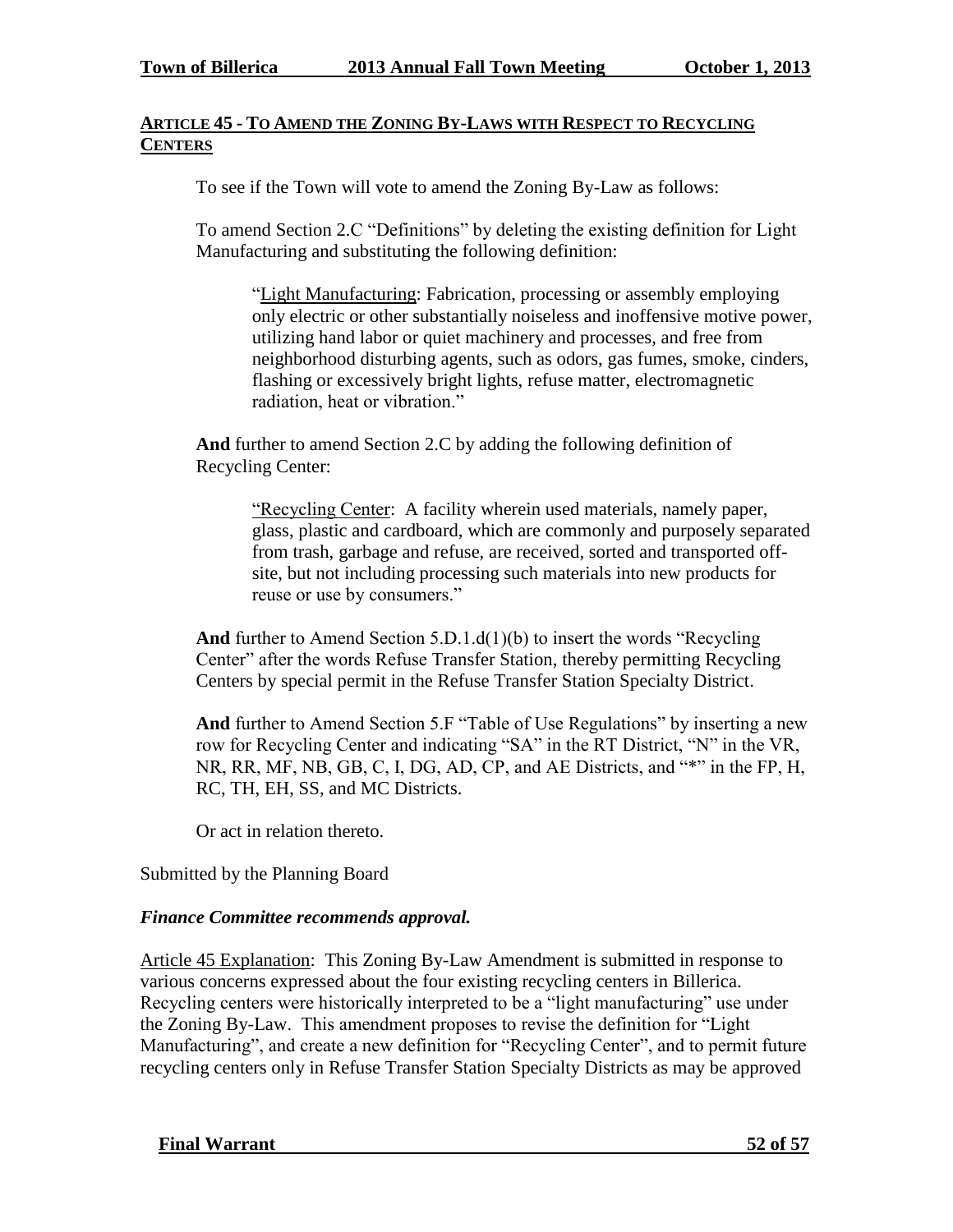## **ARTICLE 45 - TO AMEND THE ZONING BY-LAWS WITH RESPECT TO RECYCLING CENTERS**

To see if the Town will vote to amend the Zoning By-Law as follows:

To amend Section 2.C "Definitions" by deleting the existing definition for Light Manufacturing and substituting the following definition:

"Light Manufacturing: Fabrication, processing or assembly employing only electric or other substantially noiseless and inoffensive motive power, utilizing hand labor or quiet machinery and processes, and free from neighborhood disturbing agents, such as odors, gas fumes, smoke, cinders, flashing or excessively bright lights, refuse matter, electromagnetic radiation, heat or vibration."

**And** further to amend Section 2.C by adding the following definition of Recycling Center:

> "Recycling Center: A facility wherein used materials, namely paper, glass, plastic and cardboard, which are commonly and purposely separated from trash, garbage and refuse, are received, sorted and transported offsite, but not including processing such materials into new products for reuse or use by consumers."

**And** further to Amend Section 5.D.1.d(1)(b) to insert the words "Recycling Center" after the words Refuse Transfer Station, thereby permitting Recycling Centers by special permit in the Refuse Transfer Station Specialty District.

**And** further to Amend Section 5.F "Table of Use Regulations" by inserting a new row for Recycling Center and indicating "SA" in the RT District, "N" in the VR, NR, RR, MF, NB, GB, C, I, DG, AD, CP, and AE Districts, and "\*" in the FP, H, RC, TH, EH, SS, and MC Districts.

Or act in relation thereto.

Submitted by the Planning Board

#### *Finance Committee recommends approval.*

Article 45 Explanation: This Zoning By-Law Amendment is submitted in response to various concerns expressed about the four existing recycling centers in Billerica. Recycling centers were historically interpreted to be a "light manufacturing" use under the Zoning By-Law. This amendment proposes to revise the definition for "Light Manufacturing", and create a new definition for "Recycling Center", and to permit future recycling centers only in Refuse Transfer Station Specialty Districts as may be approved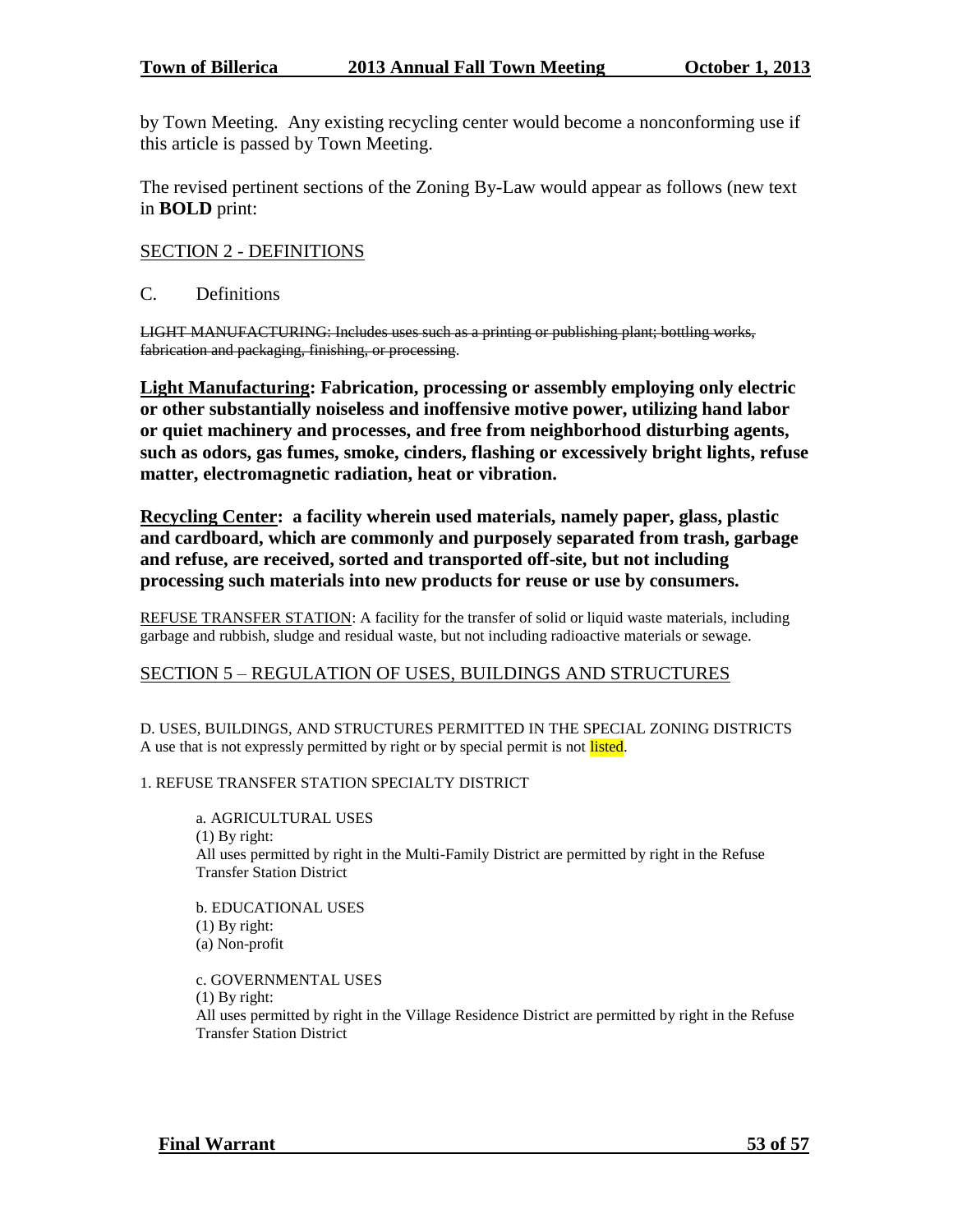by Town Meeting. Any existing recycling center would become a nonconforming use if this article is passed by Town Meeting.

The revised pertinent sections of the Zoning By-Law would appear as follows (new text in **BOLD** print:

#### SECTION 2 - DEFINITIONS

C. Definitions

LIGHT MANUFACTURING: Includes uses such as a printing or publishing plant; bottling works, fabrication and packaging, finishing, or processing.

**Light Manufacturing: Fabrication, processing or assembly employing only electric or other substantially noiseless and inoffensive motive power, utilizing hand labor or quiet machinery and processes, and free from neighborhood disturbing agents, such as odors, gas fumes, smoke, cinders, flashing or excessively bright lights, refuse matter, electromagnetic radiation, heat or vibration.**

**Recycling Center: a facility wherein used materials, namely paper, glass, plastic and cardboard, which are commonly and purposely separated from trash, garbage and refuse, are received, sorted and transported off-site, but not including processing such materials into new products for reuse or use by consumers.**

REFUSE TRANSFER STATION: A facility for the transfer of solid or liquid waste materials, including garbage and rubbish, sludge and residual waste, but not including radioactive materials or sewage.

#### SECTION 5 – REGULATION OF USES, BUILDINGS AND STRUCTURES

D. USES, BUILDINGS, AND STRUCTURES PERMITTED IN THE SPECIAL ZONING DISTRICTS A use that is not expressly permitted by right or by special permit is not listed.

#### 1. REFUSE TRANSFER STATION SPECIALTY DISTRICT

a*.* AGRICULTURAL USES (1) By right: All uses permitted by right in the Multi-Family District are permitted by right in the Refuse Transfer Station District

b. EDUCATIONAL USES (1) By right: (a) Non-profit

c. GOVERNMENTAL USES (1) By right: All uses permitted by right in the Village Residence District are permitted by right in the Refuse Transfer Station District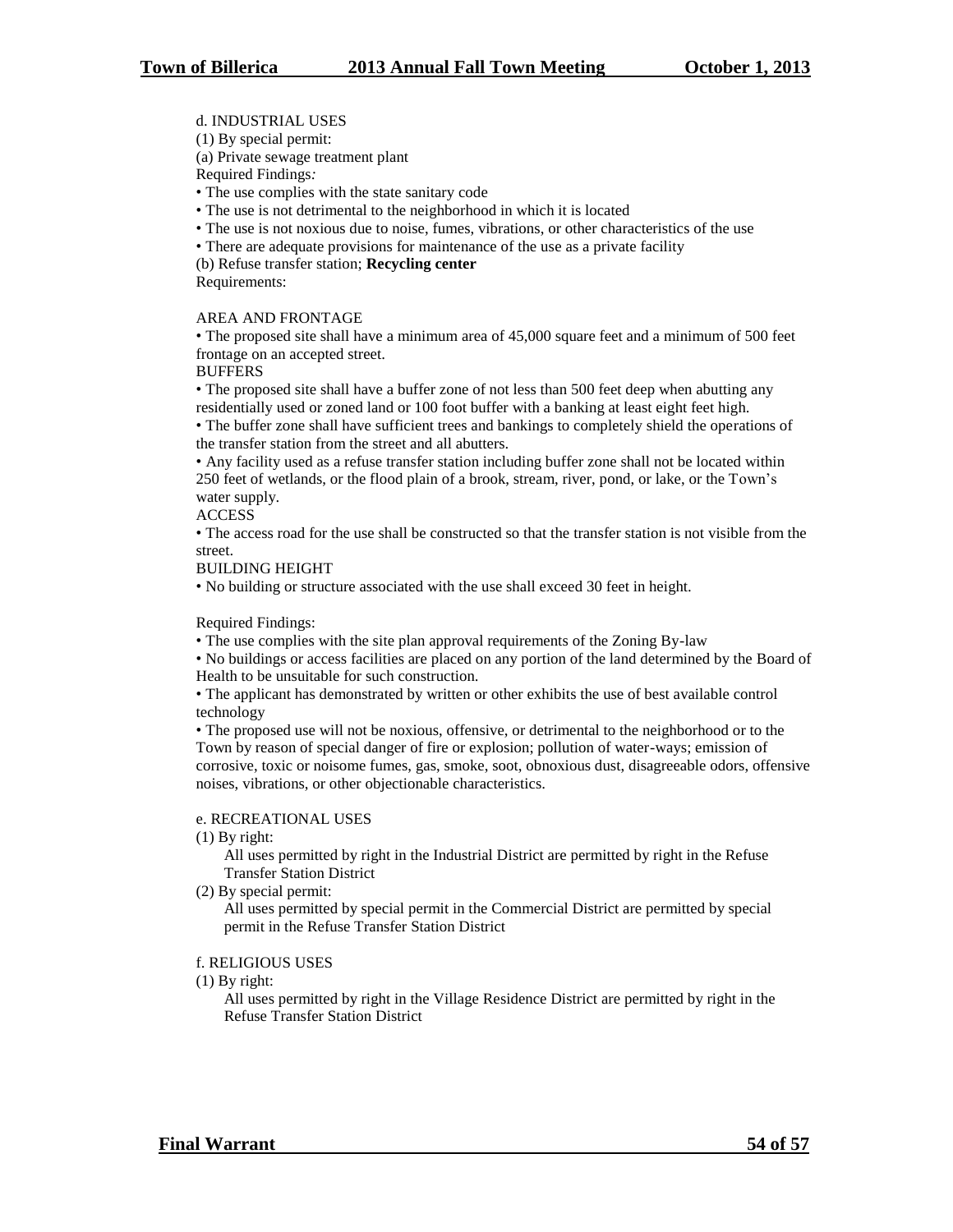#### d. INDUSTRIAL USES

(1) By special permit:

(a) Private sewage treatment plant

Required Findings*:*

• The use complies with the state sanitary code

• The use is not detrimental to the neighborhood in which it is located

- The use is not noxious due to noise, fumes, vibrations, or other characteristics of the use
- There are adequate provisions for maintenance of the use as a private facility

(b) Refuse transfer station; **Recycling center**

Requirements:

#### AREA AND FRONTAGE

• The proposed site shall have a minimum area of 45,000 square feet and a minimum of 500 feet frontage on an accepted street.

**BUFFERS** 

• The proposed site shall have a buffer zone of not less than 500 feet deep when abutting any residentially used or zoned land or 100 foot buffer with a banking at least eight feet high.

• The buffer zone shall have sufficient trees and bankings to completely shield the operations of the transfer station from the street and all abutters.

• Any facility used as a refuse transfer station including buffer zone shall not be located within 250 feet of wetlands, or the flood plain of a brook, stream, river, pond, or lake, or the Town's water supply.

**ACCESS** 

• The access road for the use shall be constructed so that the transfer station is not visible from the street.

#### BUILDING HEIGHT

• No building or structure associated with the use shall exceed 30 feet in height.

#### Required Findings:

• The use complies with the site plan approval requirements of the Zoning By-law

• No buildings or access facilities are placed on any portion of the land determined by the Board of Health to be unsuitable for such construction.

• The applicant has demonstrated by written or other exhibits the use of best available control technology

• The proposed use will not be noxious, offensive, or detrimental to the neighborhood or to the Town by reason of special danger of fire or explosion; pollution of water-ways; emission of corrosive, toxic or noisome fumes, gas, smoke, soot, obnoxious dust, disagreeable odors, offensive noises, vibrations, or other objectionable characteristics.

#### e. RECREATIONAL USES

(1) By right:

All uses permitted by right in the Industrial District are permitted by right in the Refuse Transfer Station District

(2) By special permit:

All uses permitted by special permit in the Commercial District are permitted by special permit in the Refuse Transfer Station District

#### f. RELIGIOUS USES

(1) By right:

All uses permitted by right in the Village Residence District are permitted by right in the Refuse Transfer Station District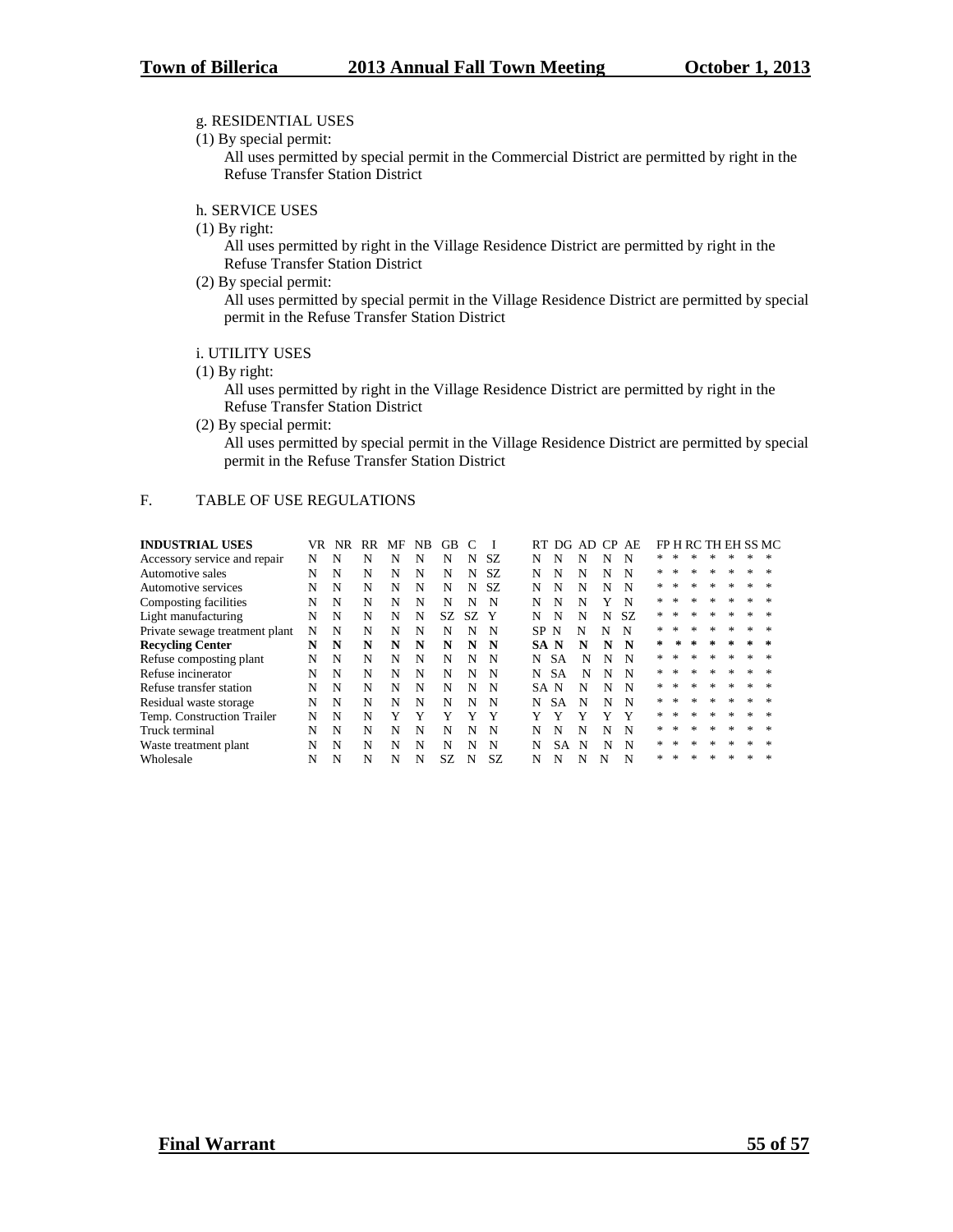#### g. RESIDENTIAL USES

(1) By special permit:

All uses permitted by special permit in the Commercial District are permitted by right in the Refuse Transfer Station District

h. SERVICE USES

(1) By right:

All uses permitted by right in the Village Residence District are permitted by right in the Refuse Transfer Station District

(2) By special permit:

All uses permitted by special permit in the Village Residence District are permitted by special permit in the Refuse Transfer Station District

#### i. UTILITY USES

(1) By right:

All uses permitted by right in the Village Residence District are permitted by right in the Refuse Transfer Station District

(2) By special permit:

All uses permitted by special permit in the Village Residence District are permitted by special permit in the Refuse Transfer Station District

#### F. TABLE OF USE REGULATIONS

| <b>INDUSTRIAL USES</b>         | VR | NR | RR | MF | NB. | GB  |    |     | RT  | DG.       | AD CP AE |   |     |    |        |        |                  |         |        | FP H RC TH EH SS MC |
|--------------------------------|----|----|----|----|-----|-----|----|-----|-----|-----------|----------|---|-----|----|--------|--------|------------------|---------|--------|---------------------|
| Accessory service and repair   | N  | N  | N  | N  | N   | N   | N  | SZ. | N   | N         | N        | N | N   |    |        |        |                  | ×.      | ж      | *                   |
| Automotive sales               | N  | N  | N  | N  | N   | N   | N  | SZ. | N   | N         | N        | N | N   | ×. |        |        | $*$              | $\ast$  | $*$    |                     |
| Automotive services            | N  | N  | N  | N  | N   | N   | N  | SZ. | N   | N         | N        | N | N   | *  | ∗      | $*$    | $*$              | $*$     | *      |                     |
| Composting facilities          | N  | N  | N  | N  | N   | N   | N  | N   | N   | N         | N        | Y | N   | *  |        | *      | $*$              | $*$     | $*$    |                     |
| Light manufacturing            | N  | N  | N  | N  | N   | SZ. | SZ | - Y | N   | N         | N        | N | SZ. | ×. | ×.     | $*$    | $*$              | $\ast$  | *      | $*$                 |
| Private sewage treatment plant | N  | N  | N  | N  | N   | N   | N  | N   | SP  | N         | N        | N | N   | ×. | 冰      | $*$    | $*$              | $\ast$  | $*$    |                     |
| <b>Recycling Center</b>        | N  | N  | N  | N  | N   | N   | N  | N   | SA. | N         | N        | N | N   | *  | *      | $\ast$ | $\star$          | $\star$ | $\ast$ | $\approx$           |
| Refuse composting plant        | N  | N  | N  | N  | N   | N   | N  | N   | N   | SA        | N        | N | N   |    |        | *      | $\frac{1}{2\pi}$ | $\ast$  | *      | $*$                 |
| Refuse incinerator             | N  | N  | N  | N  | N   | N   | N  | N   | N   | SА        | N        | N | N   | ×. | 冰      | $*$    | $\frac{1}{2\pi}$ | $*$     |        |                     |
| Refuse transfer station        | N  | N  | N  | N  | N   | N   | N  | N   | SA. | N         | N        | N | N   | *  | $\ast$ | *      | $\frac{1}{2\pi}$ | $*$     | *      | *                   |
| Residual waste storage         | N  | N  | N  | N  | N   | N   | N  | N   | N   | SА        | N        | N | N   | ×. |        | *      | $\frac{1}{2\pi}$ | $\ast$  | $*$    | $*$                 |
| Temp. Construction Trailer     | N  | N  | N  | Y  | Y   | Y   | Y  | Y   | Y   |           |          | Y | Y   | ×. | 冰      | *      | $\frac{1}{2\pi}$ | $*$     |        |                     |
| Truck terminal                 | N  | N  | N  | N  | N   | N   | N  | N   | N   | N         | N        | N | N   | ÷. | 冰      | $*$    | $\frac{1}{2\pi}$ | $\ast$  | *      | 冰                   |
| Waste treatment plant          | N  | N  | N  | N  | N   | N   | N  | N   | N   | <b>SA</b> | N        | N | N   | ×. |        | *      | $\frac{1}{2\pi}$ | $\ast$  | ×.     |                     |
| Wholesale                      | N  | N  | N  | N  | N   | SZ. | N  | SZ. | N   | N         | N        | N | N   | ×. | $\ast$ | ж      | $*$              |         |        |                     |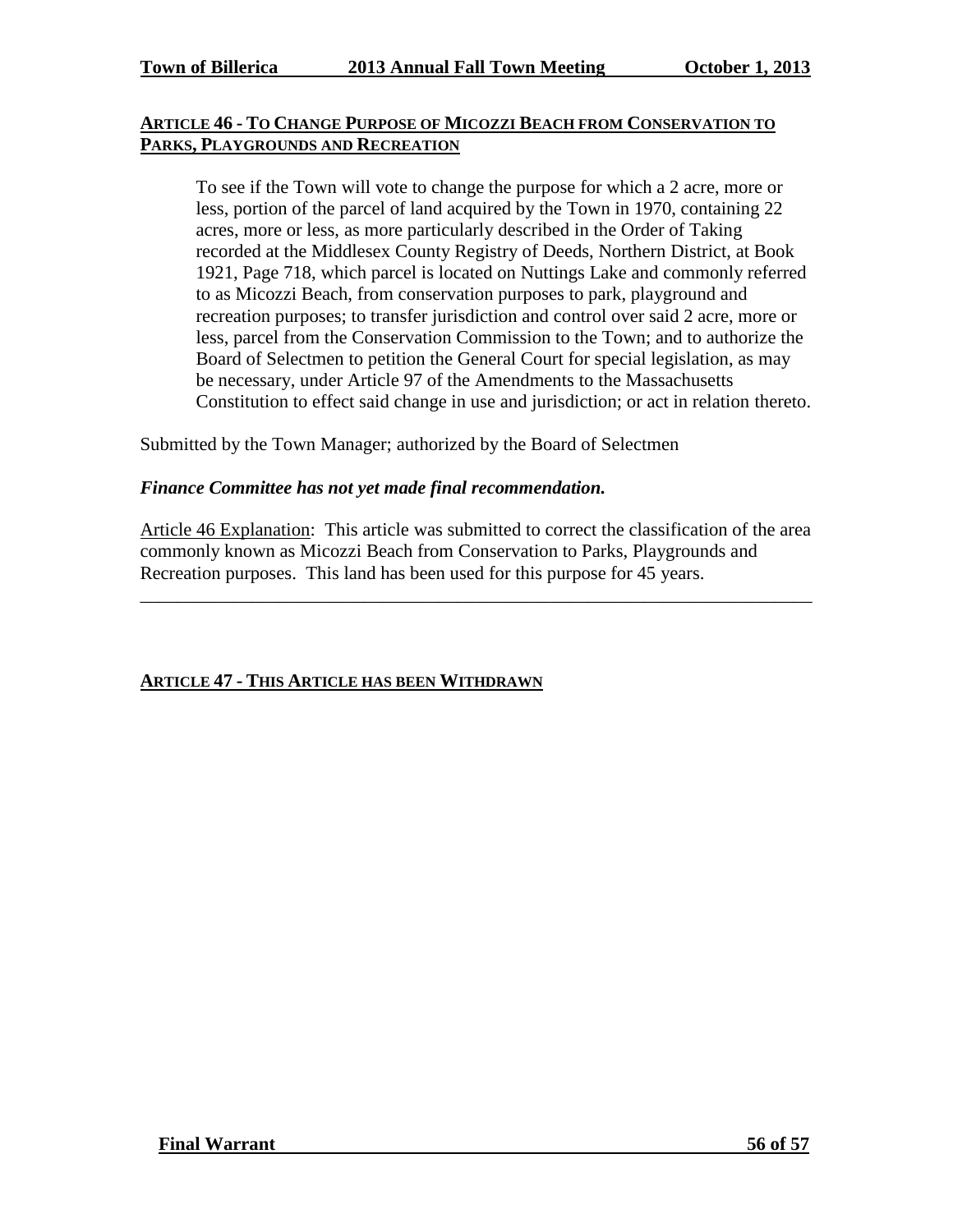#### **ARTICLE 46 - TO CHANGE PURPOSE OF MICOZZI BEACH FROM CONSERVATION TO PARKS, PLAYGROUNDS AND RECREATION**

To see if the Town will vote to change the purpose for which a 2 acre, more or less, portion of the parcel of land acquired by the Town in 1970, containing 22 acres, more or less, as more particularly described in the Order of Taking recorded at the Middlesex County Registry of Deeds, Northern District, at Book 1921, Page 718, which parcel is located on Nuttings Lake and commonly referred to as Micozzi Beach, from conservation purposes to park, playground and recreation purposes; to transfer jurisdiction and control over said 2 acre, more or less, parcel from the Conservation Commission to the Town; and to authorize the Board of Selectmen to petition the General Court for special legislation, as may be necessary, under Article 97 of the Amendments to the Massachusetts Constitution to effect said change in use and jurisdiction; or act in relation thereto.

Submitted by the Town Manager; authorized by the Board of Selectmen

#### *Finance Committee has not yet made final recommendation.*

Article 46 Explanation: This article was submitted to correct the classification of the area commonly known as Micozzi Beach from Conservation to Parks, Playgrounds and Recreation purposes. This land has been used for this purpose for 45 years.

\_\_\_\_\_\_\_\_\_\_\_\_\_\_\_\_\_\_\_\_\_\_\_\_\_\_\_\_\_\_\_\_\_\_\_\_\_\_\_\_\_\_\_\_\_\_\_\_\_\_\_\_\_\_\_\_\_\_\_\_\_\_\_\_\_\_\_\_\_\_\_\_

#### **ARTICLE 47 - THIS ARTICLE HAS BEEN WITHDRAWN**